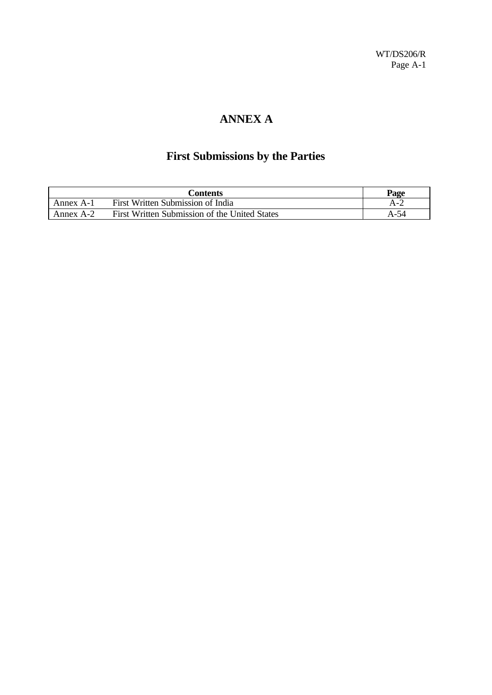## **ANNEX A**

# **First Submissions by the Parties**

|           | Contents                                      | Page    |
|-----------|-----------------------------------------------|---------|
| Annex A-1 | First Written Submission of India             | $A - 2$ |
| Annex A-2 | First Written Submission of the United States |         |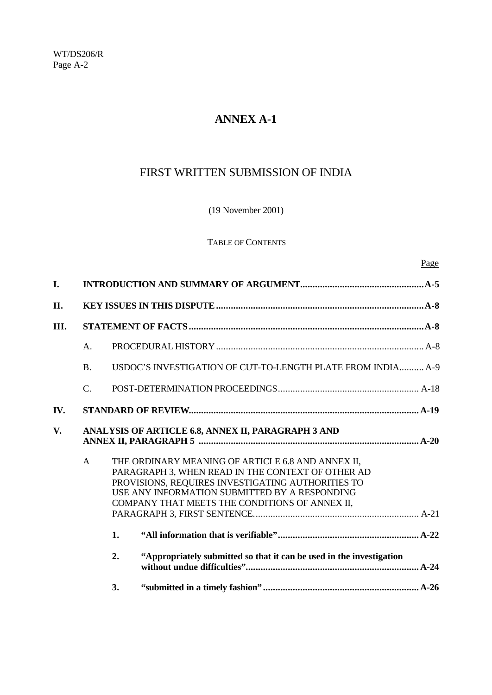## **ANNEX A-1**

## FIRST WRITTEN SUBMISSION OF INDIA

(19 November 2001)

## TABLE OF CONTENTS

| I.   |                                                    |          |                                                                                                                                                                                                                                                                                                                                        |  |  |
|------|----------------------------------------------------|----------|----------------------------------------------------------------------------------------------------------------------------------------------------------------------------------------------------------------------------------------------------------------------------------------------------------------------------------------|--|--|
| II.  |                                                    |          |                                                                                                                                                                                                                                                                                                                                        |  |  |
| III. |                                                    |          |                                                                                                                                                                                                                                                                                                                                        |  |  |
|      | A.                                                 |          |                                                                                                                                                                                                                                                                                                                                        |  |  |
|      | <b>B.</b>                                          |          | USDOC'S INVESTIGATION OF CUT-TO-LENGTH PLATE FROM INDIA A-9                                                                                                                                                                                                                                                                            |  |  |
|      | $\mathcal{C}$ .                                    |          |                                                                                                                                                                                                                                                                                                                                        |  |  |
| IV.  |                                                    |          |                                                                                                                                                                                                                                                                                                                                        |  |  |
| V.   | ANALYSIS OF ARTICLE 6.8, ANNEX II, PARAGRAPH 3 AND |          |                                                                                                                                                                                                                                                                                                                                        |  |  |
|      | $\overline{A}$                                     | 1.<br>2. | THE ORDINARY MEANING OF ARTICLE 6.8 AND ANNEX II,<br>PARAGRAPH 3, WHEN READ IN THE CONTEXT OF OTHER AD<br>PROVISIONS, REQUIRES INVESTIGATING AUTHORITIES TO<br>USE ANY INFORMATION SUBMITTED BY A RESPONDING<br>COMPANY THAT MEETS THE CONDITIONS OF ANNEX II,<br>"Appropriately submitted so that it can be used in the investigation |  |  |
|      |                                                    | 3.       |                                                                                                                                                                                                                                                                                                                                        |  |  |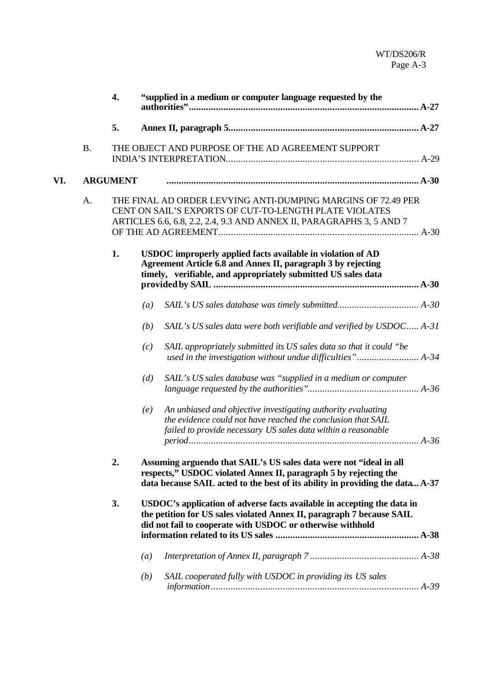|     |           | 4.              | "supplied in a medium or computer language requested by the                                                                                                                                                             |  |  |  |
|-----|-----------|-----------------|-------------------------------------------------------------------------------------------------------------------------------------------------------------------------------------------------------------------------|--|--|--|
|     | 5.        |                 |                                                                                                                                                                                                                         |  |  |  |
|     | <b>B.</b> |                 | THE OBJECT AND PURPOSE OF THE AD AGREEMENT SUPPORT                                                                                                                                                                      |  |  |  |
| VI. |           | <b>ARGUMENT</b> |                                                                                                                                                                                                                         |  |  |  |
|     | A.        |                 | THE FINAL AD ORDER LEVYING ANTI-DUMPING MARGINS OF 72.49 PER<br>CENT ON SAIL'S EXPORTS OF CUT-TO-LENGTH PLATE VIOLATES<br>ARTICLES 6.6, 6.8, 2.2, 2.4, 9.3 AND ANNEX II, PARAGRAPHS 3, 5 AND 7                          |  |  |  |
|     |           | 1.              | USDOC improperly applied facts available in violation of AD<br>Agreement Article 6.8 and Annex II, paragraph 3 by rejecting<br>timely, verifiable, and appropriately submitted US sales data                            |  |  |  |
|     |           |                 |                                                                                                                                                                                                                         |  |  |  |
|     |           |                 | $\left(a\right)$                                                                                                                                                                                                        |  |  |  |
|     |           |                 | SAIL's US sales data were both verifiable and verified by USDOC A-31<br>(b)                                                                                                                                             |  |  |  |
|     |           |                 | SAIL appropriately submitted its US sales data so that it could "be<br>(c)                                                                                                                                              |  |  |  |
|     |           |                 | SAIL's US sales database was "supplied in a medium or computer<br>(d)                                                                                                                                                   |  |  |  |
|     |           |                 | An unbiased and objective investigating authority evaluating<br>(e)<br>the evidence could not have reached the conclusion that SAIL<br>failed to provide necessary US sales data within a reasonable                    |  |  |  |
|     |           | 2.              | Assuming arguendo that SAIL's US sales data were not "ideal in all<br>respects," USDOC violated Annex II, paragraph 5 by rejecting the<br>data because SAIL acted to the best of its ability in providing the data A-37 |  |  |  |
|     |           | 3.              | USDOC's application of adverse facts available in accepting the data in<br>the petition for US sales violated Annex II, paragraph 7 because SAIL<br>did not fail to cooperate with USDOC or otherwise withhold          |  |  |  |
|     |           |                 | $\left(a\right)$                                                                                                                                                                                                        |  |  |  |
|     |           |                 | SAIL cooperated fully with USDOC in providing its US sales<br>(b)                                                                                                                                                       |  |  |  |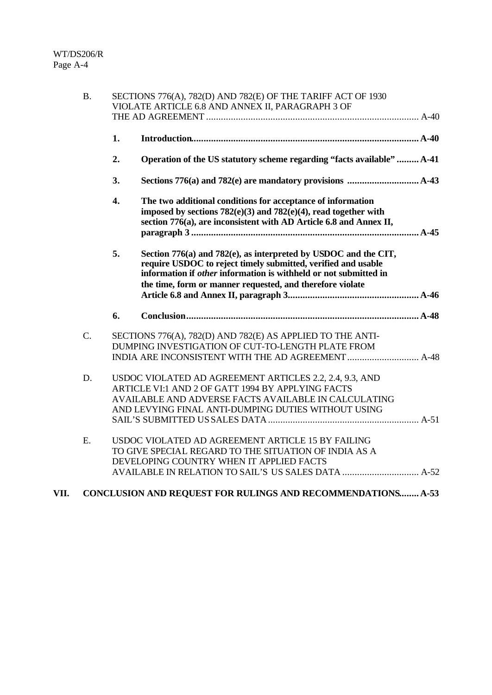|      | <b>B.</b> | SECTIONS 776(A), 782(D) AND 782(E) OF THE TARIFF ACT OF 1930<br>VIOLATE ARTICLE 6.8 AND ANNEX II, PARAGRAPH 3 OF |                                                                                                                                                                                                                                                                          |  |  |
|------|-----------|------------------------------------------------------------------------------------------------------------------|--------------------------------------------------------------------------------------------------------------------------------------------------------------------------------------------------------------------------------------------------------------------------|--|--|
|      |           | 1.                                                                                                               |                                                                                                                                                                                                                                                                          |  |  |
|      |           | 2.                                                                                                               | Operation of the US statutory scheme regarding "facts available"  A-41                                                                                                                                                                                                   |  |  |
|      |           | 3.                                                                                                               |                                                                                                                                                                                                                                                                          |  |  |
|      |           | 4.                                                                                                               | The two additional conditions for acceptance of information<br>imposed by sections $782(e)(3)$ and $782(e)(4)$ , read together with<br>section 776(a), are inconsistent with AD Article 6.8 and Annex II,                                                                |  |  |
|      |           | 5.                                                                                                               | Section 776(a) and 782(e), as interpreted by USDOC and the CIT,<br>require USDOC to reject timely submitted, verified and usable<br>information if <i>other</i> information is withheld or not submitted in<br>the time, form or manner requested, and therefore violate |  |  |
|      |           | 6.                                                                                                               |                                                                                                                                                                                                                                                                          |  |  |
|      | C.        |                                                                                                                  | SECTIONS 776(A), 782(D) AND 782(E) AS APPLIED TO THE ANTI-<br>DUMPING INVESTIGATION OF CUT-TO-LENGTH PLATE FROM                                                                                                                                                          |  |  |
|      | D.        |                                                                                                                  | USDOC VIOLATED AD AGREEMENT ARTICLES 2.2, 2.4, 9.3, AND<br>ARTICLE VI:1 AND 2 OF GATT 1994 BY APPLYING FACTS<br>AVAILABLE AND ADVERSE FACTS AVAILABLE IN CALCULATING<br>AND LEVYING FINAL ANTI-DUMPING DUTIES WITHOUT USING                                              |  |  |
|      | E.        |                                                                                                                  | USDOC VIOLATED AD AGREEMENT ARTICLE 15 BY FAILING<br>TO GIVE SPECIAL REGARD TO THE SITUATION OF INDIA AS A<br>DEVELOPING COUNTRY WHEN IT APPLIED FACTS                                                                                                                   |  |  |
| VII. |           |                                                                                                                  | <b>CONCLUSION AND REQUEST FOR RULINGS AND RECOMMENDATIONS A-53</b>                                                                                                                                                                                                       |  |  |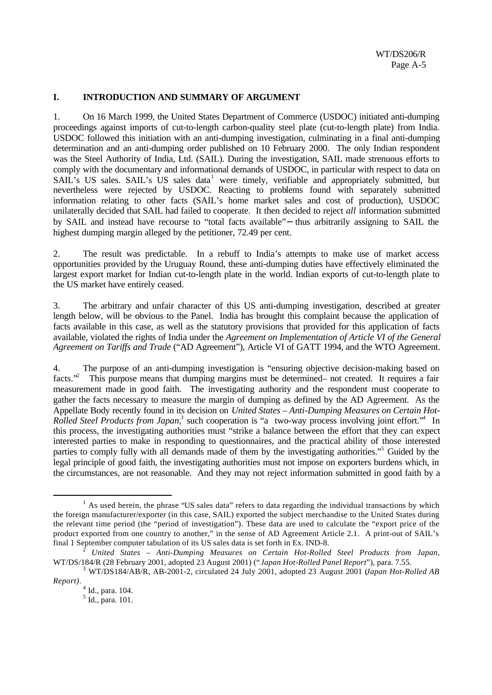## **I. INTRODUCTION AND SUMMARY OF ARGUMENT**

1. On 16 March 1999, the United States Department of Commerce (USDOC) initiated anti-dumping proceedings against imports of cut-to-length carbon-quality steel plate (cut-to-length plate) from India. USDOC followed this initiation with an anti-dumping investigation, culminating in a final anti-dumping determination and an anti-dumping order published on 10 February 2000. The only Indian respondent was the Steel Authority of India, Ltd. (SAIL). During the investigation, SAIL made strenuous efforts to comply with the documentary and informational demands of USDOC, in particular with respect to data on SAIL's US sales. SAIL's US sales data<sup>1</sup> were timely, verifiable and appropriately submitted, but nevertheless were rejected by USDOC. Reacting to problems found with separately submitted information relating to other facts (SAIL's home market sales and cost of production), USDOC unilaterally decided that SAIL had failed to cooperate. It then decided to reject *all* information submitted by SAIL and instead have recourse to "total facts available"− thus arbitrarily assigning to SAIL the highest dumping margin alleged by the petitioner, 72.49 per cent.

2. The result was predictable. In a rebuff to India's attempts to make use of market access opportunities provided by the Uruguay Round, these anti-dumping duties have effectively eliminated the largest export market for Indian cut-to-length plate in the world. Indian exports of cut-to-length plate to the US market have entirely ceased.

3. The arbitrary and unfair character of this US anti-dumping investigation, described at greater length below, will be obvious to the Panel. India has brought this complaint because the application of facts available in this case, as well as the statutory provisions that provided for this application of facts available, violated the rights of India under the *Agreement on Implementation of Article VI of the General Agreement on Tariffs and Trade* ("AD Agreement"), Article VI of GATT 1994, and the WTO Agreement.

4. The purpose of an anti-dumping investigation is "ensuring objective decision-making based on facts."<sup>2</sup> This purpose means that dumping margins must be determined– not created. It requires a fair measurement made in good faith. The investigating authority and the respondent must cooperate to gather the facts necessary to measure the margin of dumping as defined by the AD Agreement. As the Appellate Body recently found in its decision on *United States – Anti-Dumping Measures on Certain Hot-Rolled Steel Products from Japan*,<sup>3</sup> such cooperation is "a two-way process involving joint effort." In this process, the investigating authorities must "strike a balance between the effort that they can expect interested parties to make in responding to questionnaires, and the practical ability of those interested parties to comply fully with all demands made of them by the investigating authorities."<sup>5</sup> Guided by the legal principle of good faith, the investigating authorities must not impose on exporters burdens which, in the circumstances, are not reasonable. And they may not reject information submitted in good faith by a

<sup>&</sup>lt;sup>1</sup> As used herein, the phrase "US sales data" refers to data regarding the individual transactions by which the foreign manufacturer/exporter (in this case, SAIL) exported the subject merchandise to the United States during the relevant time period (the "period of investigation"). These data are used to calculate the "export price of the product exported from one country to another," in the sense of AD Agreement Article 2.1.A print-out of SAIL's final 1 September computer tabulation of its US sales data is set forth in Ex. IND-8.

<sup>2</sup> *United States – Anti-Dumping Measures on Certain Hot-Rolled Steel Products from Japan*, WT/DS/184/R (28 February 2001, adopted 23 August 2001) ("*Japan Hot-Rolled Panel Report*"), para. 7.55.

<sup>3</sup> WT/DS184/AB/R, AB-2001-2, circulated 24 July 2001, adopted 23 August 2001 (*Japan Hot-Rolled AB Report*).<br>
<sup>4</sup> Id., para. 104.

<sup>&</sup>lt;sup>5</sup> Id., para. 101.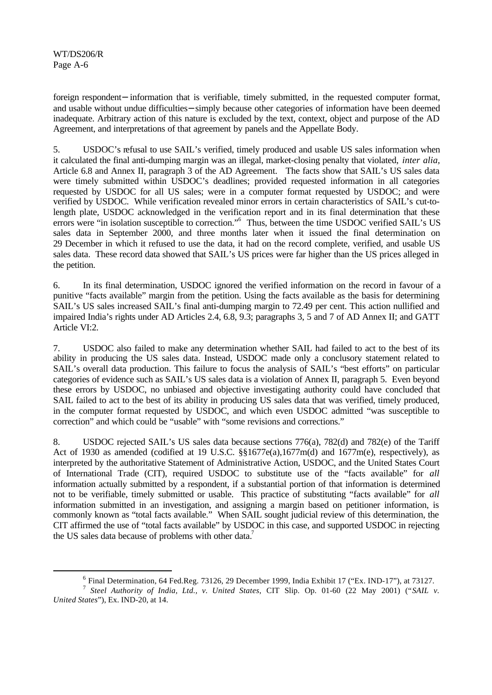l

foreign respondent− information that is verifiable, timely submitted, in the requested computer format, and usable without undue difficulties− simply because other categories of information have been deemed inadequate. Arbitrary action of this nature is excluded by the text, context, object and purpose of the AD Agreement, and interpretations of that agreement by panels and the Appellate Body.

5. USDOC's refusal to use SAIL's verified, timely produced and usable US sales information when it calculated the final anti-dumping margin was an illegal, market-closing penalty that violated, *inter alia,* Article 6.8 and Annex II, paragraph 3 of the AD Agreement. The facts show that SAIL's US sales data were timely submitted within USDOC's deadlines; provided requested information in all categories requested by USDOC for all US sales; were in a computer format requested by USDOC; and were verified by USDOC. While verification revealed minor errors in certain characteristics of SAIL's cut-tolength plate, USDOC acknowledged in the verification report and in its final determination that these errors were "in isolation susceptible to correction."<sup>6</sup> Thus, between the time USDOC verified SAIL's US sales data in September 2000, and three months later when it issued the final determination on 29 December in which it refused to use the data, it had on the record complete, verified, and usable US sales data. These record data showed that SAIL's US prices were far higher than the US prices alleged in the petition.

6. In its final determination, USDOC ignored the verified information on the record in favour of a punitive "facts available" margin from the petition. Using the facts available as the basis for determining SAIL's US sales increased SAIL's final anti-dumping margin to 72.49 per cent. This action nullified and impaired India's rights under AD Articles 2.4, 6.8, 9.3; paragraphs 3, 5 and 7 of AD Annex II; and GATT Article VI:2.

7. USDOC also failed to make any determination whether SAIL had failed to act to the best of its ability in producing the US sales data. Instead, USDOC made only a conclusory statement related to SAIL's overall data production. This failure to focus the analysis of SAIL's "best efforts" on particular categories of evidence such as SAIL's US sales data is a violation of Annex II, paragraph 5. Even beyond these errors by USDOC, no unbiased and objective investigating authority could have concluded that SAIL failed to act to the best of its ability in producing US sales data that was verified, timely produced, in the computer format requested by USDOC, and which even USDOC admitted "was susceptible to correction" and which could be "usable" with "some revisions and corrections."

8. USDOC rejected SAIL's US sales data because sections 776(a), 782(d) and 782(e) of the Tariff Act of 1930 as amended (codified at 19 U.S.C. §§1677e(a),1677m(d) and 1677m(e), respectively), as interpreted by the authoritative Statement of Administrative Action, USDOC, and the United States Court of International Trade (CIT), required USDOC to substitute use of the "facts available" for *all* information actually submitted by a respondent, if a substantial portion of that information is determined not to be verifiable, timely submitted or usable. This practice of substituting "facts available" for *all* information submitted in an investigation, and assigning a margin based on petitioner information, is commonly known as "total facts available." When SAIL sought judicial review of this determination, the CIT affirmed the use of "total facts available" by USDOC in this case, and supported USDOC in rejecting the US sales data because of problems with other data.<sup>7</sup>

<sup>&</sup>lt;sup>6</sup> Final Determination, 64 Fed.Reg. 73126, 29 December 1999, India Exhibit 17 ("Ex. IND-17"), at 73127.

<sup>7</sup> *Steel Authority of India, Ltd., v. United States*, CIT Slip. Op. 01-60 (22 May 2001) ("*SAIL v. United States*"), Ex. IND-20, at 14.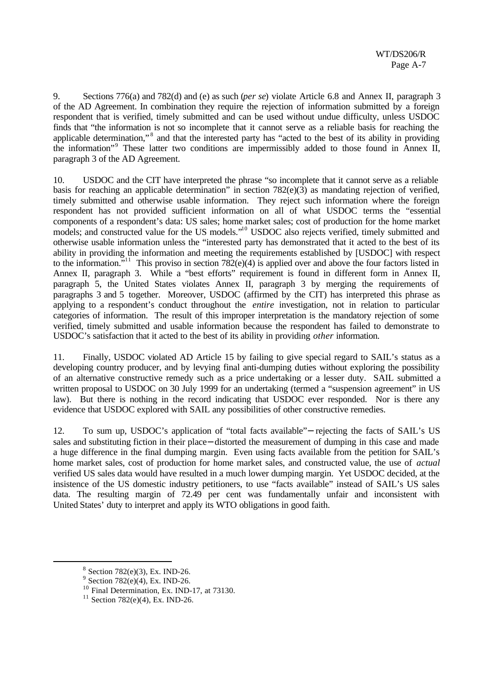9. Sections 776(a) and 782(d) and (e) as such (*per se*) violate Article 6.8 and Annex II, paragraph 3 of the AD Agreement. In combination they require the rejection of information submitted by a foreign respondent that is verified, timely submitted and can be used without undue difficulty, unless USDOC finds that "the information is not so incomplete that it cannot serve as a reliable basis for reaching the applicable determination,"<sup>8</sup> and that the interested party has "acted to the best of its ability in providing the information"<sup>9</sup> These latter two conditions are impermissibly added to those found in Annex II, paragraph 3 of the AD Agreement.

10. USDOC and the CIT have interpreted the phrase "so incomplete that it cannot serve as a reliable basis for reaching an applicable determination" in section  $782(e)(3)$  as mandating rejection of verified, timely submitted and otherwise usable information. They reject such information where the foreign respondent has not provided sufficient information on all of what USDOC terms the "essential components of a respondent's data: US sales; home market sales; cost of production for the home market models; and constructed value for the US models."<sup>10</sup> USDOC also rejects verified, timely submitted and otherwise usable information unless the "interested party has demonstrated that it acted to the best of its ability in providing the information and meeting the requirements established by [USDOC] with respect to the information.<sup>"11</sup> This proviso in section  $782(e)(4)$  is applied over and above the four factors listed in Annex II, paragraph 3. While a "best efforts" requirement is found in different form in Annex II, paragraph 5, the United States violates Annex II, paragraph 3 by merging the requirements of paragraphs 3 and 5 together. Moreover, USDOC (affirmed by the CIT) has interpreted this phrase as applying to a respondent's conduct throughout the *entire* investigation, not in relation to particular categories of information. The result of this improper interpretation is the mandatory rejection of some verified, timely submitted and usable information because the respondent has failed to demonstrate to USDOC's satisfaction that it acted to the best of its ability in providing *other* information.

11. Finally, USDOC violated AD Article 15 by failing to give special regard to SAIL's status as a developing country producer, and by levying final anti-dumping duties without exploring the possibility of an alternative constructive remedy such as a price undertaking or a lesser duty. SAIL submitted a written proposal to USDOC on 30 July 1999 for an undertaking (termed a "suspension agreement" in US law). But there is nothing in the record indicating that USDOC ever responded. Nor is there any evidence that USDOC explored with SAIL any possibilities of other constructive remedies.

12. To sum up, USDOC's application of "total facts available"− rejecting the facts of SAIL's US sales and substituting fiction in their place– distorted the measurement of dumping in this case and made a huge difference in the final dumping margin. Even using facts available from the petition for SAIL's home market sales, cost of production for home market sales, and constructed value, the use of *actual* verified US sales data would have resulted in a much lower dumping margin. Yet USDOC decided, at the insistence of the US domestic industry petitioners, to use "facts available" instead of SAIL's US sales data. The resulting margin of 72.49 per cent was fundamentally unfair and inconsistent with United States' duty to interpret and apply its WTO obligations in good faith.

<sup>8</sup> Section 782(e)(3), Ex. IND-26.

<sup>&</sup>lt;sup>9</sup> Section 782(e)(4), Ex. IND-26.

<sup>&</sup>lt;sup>10</sup> Final Determination, Ex. IND-17, at  $73130$ .

 $11$  Section 782(e)(4), Ex. IND-26.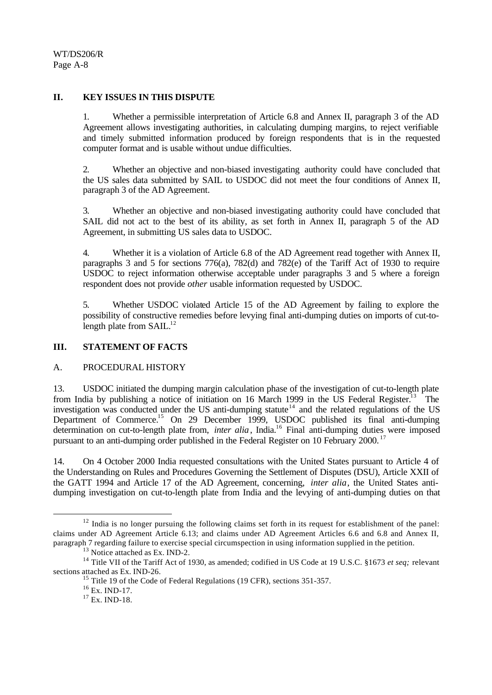## **II. KEY ISSUES IN THIS DISPUTE**

1. Whether a permissible interpretation of Article 6.8 and Annex II, paragraph 3 of the AD Agreement allows investigating authorities, in calculating dumping margins, to reject verifiable and timely submitted information produced by foreign respondents that is in the requested computer format and is usable without undue difficulties.

2. Whether an objective and non-biased investigating authority could have concluded that the US sales data submitted by SAIL to USDOC did not meet the four conditions of Annex II, paragraph 3 of the AD Agreement.

3. Whether an objective and non-biased investigating authority could have concluded that SAIL did not act to the best of its ability, as set forth in Annex II, paragraph 5 of the AD Agreement, in submitting US sales data to USDOC.

4. Whether it is a violation of Article 6.8 of the AD Agreement read together with Annex II, paragraphs 3 and 5 for sections 776(a), 782(d) and 782(e) of the Tariff Act of 1930 to require USDOC to reject information otherwise acceptable under paragraphs 3 and 5 where a foreign respondent does not provide *other* usable information requested by USDOC.

5. Whether USDOC violated Article 15 of the AD Agreement by failing to explore the possibility of constructive remedies before levying final anti-dumping duties on imports of cut-tolength plate from  $SAIL.<sup>12</sup>$ 

#### **III. STATEMENT OF FACTS**

#### A. PROCEDURAL HISTORY

13. USDOC initiated the dumping margin calculation phase of the investigation of cut-to-length plate from India by publishing a notice of initiation on 16 March 1999 in the US Federal Register.<sup>13</sup> The investigation was conducted under the US anti-dumping statute<sup>14</sup> and the related regulations of the US Department of Commerce.<sup>15</sup> On 29 December 1999, USDOC published its final anti-dumping determination on cut-to-length plate from, *inter alia*, India.<sup>16</sup> Final anti-dumping duties were imposed pursuant to an anti-dumping order published in the Federal Register on 10 February 2000.<sup>17</sup>

14. On 4 October 2000 India requested consultations with the United States pursuant to Article 4 of the Understanding on Rules and Procedures Governing the Settlement of Disputes (DSU), Article XXII of the GATT 1994 and Article 17 of the AD Agreement, concerning, *inter alia*, the United States antidumping investigation on cut-to-length plate from India and the levying of anti-dumping duties on that

 $12$  India is no longer pursuing the following claims set forth in its request for establishment of the panel: claims under AD Agreement Article 6.13; and claims under AD Agreement Articles 6.6 and 6.8 and Annex II, paragraph 7 regarding failure to exercise special circumspection in using information supplied in the petition.

 $13$  Notice attached as Ex. IND-2.

<sup>14</sup> Title VII of the Tariff Act of 1930, as amended; codified in US Code at 19 U.S.C. §1673 *et seq;* relevant sections attached as Ex. IND-26.

<sup>&</sup>lt;sup>15</sup> Title 19 of the Code of Federal Regulations (19 CFR), sections 351-357.

 $16$  Ex. IND-17.

 $17$  Ex. IND-18.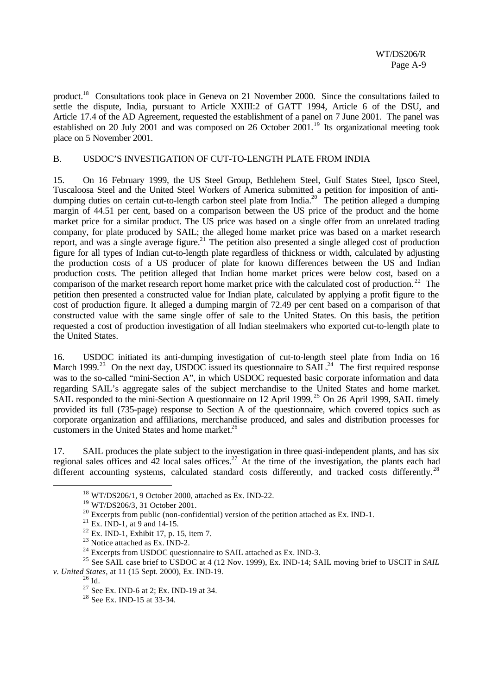product.<sup>18</sup> Consultations took place in Geneva on 21 November 2000. Since the consultations failed to settle the dispute, India, pursuant to Article XXIII:2 of GATT 1994, Article 6 of the DSU, and Article 17.4 of the AD Agreement, requested the establishment of a panel on 7 June 2001. The panel was established on 20 July 2001 and was composed on 26 October 2001.<sup>19</sup> Its organizational meeting took place on 5 November 2001.

## B. USDOC'S INVESTIGATION OF CUT-TO-LENGTH PLATE FROM INDIA

15. On 16 February 1999, the US Steel Group, Bethlehem Steel, Gulf States Steel, Ipsco Steel, Tuscaloosa Steel and the United Steel Workers of America submitted a petition for imposition of antidumping duties on certain cut-to-length carbon steel plate from India.<sup>20</sup> The petition alleged a dumping margin of 44.51 per cent, based on a comparison between the US price of the product and the home market price for a similar product. The US price was based on a single offer from an unrelated trading company, for plate produced by SAIL; the alleged home market price was based on a market research report, and was a single average figure.<sup>21</sup> The petition also presented a single alleged cost of production figure for all types of Indian cut-to-length plate regardless of thickness or width, calculated by adjusting the production costs of a US producer of plate for known differences between the US and Indian production costs. The petition alleged that Indian home market prices were below cost, based on a comparison of the market research report home market price with the calculated cost of production.<sup>22</sup> The petition then presented a constructed value for Indian plate, calculated by applying a profit figure to the cost of production figure. It alleged a dumping margin of 72.49 per cent based on a comparison of that constructed value with the same single offer of sale to the United States. On this basis, the petition requested a cost of production investigation of all Indian steelmakers who exported cut-to-length plate to the United States.

16. USDOC initiated its anti-dumping investigation of cut-to-length steel plate from India on 16 March 1999.<sup>23</sup> On the next day, USDOC issued its questionnaire to SAIL.<sup>24</sup> The first required response was to the so-called "mini-Section A", in which USDOC requested basic corporate information and data regarding SAIL's aggregate sales of the subject merchandise to the United States and home market. SAIL responded to the mini-Section A questionnaire on 12 April 1999.<sup>25</sup> On 26 April 1999, SAIL timely provided its full (735-page) response to Section A of the questionnaire, which covered topics such as corporate organization and affiliations, merchandise produced, and sales and distribution processes for customers in the United States and home market.<sup>26</sup>

17. SAIL produces the plate subject to the investigation in three quasi-independent plants, and has six regional sales offices and  $\overline{42}$  local sales offices.<sup>27</sup> At the time of the investigation, the plants each had different accounting systems, calculated standard costs differently, and tracked costs differently.<sup>28</sup>

<sup>18</sup> WT/DS206/1, 9 October 2000, attached as Ex. IND-22.

<sup>19</sup> WT/DS206/3, 31 October 2001.

<sup>&</sup>lt;sup>20</sup> Excerpts from public (non-confidential) version of the petition attached as Ex. IND-1.

 $^{21}$  Ex. IND-1, at 9 and 14-15.

 $22$  Ex. IND-1, Exhibit 17, p. 15, item 7.

<sup>23</sup> Notice attached as Ex. IND-2.

<sup>&</sup>lt;sup>24</sup> Excerpts from USDOC questionnaire to SAIL attached as Ex. IND-3.

<sup>25</sup> See SAIL case brief to USDOC at 4 (12 Nov. 1999), Ex. IND-14; SAIL moving brief to USCIT in *SAIL v. United States*, at 11 (15 Sept. 2000), Ex. IND-19.

<sup>26</sup> Id.

 $27$  See Ex. IND-6 at 2; Ex. IND-19 at 34.

 $28 \text{ See Ex. IND-15 at } 33-34.$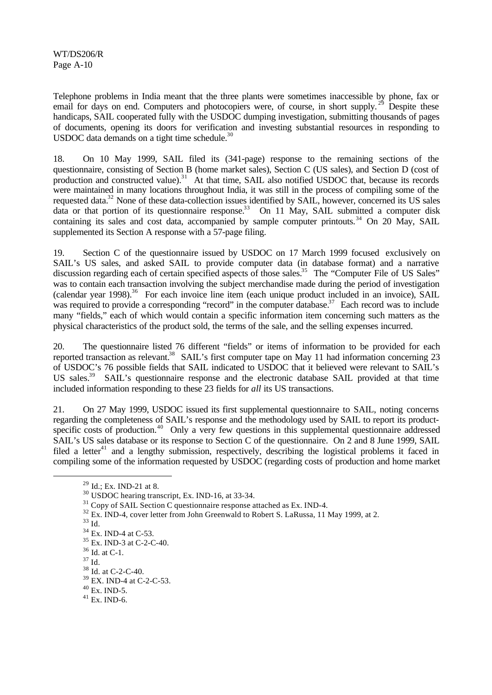Telephone problems in India meant that the three plants were sometimes inaccessible by phone, fax or email for days on end. Computers and photocopiers were, of course, in short supply.<sup>29</sup> Despite these handicaps, SAIL cooperated fully with the USDOC dumping investigation, submitting thousands of pages of documents, opening its doors for verification and investing substantial resources in responding to USDOC data demands on a tight time schedule. $30$ 

18. On 10 May 1999, SAIL filed its (341-page) response to the remaining sections of the questionnaire, consisting of Section B (home market sales), Section C (US sales), and Section D (cost of production and constructed value).<sup>31</sup> At that time, SAIL also notified USDOC that, because its records were maintained in many locations throughout India, it was still in the process of compiling some of the requested data.<sup>32</sup> None of these data-collection issues identified by SAIL, however, concerned its US sales data or that portion of its questionnaire response.<sup>33</sup> On 11 May, SAIL submitted a computer disk containing its sales and cost data, accompanied by sample computer printouts.<sup>34</sup> On 20 May, SAIL supplemented its Section A response with a 57-page filing.

19. Section C of the questionnaire issued by USDOC on 17 March 1999 focused exclusively on SAIL's US sales, and asked SAIL to provide computer data (in database format) and a narrative discussion regarding each of certain specified aspects of those sales.<sup>35</sup> The "Computer File of US Sales" was to contain each transaction involving the subject merchandise made during the period of investigation (calendar year 1998).<sup>36</sup> For each invoice line item (each unique product included in an invoice), SAIL was required to provide a corresponding "record" in the computer database.<sup>37</sup> Each record was to include many "fields," each of which would contain a specific information item concerning such matters as the physical characteristics of the product sold, the terms of the sale, and the selling expenses incurred.

20. The questionnaire listed 76 different "fields" or items of information to be provided for each reported transaction as relevant.<sup>38</sup> SAIL's first computer tape on May 11 had information concerning 23 of USDOC's 76 possible fields that SAIL indicated to USDOC that it believed were relevant to SAIL's US sales.<sup>39</sup> SAIL's questionnaire response and the electronic database SAIL provided at that time included information responding to these 23 fields for *all* its US transactions.

21. On 27 May 1999, USDOC issued its first supplemental questionnaire to SAIL, noting concerns regarding the completeness of SAIL's response and the methodology used by SAIL to report its productspecific costs of production.<sup>40</sup> Only a very few questions in this supplemental questionnaire addressed SAIL's US sales database or its response to Section C of the questionnaire. On 2 and 8 June 1999, SAIL filed a letter<sup>41</sup> and a lengthy submission, respectively, describing the logistical problems it faced in compiling some of the information requested by USDOC (regarding costs of production and home market

 $^{29}$  Id.; Ex. IND-21 at 8.

<sup>&</sup>lt;sup>30</sup> USDOC hearing transcript, Ex. IND-16, at 33-34.

 $31$  Copy of SAIL Section C questionnaire response attached as Ex. IND-4.

 $32$  Ex. IND-4, cover letter from John Greenwald to Robert S. LaRussa, 11 May 1999, at 2.

 $33 \overline{Id}$ .

<sup>34</sup> Ex. IND-4 at C-53.

<sup>35</sup> Ex. IND-3 at C-2-C-40.

<sup>36</sup> Id. at C-1.

<sup>37</sup> Id.

<sup>38</sup> Id. at C-2-C-40.

<sup>39</sup> EX. IND-4 at C-2-C-53.

 $^{40}$  Ex. IND-5.

 $41$  Ex. IND-6.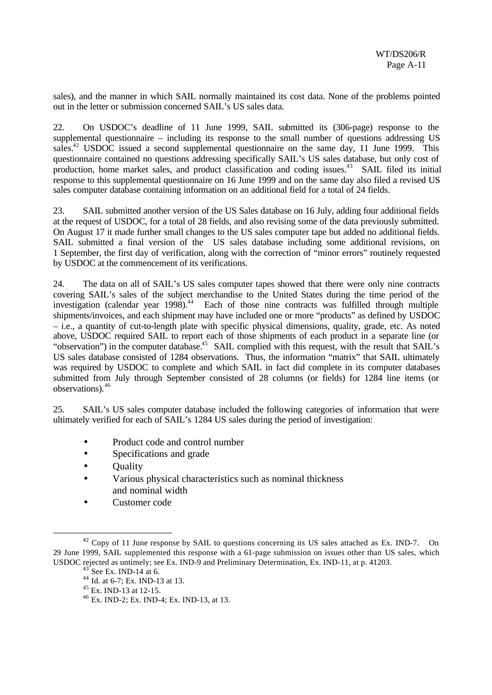sales), and the manner in which SAIL normally maintained its cost data. None of the problems pointed out in the letter or submission concerned SAIL's US sales data.

22. On USDOC's deadline of 11 June 1999, SAIL submitted its (306-page) response to the supplemental questionnaire – including its response to the small number of questions addressing US sales.<sup>42</sup> USDOC issued a second supplemental questionnaire on the same day, 11 June 1999. This questionnaire contained no questions addressing specifically SAIL's US sales database, but only cost of production, home market sales, and product classification and coding issues.<sup>43</sup> SAIL filed its initial response to this supplemental questionnaire on 16 June 1999 and on the same day also filed a revised US sales computer database containing information on an additional field for a total of 24 fields.

23. SAIL submitted another version of the US Sales database on 16 July, adding four additional fields at the request of USDOC, for a total of 28 fields, and also revising some of the data previously submitted. On August 17 it made further small changes to the US sales computer tape but added no additional fields. SAIL submitted a final version of the US sales database including some additional revisions, on 1 September, the first day of verification, along with the correction of "minor errors" routinely requested by USDOC at the commencement of its verifications.

24. The data on all of SAIL's US sales computer tapes showed that there were only nine contracts covering SAIL's sales of the subject merchandise to the United States during the time period of the investigation (calendar year  $1998$ ).<sup>44</sup> Each of those nine contracts was fulfilled through multiple shipments/invoices, and each shipment may have included one or more "products" as defined by USDOC – i.e., a quantity of cut-to-length plate with specific physical dimensions, quality, grade, etc. As noted above, USDOC required SAIL to report each of those shipments of each product in a separate line (or "observation") in the computer database.<sup>45</sup> SAIL complied with this request, with the result that SAIL's US sales database consisted of 1284 observations. Thus, the information "matrix" that SAIL ultimately was required by USDOC to complete and which SAIL in fact did complete in its computer databases submitted from July through September consisted of 28 columns (or fields) for 1284 line items (or observations).<sup>46</sup>

25. SAIL's US sales computer database included the following categories of information that were ultimately verified for each of SAIL's 1284 US sales during the period of investigation:

- Product code and control number
- Specifications and grade
- Ouality

- Various physical characteristics such as nominal thickness and nominal width
- Customer code

 $42$  Copy of 11 June response by SAIL to questions concerning its US sales attached as Ex. IND-7. On 29 June 1999, SAIL supplemented this response with a 61-page submission on issues other than US sales, which USDOC rejected as untimely; see Ex. IND-9 and Preliminary Determination, Ex. IND-11, at p. 41203.

See Ex. IND-14 at 6.

<sup>44</sup> Id. at 6-7; Ex. IND-13 at 13.

<sup>45</sup> Ex. IND-13 at 12-15.

<sup>46</sup> Ex. IND-2; Ex. IND-4; Ex. IND-13, at 13.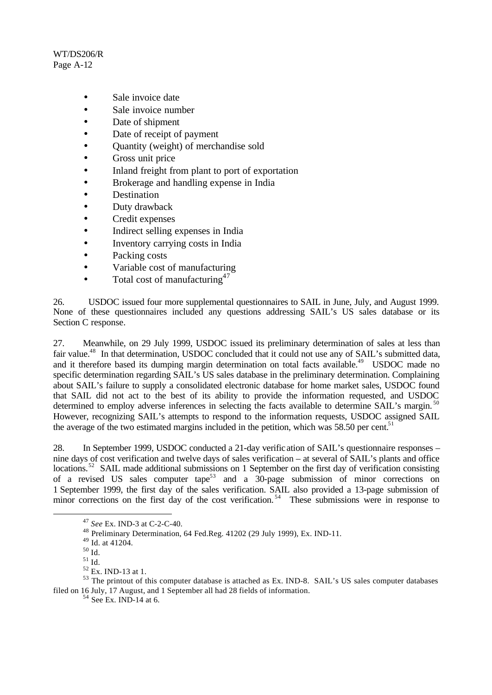- Sale invoice date
- Sale invoice number
- Date of shipment
- Date of receipt of payment
- Quantity (weight) of merchandise sold
- Gross unit price
- Inland freight from plant to port of exportation
- Brokerage and handling expense in India
- **Destination**
- Duty drawback
- Credit expenses
- Indirect selling expenses in India
- Inventory carrying costs in India
- Packing costs
- Variable cost of manufacturing
- Total cost of manufacturing<sup>47</sup>

26. USDOC issued four more supplemental questionnaires to SAIL in June, July, and August 1999. None of these questionnaires included any questions addressing SAIL's US sales database or its Section C response.

27. Meanwhile, on 29 July 1999, USDOC issued its preliminary determination of sales at less than fair value.<sup>48</sup> In that determination, USDOC concluded that it could not use any of SAIL's submitted data, and it therefore based its dumping margin determination on total facts available.<sup>49</sup> USDOC made no specific determination regarding SAIL's US sales database in the preliminary determination. Complaining about SAIL's failure to supply a consolidated electronic database for home market sales, USDOC found that SAIL did not act to the best of its ability to provide the information requested, and USDOC determined to employ adverse inferences in selecting the facts available to determine SAIL's margin.<sup>50</sup> However, recognizing SAIL's attempts to respond to the information requests, USDOC assigned SAIL the average of the two estimated margins included in the petition, which was 58.50 per cent.<sup>51</sup>

28. In September 1999, USDOC conducted a 21-day verific ation of SAIL's questionnaire responses – nine days of cost verification and twelve days of sales verification – at several of SAIL's plants and office locations.<sup>52</sup> SAIL made additional submissions on 1 September on the first day of verification consisting of a revised US sales computer tape<sup>53</sup> and a  $30$ -page submission of minor corrections on 1 September 1999, the first day of the sales verification. SAIL also provided a 13-page submission of minor corrections on the first day of the cost verification.<sup>54</sup> These submissions were in response to

<sup>47</sup> *See* Ex. IND-3 at C-2-C-40.

<sup>48</sup> Preliminary Determination, 64 Fed.Reg. 41202 (29 July 1999), Ex. IND-11.

<sup>49</sup> Id. at 41204.

 $^{50}$  Id.

<sup>51</sup> Id.

<sup>52</sup> Ex. IND-13 at 1.

<sup>&</sup>lt;sup>53</sup> The printout of this computer database is attached as Ex. IND-8. SAIL's US sales computer databases filed on 16 July, 17 August, and 1 September all had 28 fields of information.

<sup>54</sup> See Ex. IND-14 at 6.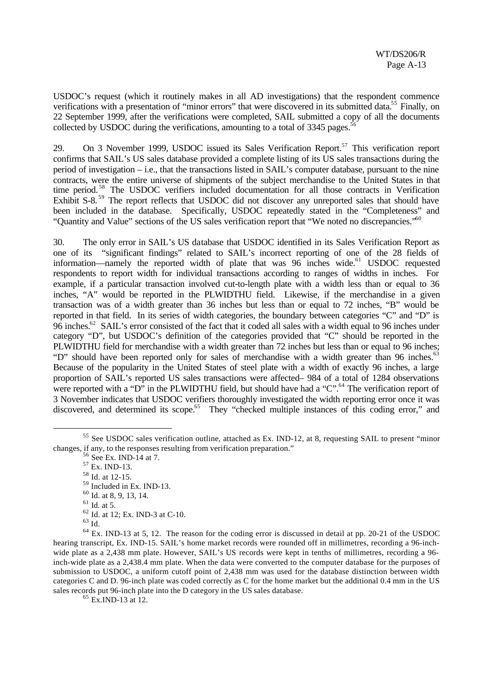USDOC's request (which it routinely makes in all AD investigations) that the respondent commence verifications with a presentation of "minor errors" that were discovered in its submitted data.<sup>55</sup> Finally, on 22 September 1999, after the verifications were completed, SAIL submitted a copy of all the documents collected by USDOC during the verifications, amounting to a total of 3345 pages.<sup>5</sup>

29. On 3 November 1999, USDOC issued its Sales Verification Report.<sup>57</sup> This verification report confirms that SAIL's US sales database provided a complete listing of its US sales transactions during the period of investigation – i.e., that the transactions listed in SAIL's computer database, pursuant to the nine contracts, were the entire universe of shipments of the subject merchandise to the United States in that time period.<sup>58</sup> The USDOC verifiers included documentation for all those contracts in Verification Exhibit S-8.<sup>59</sup> The report reflects that USDOC did not discover any unreported sales that should have been included in the database. Specifically, USDOC repeatedly stated in the "Completeness" and "Quantity and Value" sections of the US sales verification report that "We noted no discrepancies."<sup>60</sup>

30. The only error in SAIL's US database that USDOC identified in its Sales Verification Report as one of its "significant findings" related to SAIL's incorrect reporting of one of the 28 fields of information—namely the reported width of plate that was 96 inches wide.<sup>61</sup> USDOC requested respondents to report width for individual transactions according to ranges of widths in inches. For example, if a particular transaction involved cut-to-length plate with a width less than or equal to 36 inches, "A" would be reported in the PLWIDTHU field. Likewise, if the merchandise in a given transaction was of a width greater than 36 inches but less than or equal to 72 inches, "B" would be reported in that field. In its series of width categories, the boundary between categories "C" and "D" is 96 inches.<sup>62</sup> SAIL's error consisted of the fact that it coded all sales with a width equal to 96 inches under category "D", but USDOC's definition of the categories provided that "C" should be reported in the PLWIDTHU field for merchandise with a width greater than 72 inches but less than or equal to 96 inches; "D" should have been reported only for sales of merchandise with a width greater than 96 inches.<sup>63</sup> Because of the popularity in the United States of steel plate with a width of exactly 96 inches, a large proportion of SAIL's reported US sales transactions were affected– 984 of a total of 1284 observations were reported with a "D" in the PLWIDTHU field, but should have had a " $\mathbb{C}$ ".<sup>64</sup> The verification report of 3 November indicates that USDOC verifiers thoroughly investigated the width reporting error once it was discovered, and determined its scope.<sup>65</sup> They "checked multiple instances of this coding error," and

- $61$  Id. at 5.
- $62$  Id. at 12; Ex. IND-3 at C-10.

 $^{63}$  Id.

<sup>55</sup> See USDOC sales verification outline, attached as Ex. IND-12, at 8, requesting SAIL to present "minor changes, if any, to the responses resulting from verification preparation."

<sup>56</sup> See Ex. IND-14 at 7.

<sup>57</sup> Ex. IND-13.

<sup>58</sup> Id. at 12-15.

<sup>59</sup> Included in Ex. IND-13.

<sup>60</sup> Id. at 8, 9, 13, 14.

<sup>64</sup> Ex. IND-13 at 5, 12. The reason for the coding error is discussed in detail at pp. 20-21 of the USDOC hearing transcript, Ex. IND-15. SAIL's home market records were rounded off in millimetres, recording a 96-inchwide plate as a 2,438 mm plate. However, SAIL's US records were kept in tenths of millimetres, recording a 96inch-wide plate as a 2,438.4 mm plate. When the data were converted to the computer database for the purposes of submission to USDOC, a uniform cutoff point of 2,438 mm was used for the database distinction between width categories C and D. 96-inch plate was coded correctly as C for the home market but the additional 0.4 mm in the US sales records put 96-inch plate into the D category in the US sales database.

 $65$  Ex.IND-13 at 12.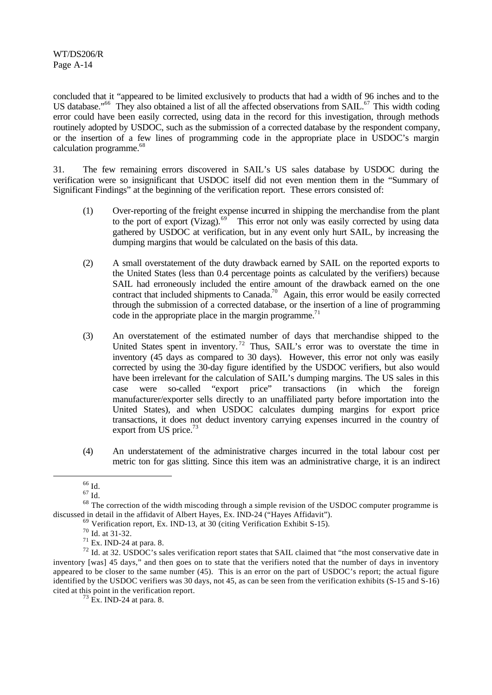concluded that it "appeared to be limited exclusively to products that had a width of 96 inches and to the US database."<sup>66</sup> They also obtained a list of all the affected observations from SAIL.<sup>67</sup> This width coding error could have been easily corrected, using data in the record for this investigation, through methods routinely adopted by USDOC, such as the submission of a corrected database by the respondent company, or the insertion of a few lines of programming code in the appropriate place in USDOC's margin calculation programme.<sup>68</sup>

31. The few remaining errors discovered in SAIL's US sales database by USDOC during the verification were so insignificant that USDOC itself did not even mention them in the "Summary of Significant Findings" at the beginning of the verification report. These errors consisted of:

- (1) Over-reporting of the freight expense incurred in shipping the merchandise from the plant to the port of export (Vizag). $69$  This error not only was easily corrected by using data gathered by USDOC at verification, but in any event only hurt SAIL, by increasing the dumping margins that would be calculated on the basis of this data.
- (2) A small overstatement of the duty drawback earned by SAIL on the reported exports to the United States (less than 0.4 percentage points as calculated by the verifiers) because SAIL had erroneously included the entire amount of the drawback earned on the one contract that included shipments to Canada.<sup>70</sup> Again, this error would be easily corrected through the submission of a corrected database, or the insertion of a line of programming code in the appropriate place in the margin programme.<sup>71</sup>
- (3) An overstatement of the estimated number of days that merchandise shipped to the United States spent in inventory.<sup>72</sup> Thus, SAIL's error was to overstate the time in inventory (45 days as compared to 30 days). However, this error not only was easily corrected by using the 30-day figure identified by the USDOC verifiers, but also would have been irrelevant for the calculation of SAIL's dumping margins. The US sales in this case were so-called "export price" transactions (in which the foreign manufacturer/exporter sells directly to an unaffiliated party before importation into the United States), and when USDOC calculates dumping margins for export price transactions, it does not deduct inventory carrying expenses incurred in the country of export from US price. $73$
- (4) An understatement of the administrative charges incurred in the total labour cost per metric ton for gas slitting. Since this item was an administrative charge, it is an indirect

<sup>66</sup> Id.

 $^{67}$  Id.

<sup>&</sup>lt;sup>68</sup> The correction of the width miscoding through a simple revision of the USDOC computer programme is discussed in detail in the affidavit of Albert Hayes, Ex. IND-24 ("Hayes Affidavit").

<sup>69</sup> Verification report, Ex. IND-13, at 30 (citing Verification Exhibit S-15).

<sup>70</sup> Id. at 31-32.

 $71$  Ex. IND-24 at para. 8.

<sup>&</sup>lt;sup>72</sup> Id. at 32. USDOC's sales verification report states that SAIL claimed that "the most conservative date in inventory [was] 45 days," and then goes on to state that the verifiers noted that the number of days in inventory appeared to be closer to the same number (45). This is an error on the part of USDOC's report; the actual figure identified by the USDOC verifiers was 30 days, not 45, as can be seen from the verification exhibits (S-15 and S-16) cited at this point in the verification report.

 $^{73}$  Ex. IND-24 at para. 8.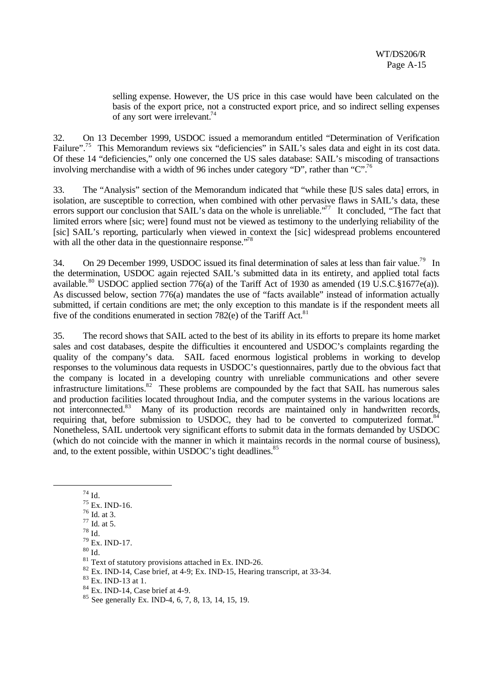selling expense. However, the US price in this case would have been calculated on the basis of the export price, not a constructed export price, and so indirect selling expenses of any sort were irrelevant.<sup>74</sup>

32. On 13 December 1999, USDOC issued a memorandum entitled "Determination of Verification Failure".<sup>75</sup> This Memorandum reviews six "deficiencies" in SAIL's sales data and eight in its cost data. Of these 14 "deficiencies," only one concerned the US sales database: SAIL's miscoding of transactions involving merchandise with a width of 96 inches under category "D", rather than "C".<sup>76</sup>

33. The "Analysis" section of the Memorandum indicated that "while these [US sales data] errors, in isolation, are susceptible to correction, when combined with other pervasive flaws in SAIL's data, these errors support our conclusion that SAIL's data on the whole is unreliable."<sup>77</sup> It concluded, "The fact that limited errors where [sic; were] found must not be viewed as testimony to the underlying reliability of the [sic] SAIL's reporting, particularly when viewed in context the [sic] widespread problems encountered with all the other data in the questionnaire response."<sup>78</sup>

34. On 29 December 1999, USDOC issued its final determination of sales at less than fair value.<sup>79</sup> In the determination, USDOC again rejected SAIL's submitted data in its entirety, and applied total facts available.<sup>80</sup> USDOC applied section 776(a) of the Tariff Act of 1930 as amended (19 U.S.C.§1677e(a)). As discussed below, section 776(a) mandates the use of "facts available" instead of information actually submitted, if certain conditions are met; the only exception to this mandate is if the respondent meets all five of the conditions enumerated in section 782(e) of the Tariff Act.<sup>81</sup>

35. The record shows that SAIL acted to the best of its ability in its efforts to prepare its home market sales and cost databases, despite the difficulties it encountered and USDOC's complaints regarding the quality of the company's data. SAIL faced enormous logistical problems in working to develop responses to the voluminous data requests in USDOC's questionnaires, partly due to the obvious fact that the company is located in a developing country with unreliable communications and other severe infrastructure limitations.<sup>82</sup> These problems are compounded by the fact that SAIL has numerous sales and production facilities located throughout India, and the computer systems in the various locations are not interconnected.<sup>83</sup> Many of its production records are maintained only in handwritten records, requiring that, before submission to USDOC, they had to be converted to computerized format.<sup>84</sup> Nonetheless, SAIL undertook very significant efforts to submit data in the formats demanded by USDOC (which do not coincide with the manner in which it maintains records in the normal course of business), and, to the extent possible, within USDOC's tight deadlines.<sup>85</sup>

<sup>74</sup> Id.

l

- $75$  Ex. IND-16.
- $76$  Id. at 3.  $^{77}$  Id. at 5.
- $^{78}$  Id.
- 

<sup>80</sup> Id.

 $84$  Ex. IND-14, Case brief at 4-9.

<sup>79</sup> Ex. IND-17.

<sup>81</sup> Text of statutory provisions attached in Ex. IND-26.

 $82$  Ex. IND-14, Case brief, at 4-9; Ex. IND-15, Hearing transcript, at 33-34.

<sup>83</sup> Ex. IND-13 at 1.

 $85$  See generally Ex. IND-4, 6, 7, 8, 13, 14, 15, 19.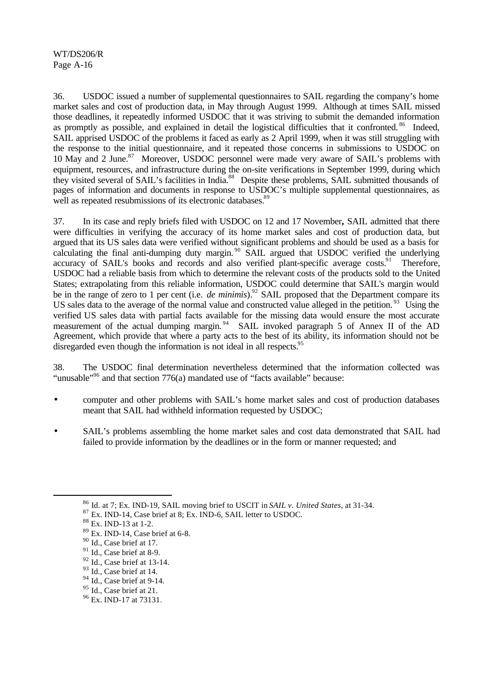36. USDOC issued a number of supplemental questionnaires to SAIL regarding the company's home market sales and cost of production data, in May through August 1999. Although at times SAIL missed those deadlines, it repeatedly informed USDOC that it was striving to submit the demanded information as promptly as possible, and explained in detail the logistical difficulties that it confronted. <sup>86</sup> Indeed, SAIL apprised USDOC of the problems it faced as early as 2 April 1999, when it was still struggling with the response to the initial questionnaire, and it repeated those concerns in submissions to USDOC on 10 May and 2 June.<sup>87</sup> Moreover, USDOC personnel were made very aware of SAIL's problems with equipment, resources, and infrastructure during the on-site verifications in September 1999, during which they visited several of SAIL's facilities in India.<sup>88</sup> Despite these problems, SAIL submitted thousands of pages of information and documents in response to USDOC's multiple supplemental questionnaires, as well as repeated resubmissions of its electronic databases.<sup>89</sup>

37. In its case and reply briefs filed with USDOC on 12 and 17 November**,** SAIL admitted that there were difficulties in verifying the accuracy of its home market sales and cost of production data, but argued that its US sales data were verified without significant problems and should be used as a basis for calculating the final anti-dumping duty margin. <sup>90</sup> SAIL argued that USDOC verified the underlying accuracy of SAIL's books and records and also verified plant-specific average costs.<sup>91</sup> Therefore, USDOC had a reliable basis from which to determine the relevant costs of the products sold to the United States; extrapolating from this reliable information, USDOC could determine that SAIL's margin would be in the range of zero to 1 per cent (i.e. *de minimis*).<sup>92</sup> SAIL proposed that the Department compare its US sales data to the average of the normal value and constructed value alleged in the petition.<sup>93</sup> Using the verified US sales data with partial facts available for the missing data would ensure the most accurate measurement of the actual dumping margin.<sup>94</sup> SAIL invoked paragraph 5 of Annex II of the AD Agreement, which provide that where a party acts to the best of its ability, its information should not be disregarded even though the information is not ideal in all respects.<sup>95</sup>

38. The USDOC final determination nevertheless determined that the information collected was "unusable"<sup>96</sup> and that section 776(a) mandated use of "facts available" because:

- computer and other problems with SAIL's home market sales and cost of production databases meant that SAIL had withheld information requested by USDOC;
- SAIL's problems assembling the home market sales and cost data demonstrated that SAIL had failed to provide information by the deadlines or in the form or manner requested; and

- $92$  Id., Case brief at 13-14.
- <sup>93</sup> Id., Case brief at 14.

- <sup>95</sup> Id., Case brief at 21.
- <sup>96</sup> Ex. IND-17 at 73131.

<sup>86</sup> Id. at 7; Ex. IND-19, SAIL moving brief to USCIT in *SAIL v. United States*, at 31-34.

 $87$  Ex. IND-14, Case brief at 8; Ex. IND-6, SAIL letter to USDOC.

<sup>88</sup> Ex. IND-13 at 1-2.

<sup>89</sup> Ex. IND-14, Case brief at 6-8.

<sup>90</sup> Id., Case brief at 17.

<sup>91</sup> Id., Case brief at 8-9.

 $94$  Id., Case brief at 9-14.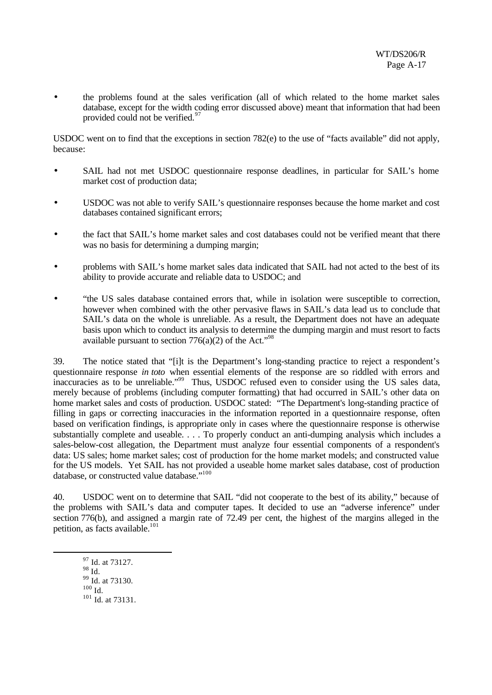• the problems found at the sales verification (all of which related to the home market sales database, except for the width coding error discussed above) meant that information that had been provided could not be verified.<sup>97</sup>

USDOC went on to find that the exceptions in section 782(e) to the use of "facts available" did not apply, because:

- SAIL had not met USDOC questionnaire response deadlines, in particular for SAIL's home market cost of production data;
- USDOC was not able to verify SAIL's questionnaire responses because the home market and cost databases contained significant errors;
- the fact that SAIL's home market sales and cost databases could not be verified meant that there was no basis for determining a dumping margin;
- problems with SAIL's home market sales data indicated that SAIL had not acted to the best of its ability to provide accurate and reliable data to USDOC; and
- "the US sales database contained errors that, while in isolation were susceptible to correction, however when combined with the other pervasive flaws in SAIL's data lead us to conclude that SAIL's data on the whole is unreliable. As a result, the Department does not have an adequate basis upon which to conduct its analysis to determine the dumping margin and must resort to facts available pursuant to section  $776(a)(2)$  of the Act."<sup>98</sup>

39. The notice stated that "[i]t is the Department's long-standing practice to reject a respondent's questionnaire response *in toto* when essential elements of the response are so riddled with errors and inaccuracies as to be unreliable."<sup>99</sup> Thus, USDOC refused even to consider using the US sales data, merely because of problems (including computer formatting) that had occurred in SAIL's other data on home market sales and costs of production. USDOC stated: "The Department's long-standing practice of filling in gaps or correcting inaccuracies in the information reported in a questionnaire response, often based on verification findings, is appropriate only in cases where the questionnaire response is otherwise substantially complete and useable. . . . To properly conduct an anti-dumping analysis which includes a sales-below-cost allegation, the Department must analyze four essential components of a respondent's data: US sales; home market sales; cost of production for the home market models; and constructed value for the US models. Yet SAIL has not provided a useable home market sales database, cost of production database, or constructed value database."<sup>100</sup>

40. USDOC went on to determine that SAIL "did not cooperate to the best of its ability," because of the problems with SAIL's data and computer tapes. It decided to use an "adverse inference" under section 776(b), and assigned a margin rate of 72.49 per cent, the highest of the margins alleged in the petition, as facts available.<sup>101</sup>

<sup>98</sup> Id.

- <sup>99</sup> Id. at 73130.
- $100$  Id. <sup>101</sup> Id. at 73131.

<sup>97</sup> Id. at 73127.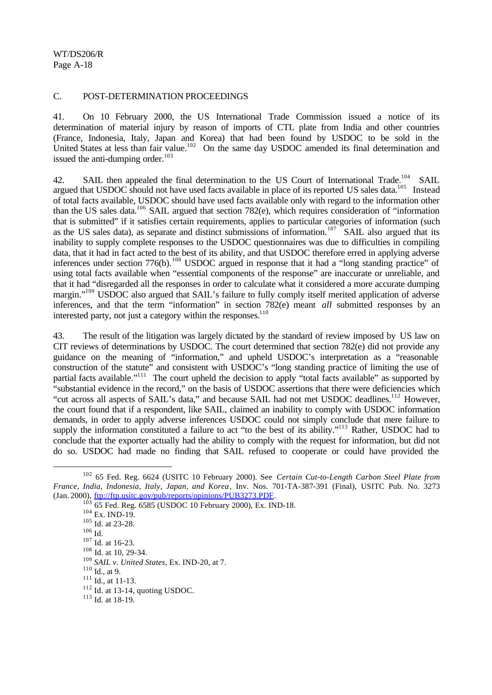#### C. POST-DETERMINATION PROCEEDINGS

41. On 10 February 2000, the US International Trade Commission issued a notice of its determination of material injury by reason of imports of CTL plate from India and other countries (France, Indonesia, Italy, Japan and Korea) that had been found by USDOC to be sold in the United States at less than fair value.<sup>102</sup> On the same day USDOC amended its final determination and issued the anti-dumping order.<sup>103</sup>

42. SAIL then appealed the final determination to the US Court of International Trade.<sup>104</sup> SAIL argued that USDOC should not have used facts available in place of its reported US sales data.<sup>105</sup> Instead of total facts available, USDOC should have used facts available only with regard to the information other than the US sales data.<sup>106</sup> SAIL argued that section 782(e), which requires consideration of "information that is submitted" if it satisfies certain requirements, applies to particular categories of information (such as the US sales data), as separate and distinct submissions of information.<sup>107</sup> SAIL also argued that its inability to supply complete responses to the USDOC questionnaires was due to difficulties in compiling data, that it had in fact acted to the best of its ability, and that USDOC therefore erred in applying adverse inferences under section 776(b).<sup>108</sup> USDOC argued in response that it had a "long standing practice" of using total facts available when "essential components of the response" are inaccurate or unreliable, and that it had "disregarded all the responses in order to calculate what it considered a more accurate dumping margin."<sup>109</sup> USDOC also argued that SAIL's failure to fully comply itself merited application of adverse inferences, and that the term "information" in section 782(e) meant *all* submitted responses by an interested party, not just a category within the responses.<sup>110</sup>

43. The result of the litigation was largely dictated by the standard of review imposed by US law on CIT reviews of determinations by USDOC. The court determined that section 782(e) did not provide any guidance on the meaning of "information," and upheld USDOC's interpretation as a "reasonable construction of the statute" and consistent with USDOC's "long standing practice of limiting the use of partial facts available."<sup>111</sup> The court upheld the decision to apply "total facts available" as supported by "substantial evidence in the record," on the basis of USDOC assertions that there were deficiencies which "cut across all aspects of SAIL's data," and because SAIL had not met USDOC deadlines.<sup>112</sup> However, the court found that if a respondent, like SAIL, claimed an inability to comply with USDOC information demands, in order to apply adverse inferences USDOC could not simply conclude that mere failure to supply the information constituted a failure to act "to the best of its ability."<sup>113</sup> Rather, USDOC had to conclude that the exporter actually had the ability to comply with the request for information, but did not do so. USDOC had made no finding that SAIL refused to cooperate or could have provided the

l

 $110$  Id., at 9.

<sup>113</sup> Id. at 18-19.

<sup>102</sup> 65 Fed. Reg. 6624 (USITC 10 February 2000). See *Certain Cut-to-Length Carbon Steel Plate from France, India, Indonesia, Italy, Japan, and Korea*, Inv. Nos. 701-TA-387-391 (Final), USITC Pub. No. 3273 (Jan. 2000), ftp://ftp.usitc.gov/pub/reports/opinions/PUB3273.PDF.

<sup>103</sup> 65 Fed. Reg. 6585 (USDOC 10 February 2000), Ex. IND-18.

 $104$  Ex. IND-19.

 $105$  Id. at 23-28.

 $106$  Id.

 $107$  Id. at 16-23.

<sup>108</sup> Id. at 10, 29-34.

<sup>109</sup> *SAIL v. United States*, Ex. IND-20, at 7.

 $111$  Id., at 11-13.

 $112$  Id. at 13-14, quoting USDOC.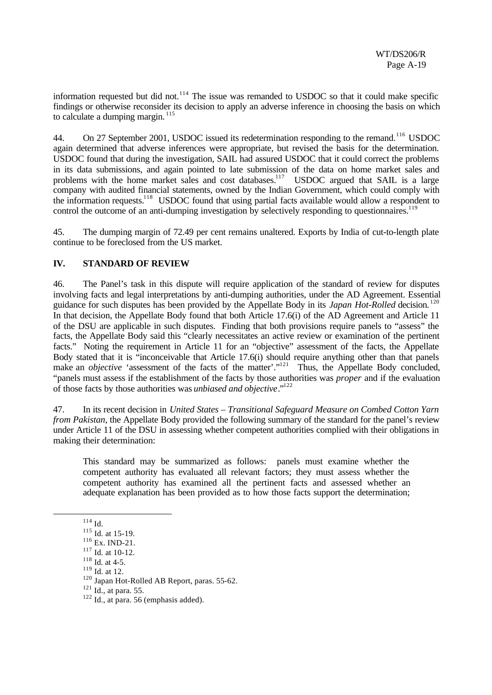information requested but did not.<sup>114</sup> The issue was remanded to USDOC so that it could make specific findings or otherwise reconsider its decision to apply an adverse inference in choosing the basis on which to calculate a dumping margin.  $115$ 

44. On 27 September 2001, USDOC issued its redetermination responding to the remand.<sup>116</sup> USDOC again determined that adverse inferences were appropriate, but revised the basis for the determination. USDOC found that during the investigation, SAIL had assured USDOC that it could correct the problems in its data submissions, and again pointed to late submission of the data on home market sales and problems with the home market sales and cost databases.<sup>117</sup> USDOC argued that SAIL is a large company with audited financial statements, owned by the Indian Government, which could comply with the information requests.<sup>118</sup> USDOC found that using partial facts available would allow a respondent to control the outcome of an anti-dumping investigation by selectively responding to questionnaires.<sup>119</sup>

45. The dumping margin of 72.49 per cent remains unaltered. Exports by India of cut-to-length plate continue to be foreclosed from the US market.

### **IV. STANDARD OF REVIEW**

46. The Panel's task in this dispute will require application of the standard of review for disputes involving facts and legal interpretations by anti-dumping authorities, under the AD Agreement. Essential guidance for such disputes has been provided by the Appellate Body in its *Japan Hot-Rolled* decision. <sup>120</sup> In that decision, the Appellate Body found that both Article 17.6(i) of the AD Agreement and Article 11 of the DSU are applicable in such disputes. Finding that both provisions require panels to "assess" the facts, the Appellate Body said this "clearly necessitates an active review or examination of the pertinent facts." Noting the requirement in Article 11 for an "objective" assessment of the facts, the Appellate Body stated that it is "inconceivable that Article 17.6(i) should require anything other than that panels make an *objective* 'assessment of the facts of the matter'."<sup>121</sup> Thus, the Appellate Body concluded, "panels must assess if the establishment of the facts by those authorities was *proper* and if the evaluation of those facts by those authorities was *unbiased and objective*."<sup>122</sup>

47. In its recent decision in *United States – Transitional Safeguard Measure on Combed Cotton Yarn from Pakistan*, the Appellate Body provided the following summary of the standard for the panel's review under Article 11 of the DSU in assessing whether competent authorities complied with their obligations in making their determination:

This standard may be summarized as follows: panels must examine whether the competent authority has evaluated all relevant factors; they must assess whether the competent authority has examined all the pertinent facts and assessed whether an adequate explanation has been provided as to how those facts support the determination;

 $114$  Id.

 $115$  Id. at 15-19.

 $116$  Ex. IND-21.

 $117$  Id. at 10-12.

 $118$  Id. at 4-5.

<sup>119</sup> Id. at 12.

<sup>&</sup>lt;sup>120</sup> Japan Hot-Rolled AB Report, paras. 55-62.

 $121$  Id., at para. 55.

 $122$  Id., at para. 56 (emphasis added).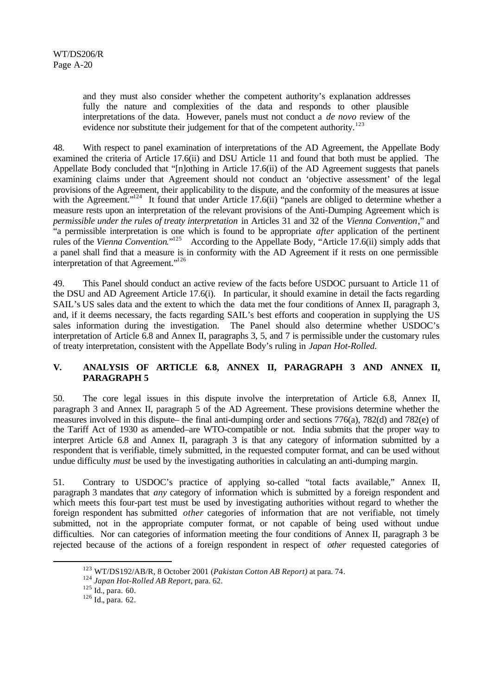and they must also consider whether the competent authority's explanation addresses fully the nature and complexities of the data and responds to other plausible interpretations of the data. However, panels must not conduct a *de novo* review of the evidence nor substitute their judgement for that of the competent authority.<sup>123</sup>

48. With respect to panel examination of interpretations of the AD Agreement, the Appellate Body examined the criteria of Article 17.6(ii) and DSU Article 11 and found that both must be applied. The Appellate Body concluded that "[n]othing in Article 17.6(ii) of the AD Agreement suggests that panels examining claims under that Agreement should not conduct an 'objective assessment' of the legal provisions of the Agreement, their applicability to the dispute, and the conformity of the measures at issue with the Agreement."<sup>124</sup> It found that under Article 17.6(ii) "panels are obliged to determine whether a measure rests upon an interpretation of the relevant provisions of the Anti-Dumping Agreement which is *permissible under the rules of treaty interpretation* in Articles 31 and 32 of the *Vienna Convention*," and "a permissible interpretation is one which is found to be appropriate *after* application of the pertinent rules of the *Vienna Convention*."<sup>125</sup> According to the Appellate Body, "Article 17.6(ii) simply adds that a panel shall find that a measure is in conformity with the AD Agreement if it rests on one permissible interpretation of that Agreement."<sup>126</sup>

49. This Panel should conduct an active review of the facts before USDOC pursuant to Article 11 of the DSU and AD Agreement Article 17.6(i). In particular, it should examine in detail the facts regarding SAIL's US sales data and the extent to which the data met the four conditions of Annex II, paragraph 3, and, if it deems necessary, the facts regarding SAIL's best efforts and cooperation in supplying the US sales information during the investigation. The Panel should also determine whether USDOC's interpretation of Article 6.8 and Annex II, paragraphs 3, 5, and 7 is permissible under the customary rules of treaty interpretation, consistent with the Appellate Body's ruling in *Japan Hot-Rolled.*

## **V. ANALYSIS OF ARTICLE 6.8, ANNEX II, PARAGRAPH 3 AND ANNEX II, PARAGRAPH 5**

50. The core legal issues in this dispute involve the interpretation of Article 6.8, Annex II, paragraph 3 and Annex II, paragraph 5 of the AD Agreement. These provisions determine whether the measures involved in this dispute– the final anti-dumping order and sections 776(a), 782(d) and 782(e) of the Tariff Act of 1930 as amended–are WTO-compatible or not. India submits that the proper way to interpret Article 6.8 and Annex II, paragraph 3 is that any category of information submitted by a respondent that is verifiable, timely submitted, in the requested computer format, and can be used without undue difficulty *must* be used by the investigating authorities in calculating an anti-dumping margin.

51. Contrary to USDOC's practice of applying so-called "total facts available," Annex II, paragraph 3 mandates that *any* category of information which is submitted by a foreign respondent and which meets this four-part test must be used by investigating authorities without regard to whether the foreign respondent has submitted *other* categories of information that are not verifiable, not timely submitted, not in the appropriate computer format, or not capable of being used without undue difficulties. Nor can categories of information meeting the four conditions of Annex II, paragraph 3 be rejected because of the actions of a foreign respondent in respect of *other* requested categories of

<sup>123</sup> WT/DS192/AB/R, 8 October 2001 (*Pakistan Cotton AB Report)* at para. 74*.*

<sup>124</sup> *Japan Hot-Rolled AB Report*, para. 62.

<sup>125</sup> Id., para. 60.

<sup>126</sup> Id.*,* para. 62.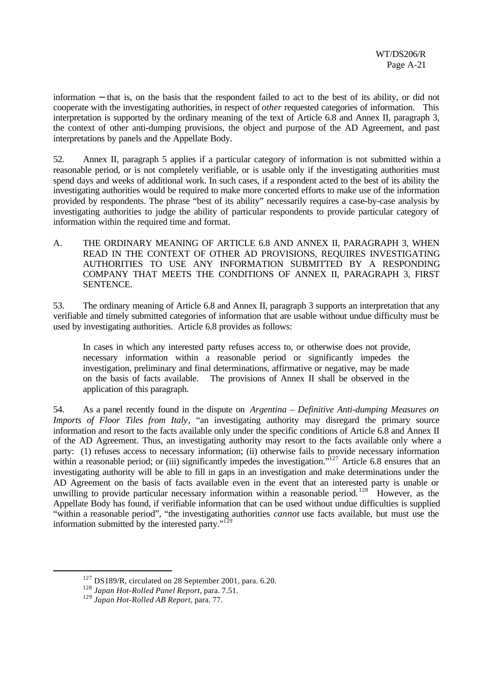information − that is, on the basis that the respondent failed to act to the best of its ability, or did not cooperate with the investigating authorities, in respect of *other* requested categories of information. This interpretation is supported by the ordinary meaning of the text of Article 6.8 and Annex II, paragraph 3, the context of other anti-dumping provisions, the object and purpose of the AD Agreement, and past interpretations by panels and the Appellate Body.

52. Annex II, paragraph 5 applies if a particular category of information is not submitted within a reasonable period, or is not completely verifiable, or is usable only if the investigating authorities must spend days and weeks of additional work. In such cases, if a respondent acted to the best of its ability the investigating authorities would be required to make more concerted efforts to make use of the information provided by respondents. The phrase "best of its ability" necessarily requires a case-by-case analysis by investigating authorities to judge the ability of particular respondents to provide particular category of information within the required time and format.

A. THE ORDINARY MEANING OF ARTICLE 6.8 AND ANNEX II, PARAGRAPH 3, WHEN READ IN THE CONTEXT OF OTHER AD PROVISIONS, REQUIRES INVESTIGATING AUTHORITIES TO USE ANY INFORMATION SUBMITTED BY A RESPONDING COMPANY THAT MEETS THE CONDITIONS OF ANNEX II, PARAGRAPH 3, FIRST SENTENCE.

53. The ordinary meaning of Article 6.8 and Annex II, paragraph 3 supports an interpretation that any verifiable and timely submitted categories of information that are usable without undue difficulty must be used by investigating authorities. Article 6.8 provides as follows:

In cases in which any interested party refuses access to, or otherwise does not provide, necessary information within a reasonable period or significantly impedes the investigation, preliminary and final determinations, affirmative or negative, may be made on the basis of facts available. The provisions of Annex II shall be observed in the application of this paragraph.

54. As a panel recently found in the dispute on *Argentina – Definitive Anti-dumping Measures on Imports of Floor Tiles from Italy*, "an investigating authority may disregard the primary source information and resort to the facts available only under the specific conditions of Article 6.8 and Annex II of the AD Agreement. Thus, an investigating authority may resort to the facts available only where a party: (1) refuses access to necessary information; (ii) otherwise fails to provide necessary information within a reasonable period; or (iii) significantly impedes the investigation."<sup>127</sup> Article 6.8 ensures that an investigating authority will be able to fill in gaps in an investigation and make determinations under the AD Agreement on the basis of facts available even in the event that an interested party is unable or unwilling to provide particular necessary information within a reasonable period.<sup>128</sup> However, as the Appellate Body has found, if verifiable information that can be used without undue difficulties is supplied "within a reasonable period", "the investigating authorities *cannot* use facts available, but must use the information submitted by the interested party."<sup>129</sup>

<sup>127</sup> DS189/R, circulated on 28 September 2001, para. 6.20.

<sup>128</sup> *Japan Hot-Rolled Panel Report*, para. 7.51.

<sup>129</sup> *Japan Hot-Rolled AB Report*, para. 77.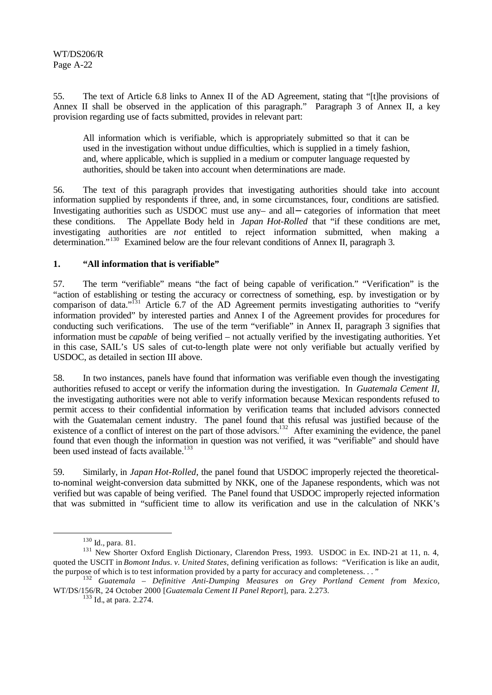55. The text of Article 6.8 links to Annex II of the AD Agreement, stating that "[t]he provisions of Annex II shall be observed in the application of this paragraph." Paragraph 3 of Annex II, a key provision regarding use of facts submitted, provides in relevant part:

All information which is verifiable, which is appropriately submitted so that it can be used in the investigation without undue difficulties, which is supplied in a timely fashion, and, where applicable, which is supplied in a medium or computer language requested by authorities, should be taken into account when determinations are made.

56. The text of this paragraph provides that investigating authorities should take into account information supplied by respondents if three, and, in some circumstances, four, conditions are satisfied. Investigating authorities such as USDOC must use any– and all− categories of information that meet these conditions. The Appellate Body held in *Japan Hot-Rolled* that "if these conditions are met, investigating authorities are *not* entitled to reject information submitted, when making a determination."<sup>130</sup> Examined below are the four relevant conditions of Annex II, paragraph 3.

## **1. "All information that is verifiable"**

57. The term "verifiable" means "the fact of being capable of verification." "Verification" is the "action of establishing or testing the accuracy or correctness of something, esp. by investigation or by comparison of data."<sup>131</sup> Article 6.7 of the AD Agreement permits investigating authorities to "verify" information provided" by interested parties and Annex I of the Agreement provides for procedures for conducting such verifications. The use of the term "verifiable" in Annex II, paragraph 3 signifies that information must be *capable* of being verified – not actually verified by the investigating authorities. Yet in this case, SAIL's US sales of cut-to-length plate were not only verifiable but actually verified by USDOC, as detailed in section III above.

58. In two instances, panels have found that information was verifiable even though the investigating authorities refused to accept or verify the information during the investigation. In *Guatemala Cement II,* the investigating authorities were not able to verify information because Mexican respondents refused to permit access to their confidential information by verification teams that included advisors connected with the Guatemalan cement industry. The panel found that this refusal was justified because of the existence of a conflict of interest on the part of those advisors.<sup>132</sup> After examining the evidence, the panel found that even though the information in question was not verified, it was "verifiable" and should have been used instead of facts available.<sup>133</sup>

59. Similarly, in *Japan Hot-Rolled*, the panel found that USDOC improperly rejected the theoreticalto-nominal weight-conversion data submitted by NKK, one of the Japanese respondents, which was not verified but was capable of being verified. The Panel found that USDOC improperly rejected information that was submitted in "sufficient time to allow its verification and use in the calculation of NKK's

<sup>130</sup> Id*.,* para. 81.

<sup>131</sup> New Shorter Oxford English Dictionary, Clarendon Press, 1993. USDOC in Ex. IND-21 at 11, n. 4, quoted the USCIT in *Bomont Indus. v. United States,* defining verification as follows: "Verification is like an audit, the purpose of which is to test information provided by a party for accuracy and completeness. . . "

<sup>132</sup> *Guatemala – Definitive Anti-Dumping Measures on Grey Portland Cement from Mexico*, WT/DS/156/R, 24 October 2000 [*Guatemala Cement II Panel Report*], para. 2.273.

<sup>133</sup> Id.*,* at para. 2.274.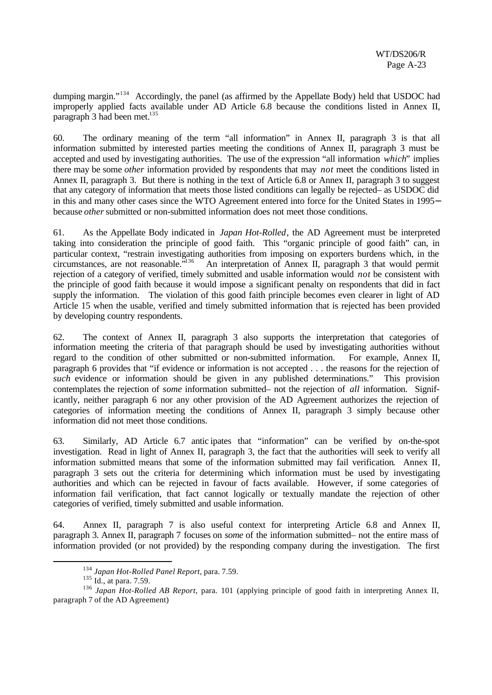dumping margin."<sup>134</sup> Accordingly, the panel (as affirmed by the Appellate Body) held that USDOC had improperly applied facts available under AD Article 6.8 because the conditions listed in Annex II, paragraph 3 had been met.<sup>135</sup>

60. The ordinary meaning of the term "all information" in Annex II, paragraph 3 is that all information submitted by interested parties meeting the conditions of Annex II, paragraph 3 must be accepted and used by investigating authorities. The use of the expression "all information *which*" implies there may be some *other* information provided by respondents that may *not* meet the conditions listed in Annex II, paragraph 3. But there is nothing in the text of Article 6.8 or Annex II, paragraph 3 to suggest that any category of information that meets those listed conditions can legally be rejected– as USDOC did in this and many other cases since the WTO Agreement entered into force for the United States in 1995− because *other* submitted or non-submitted information does not meet those conditions.

61. As the Appellate Body indicated in *Japan Hot-Rolled*, the AD Agreement must be interpreted taking into consideration the principle of good faith. This "organic principle of good faith" can, in particular context, "restrain investigating authorities from imposing on exporters burdens which, in the circumstances, are not reasonable.<sup>5,136</sup> An interpretation of Annex II, paragraph 3 that would permit rejection of a category of verified, timely submitted and usable information would *not* be consistent with the principle of good faith because it would impose a significant penalty on respondents that did in fact supply the information. The violation of this good faith principle becomes even clearer in light of AD Article 15 when the usable, verified and timely submitted information that is rejected has been provided by developing country respondents.

62. The context of Annex II, paragraph 3 also supports the interpretation that categories of information meeting the criteria of that paragraph should be used by investigating authorities without regard to the condition of other submitted or non-submitted information. For example, Annex II, paragraph 6 provides that "if evidence or information is not accepted . . . the reasons for the rejection of *such* evidence or information should be given in any published determinations." This provision contemplates the rejection of *some* information submitted– not the rejection of *all* information. Significantly, neither paragraph 6 nor any other provision of the AD Agreement authorizes the rejection of categories of information meeting the conditions of Annex II, paragraph 3 simply because other information did not meet those conditions.

63. Similarly, AD Article 6.7 antic ipates that "information" can be verified by on-the-spot investigation. Read in light of Annex II, paragraph 3, the fact that the authorities will seek to verify all information submitted means that some of the information submitted may fail verification. Annex II, paragraph 3 sets out the criteria for determining which information must be used by investigating authorities and which can be rejected in favour of facts available. However, if some categories of information fail verification, that fact cannot logically or textually mandate the rejection of other categories of verified, timely submitted and usable information.

64. Annex II, paragraph 7 is also useful context for interpreting Article 6.8 and Annex II, paragraph 3. Annex II, paragraph 7 focuses on *some* of the information submitted– not the entire mass of information provided (or not provided) by the responding company during the investigation. The first

<sup>134</sup> *Japan Hot-Rolled Panel Report*, para. 7.59.

 $135$  Id., at para. 7.59.

<sup>136</sup> *Japan Hot-Rolled AB Report*, para. 101 (applying principle of good faith in interpreting Annex II, paragraph 7 of the AD Agreement)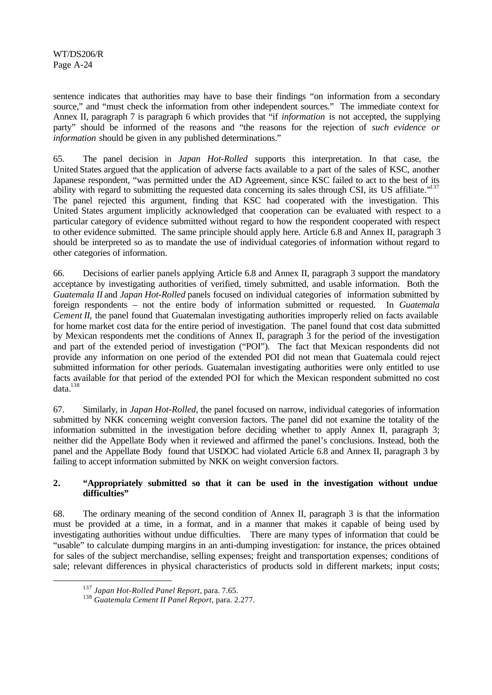sentence indicates that authorities may have to base their findings "on information from a secondary source," and "must check the information from other independent sources." The immediate context for Annex II, paragraph 7 is paragraph 6 which provides that "if *information* is not accepted, the supplying party" should be informed of the reasons and "the reasons for the rejection of *such evidence or information* should be given in any published determinations."

65. The panel decision in *Japan Hot-Rolled* supports this interpretation. In that case, the United States argued that the application of adverse facts available to a part of the sales of KSC, another Japanese respondent, "was permitted under the AD Agreement, since KSC failed to act to the best of its ability with regard to submitting the requested data concerning its sales through CSI, its US affiliate."<sup>137</sup> The panel rejected this argument, finding that KSC had cooperated with the investigation. This United States argument implicitly acknowledged that cooperation can be evaluated with respect to a particular category of evidence submitted without regard to how the respondent cooperated with respect to other evidence submitted. The same principle should apply here. Article 6.8 and Annex II, paragraph 3 should be interpreted so as to mandate the use of individual categories of information without regard to other categories of information.

66. Decisions of earlier panels applying Article 6.8 and Annex II, paragraph 3 support the mandatory acceptance by investigating authorities of verified, timely submitted, and usable information. Both the *Guatemala II* and *Japan Hot-Rolled* panels focused on individual categories of information submitted by foreign respondents – not the entire body of information submitted or requested. In *Guatemala Cement II,* the panel found that Guatemalan investigating authorities improperly relied on facts available for home market cost data for the entire period of investigation. The panel found that cost data submitted by Mexican respondents met the conditions of Annex II, paragraph 3 for the period of the investigation and part of the extended period of investigation ("POI"). The fact that Mexican respondents did not provide any information on one period of the extended POI did not mean that Guatemala could reject submitted information for other periods. Guatemalan investigating authorities were only entitled to use facts available for that period of the extended POI for which the Mexican respondent submitted no cost  $data.<sup>138</sup>$ 

67. Similarly, in *Japan Hot-Rolled,* the panel focused on narrow, individual categories of information submitted by NKK concerning weight conversion factors. The panel did not examine the totality of the information submitted in the investigation before deciding whether to apply Annex II, paragraph 3; neither did the Appellate Body when it reviewed and affirmed the panel's conclusions. Instead, both the panel and the Appellate Body found that USDOC had violated Article 6.8 and Annex II, paragraph 3 by failing to accept information submitted by NKK on weight conversion factors.

## **2. "Appropriately submitted so that it can be used in the investigation without undue difficulties"**

68. The ordinary meaning of the second condition of Annex II, paragraph 3 is that the information must be provided at a time, in a format, and in a manner that makes it capable of being used by investigating authorities without undue difficulties. There are many types of information that could be "usable" to calculate dumping margins in an anti-dumping investigation: for instance, the prices obtained for sales of the subject merchandise, selling expenses; freight and transportation expenses; conditions of sale; relevant differences in physical characteristics of products sold in different markets; input costs;

<sup>137</sup> *Japan Hot-Rolled Panel Report*, para. 7.65.

<sup>138</sup> *Guatemala Cement II Panel Report*, para. 2.277.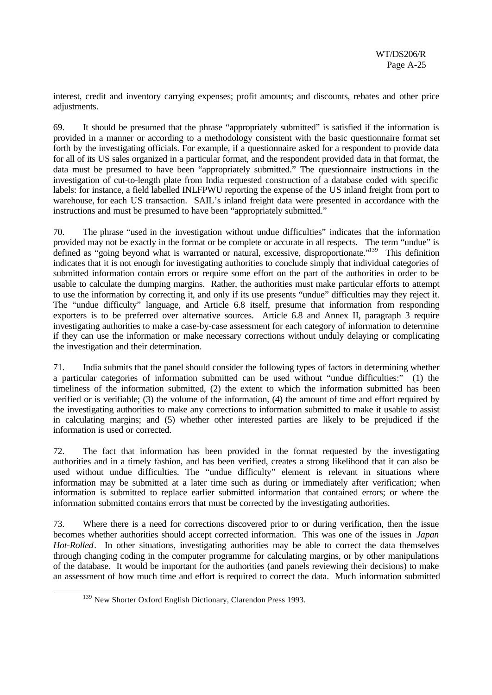interest, credit and inventory carrying expenses; profit amounts; and discounts, rebates and other price adjustments.

69. It should be presumed that the phrase "appropriately submitted" is satisfied if the information is provided in a manner or according to a methodology consistent with the basic questionnaire format set forth by the investigating officials. For example, if a questionnaire asked for a respondent to provide data for all of its US sales organized in a particular format, and the respondent provided data in that format, the data must be presumed to have been "appropriately submitted." The questionnaire instructions in the investigation of cut-to-length plate from India requested construction of a database coded with specific labels: for instance, a field labelled INLFPWU reporting the expense of the US inland freight from port to warehouse, for each US transaction. SAIL's inland freight data were presented in accordance with the instructions and must be presumed to have been "appropriately submitted."

70. The phrase "used in the investigation without undue difficulties" indicates that the information provided may not be exactly in the format or be complete or accurate in all respects. The term "undue" is defined as "going beyond what is warranted or natural, excessive, disproportionate."<sup>139</sup> This definition indicates that it is not enough for investigating authorities to conclude simply that individual categories of submitted information contain errors or require some effort on the part of the authorities in order to be usable to calculate the dumping margins. Rather, the authorities must make particular efforts to attempt to use the information by correcting it, and only if its use presents "undue" difficulties may they reject it. The "undue difficulty" language, and Article 6.8 itself, presume that information from responding exporters is to be preferred over alternative sources. Article 6.8 and Annex II, paragraph 3 require investigating authorities to make a case-by-case assessment for each category of information to determine if they can use the information or make necessary corrections without unduly delaying or complicating the investigation and their determination.

71. India submits that the panel should consider the following types of factors in determining whether a particular categories of information submitted can be used without "undue difficulties:" (1) the timeliness of the information submitted, (2) the extent to which the information submitted has been verified or is verifiable; (3) the volume of the information, (4) the amount of time and effort required by the investigating authorities to make any corrections to information submitted to make it usable to assist in calculating margins; and (5) whether other interested parties are likely to be prejudiced if the information is used or corrected.

72. The fact that information has been provided in the format requested by the investigating authorities and in a timely fashion, and has been verified, creates a strong likelihood that it can also be used without undue difficulties. The "undue difficulty" element is relevant in situations where information may be submitted at a later time such as during or immediately after verification; when information is submitted to replace earlier submitted information that contained errors; or where the information submitted contains errors that must be corrected by the investigating authorities.

73. Where there is a need for corrections discovered prior to or during verification, then the issue becomes whether authorities should accept corrected information. This was one of the issues in *Japan Hot-Rolled*. In other situations, investigating authorities may be able to correct the data themselves through changing coding in the computer programme for calculating margins, or by other manipulations of the database. It would be important for the authorities (and panels reviewing their decisions) to make an assessment of how much time and effort is required to correct the data. Much information submitted

<sup>&</sup>lt;sup>139</sup> New Shorter Oxford English Dictionary, Clarendon Press 1993.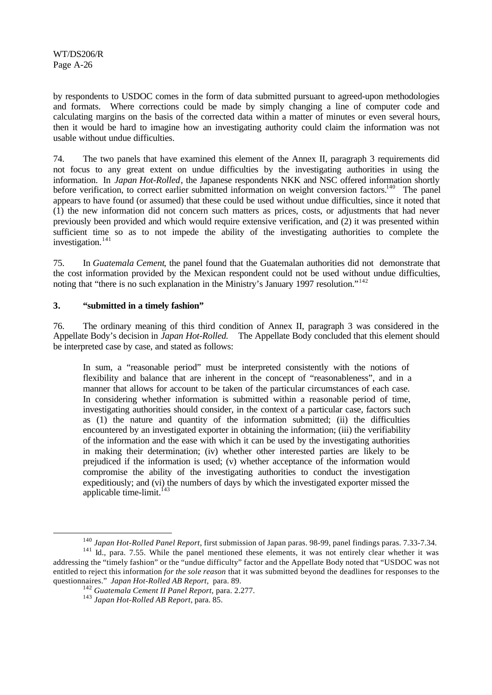by respondents to USDOC comes in the form of data submitted pursuant to agreed-upon methodologies and formats. Where corrections could be made by simply changing a line of computer code and calculating margins on the basis of the corrected data within a matter of minutes or even several hours, then it would be hard to imagine how an investigating authority could claim the information was not usable without undue difficulties.

74. The two panels that have examined this element of the Annex II, paragraph 3 requirements did not focus to any great extent on undue difficulties by the investigating authorities in using the information. In *Japan Hot-Rolled*, the Japanese respondents NKK and NSC offered information shortly before verification, to correct earlier submitted information on weight conversion factors.<sup>140</sup> The panel appears to have found (or assumed) that these could be used without undue difficulties, since it noted that (1) the new information did not concern such matters as prices, costs, or adjustments that had never previously been provided and which would require extensive verification, and (2) it was presented within sufficient time so as to not impede the ability of the investigating authorities to complete the investigation. $141$ 

75. In *Guatemala Cement*, the panel found that the Guatemalan authorities did not demonstrate that the cost information provided by the Mexican respondent could not be used without undue difficulties, noting that "there is no such explanation in the Ministry's January 1997 resolution."<sup>142</sup>

### **3. "submitted in a timely fashion"**

76. The ordinary meaning of this third condition of Annex II, paragraph 3 was considered in the Appellate Body's decision in *Japan Hot-Rolled.* The Appellate Body concluded that this element should be interpreted case by case, and stated as follows:

In sum, a "reasonable period" must be interpreted consistently with the notions of flexibility and balance that are inherent in the concept of "reasonableness", and in a manner that allows for account to be taken of the particular circumstances of each case. In considering whether information is submitted within a reasonable period of time, investigating authorities should consider, in the context of a particular case, factors such as (1) the nature and quantity of the information submitted; (ii) the difficulties encountered by an investigated exporter in obtaining the information; (iii) the verifiability of the information and the ease with which it can be used by the investigating authorities in making their determination; (iv) whether other interested parties are likely to be prejudiced if the information is used; (v) whether acceptance of the information would compromise the ability of the investigating authorities to conduct the investigation expeditiously; and (vi) the numbers of days by which the investigated exporter missed the applicable time-limit. $143$ 

<sup>140</sup> *Japan Hot-Rolled Panel Report*, first submission of Japan paras. 98-99, panel findings paras. 7.33-7.34.

<sup>&</sup>lt;sup>141</sup> Id., para. 7.55. While the panel mentioned these elements, it was not entirely clear whether it was addressing the "timely fashion" or the "undue difficulty" factor and the Appellate Body noted that "USDOC was not entitled to reject this information *for the sole reason* that it was submitted beyond the deadlines for responses to the questionnaires." *Japan Hot-Rolled AB Report*, para. 89.

<sup>142</sup> *Guatemala Cement II Panel Report*, para. 2.277.

<sup>143</sup> *Japan Hot-Rolled AB Report*, para. 85.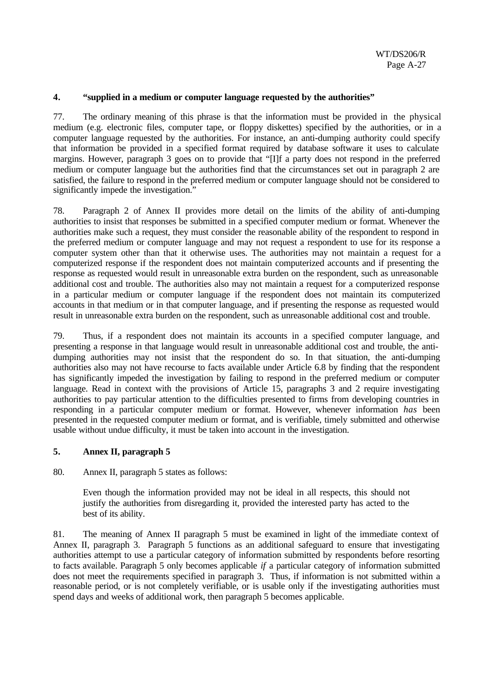## **4. "supplied in a medium or computer language requested by the authorities"**

77. The ordinary meaning of this phrase is that the information must be provided in the physical medium (e.g. electronic files, computer tape, or floppy diskettes) specified by the authorities, or in a computer language requested by the authorities. For instance, an anti-dumping authority could specify that information be provided in a specified format required by database software it uses to calculate margins. However, paragraph 3 goes on to provide that "[I]f a party does not respond in the preferred medium or computer language but the authorities find that the circumstances set out in paragraph 2 are satisfied, the failure to respond in the preferred medium or computer language should not be considered to significantly impede the investigation."

78. Paragraph 2 of Annex II provides more detail on the limits of the ability of anti-dumping authorities to insist that responses be submitted in a specified computer medium or format. Whenever the authorities make such a request, they must consider the reasonable ability of the respondent to respond in the preferred medium or computer language and may not request a respondent to use for its response a computer system other than that it otherwise uses. The authorities may not maintain a request for a computerized response if the respondent does not maintain computerized accounts and if presenting the response as requested would result in unreasonable extra burden on the respondent, such as unreasonable additional cost and trouble. The authorities also may not maintain a request for a computerized response in a particular medium or computer language if the respondent does not maintain its computerized accounts in that medium or in that computer language, and if presenting the response as requested would result in unreasonable extra burden on the respondent, such as unreasonable additional cost and trouble.

79. Thus, if a respondent does not maintain its accounts in a specified computer language, and presenting a response in that language would result in unreasonable additional cost and trouble, the antidumping authorities may not insist that the respondent do so. In that situation, the anti-dumping authorities also may not have recourse to facts available under Article 6.8 by finding that the respondent has significantly impeded the investigation by failing to respond in the preferred medium or computer language. Read in context with the provisions of Article 15, paragraphs 3 and 2 require investigating authorities to pay particular attention to the difficulties presented to firms from developing countries in responding in a particular computer medium or format. However, whenever information *has* been presented in the requested computer medium or format, and is verifiable, timely submitted and otherwise usable without undue difficulty, it must be taken into account in the investigation.

#### **5. Annex II, paragraph 5**

80. Annex II, paragraph 5 states as follows:

Even though the information provided may not be ideal in all respects, this should not justify the authorities from disregarding it, provided the interested party has acted to the best of its ability.

81. The meaning of Annex II paragraph 5 must be examined in light of the immediate context of Annex II, paragraph 3. Paragraph 5 functions as an additional safeguard to ensure that investigating authorities attempt to use a particular category of information submitted by respondents before resorting to facts available. Paragraph 5 only becomes applicable *if* a particular category of information submitted does not meet the requirements specified in paragraph 3. Thus, if information is not submitted within a reasonable period, or is not completely verifiable, or is usable only if the investigating authorities must spend days and weeks of additional work, then paragraph 5 becomes applicable.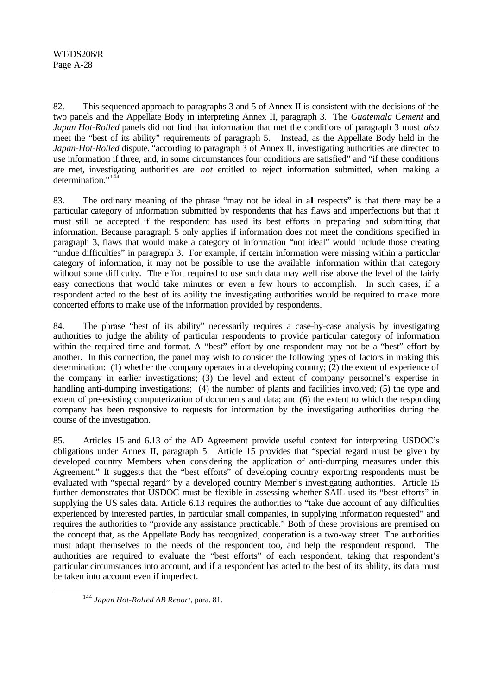82. This sequenced approach to paragraphs 3 and 5 of Annex II is consistent with the decisions of the two panels and the Appellate Body in interpreting Annex II, paragraph 3. The *Guatemala Cement* and *Japan Hot-Rolled* panels did not find that information that met the conditions of paragraph 3 must *also* meet the "best of its ability" requirements of paragraph 5. Instead, as the Appellate Body held in the *Japan-Hot-Rolled* dispute, "according to paragraph 3 of Annex II, investigating authorities are directed to use information if three, and, in some circumstances four conditions are satisfied" and "if these conditions are met, investigating authorities are *not* entitled to reject information submitted, when making a determination."<sup>144</sup>

83. The ordinary meaning of the phrase "may not be ideal in all respects" is that there may be a particular category of information submitted by respondents that has flaws and imperfections but that it must still be accepted if the respondent has used its best efforts in preparing and submitting that information. Because paragraph 5 only applies if information does not meet the conditions specified in paragraph 3, flaws that would make a category of information "not ideal" would include those creating "undue difficulties" in paragraph 3. For example, if certain information were missing within a particular category of information, it may not be possible to use the available information within that category without some difficulty. The effort required to use such data may well rise above the level of the fairly easy corrections that would take minutes or even a few hours to accomplish. In such cases, if a respondent acted to the best of its ability the investigating authorities would be required to make more concerted efforts to make use of the information provided by respondents.

84. The phrase "best of its ability" necessarily requires a case-by-case analysis by investigating authorities to judge the ability of particular respondents to provide particular category of information within the required time and format. A "best" effort by one respondent may not be a "best" effort by another. In this connection, the panel may wish to consider the following types of factors in making this determination: (1) whether the company operates in a developing country; (2) the extent of experience of the company in earlier investigations; (3) the level and extent of company personnel's expertise in handling anti-dumping investigations; (4) the number of plants and facilities involved; (5) the type and extent of pre-existing computerization of documents and data; and (6) the extent to which the responding company has been responsive to requests for information by the investigating authorities during the course of the investigation.

85. Articles 15 and 6.13 of the AD Agreement provide useful context for interpreting USDOC's obligations under Annex II, paragraph 5. Article 15 provides that "special regard must be given by developed country Members when considering the application of anti-dumping measures under this Agreement." It suggests that the "best efforts" of developing country exporting respondents must be evaluated with "special regard" by a developed country Member's investigating authorities. Article 15 further demonstrates that USDOC must be flexible in assessing whether SAIL used its "best efforts" in supplying the US sales data. Article 6.13 requires the authorities to "take due account of any difficulties experienced by interested parties, in particular small companies, in supplying information requested" and requires the authorities to "provide any assistance practicable." Both of these provisions are premised on the concept that, as the Appellate Body has recognized, cooperation is a two-way street. The authorities must adapt themselves to the needs of the respondent too, and help the respondent respond. The authorities are required to evaluate the "best efforts" of each respondent, taking that respondent's particular circumstances into account, and if a respondent has acted to the best of its ability, its data must be taken into account even if imperfect.

<sup>144</sup> *Japan Hot-Rolled AB Report*, para. 81.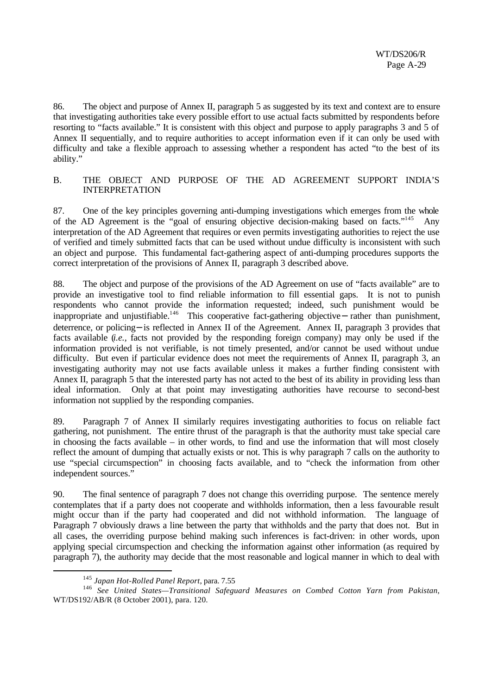86. The object and purpose of Annex II, paragraph 5 as suggested by its text and context are to ensure that investigating authorities take every possible effort to use actual facts submitted by respondents before resorting to "facts available." It is consistent with this object and purpose to apply paragraphs 3 and 5 of Annex II sequentially, and to require authorities to accept information even if it can only be used with difficulty and take a flexible approach to assessing whether a respondent has acted "to the best of its ability."

#### B. THE OBJECT AND PURPOSE OF THE AD AGREEMENT SUPPORT INDIA'S INTERPRETATION

87. One of the key principles governing anti-dumping investigations which emerges from the whole of the AD Agreement is the "goal of ensuring objective decision-making based on facts."<sup>145</sup> Any interpretation of the AD Agreement that requires or even permits investigating authorities to reject the use of verified and timely submitted facts that can be used without undue difficulty is inconsistent with such an object and purpose. This fundamental fact-gathering aspect of anti-dumping procedures supports the correct interpretation of the provisions of Annex II, paragraph 3 described above.

88. The object and purpose of the provisions of the AD Agreement on use of "facts available" are to provide an investigative tool to find reliable information to fill essential gaps. It is not to punish respondents who cannot provide the information requested; indeed, such punishment would be inappropriate and unjustifiable.<sup>146</sup> This cooperative fact-gathering objective− rather than punishment, deterrence, or policing− is reflected in Annex II of the Agreement. Annex II, paragraph 3 provides that facts available (*i.e.,* facts not provided by the responding foreign company) may only be used if the information provided is not verifiable, is not timely presented, and/or cannot be used without undue difficulty. But even if particular evidence does not meet the requirements of Annex II, paragraph 3, an investigating authority may not use facts available unless it makes a further finding consistent with Annex II, paragraph 5 that the interested party has not acted to the best of its ability in providing less than ideal information. Only at that point may investigating authorities have recourse to second-best information not supplied by the responding companies.

89. Paragraph 7 of Annex II similarly requires investigating authorities to focus on reliable fact gathering, not punishment. The entire thrust of the paragraph is that the authority must take special care in choosing the facts available – in other words, to find and use the information that will most closely reflect the amount of dumping that actually exists or not. This is why paragraph 7 calls on the authority to use "special circumspection" in choosing facts available, and to "check the information from other independent sources."

90. The final sentence of paragraph 7 does not change this overriding purpose. The sentence merely contemplates that if a party does not cooperate and withholds information, then a less favourable result might occur than if the party had cooperated and did not withhold information. The language of Paragraph 7 obviously draws a line between the party that withholds and the party that does not. But in all cases, the overriding purpose behind making such inferences is fact-driven: in other words, upon applying special circumspection and checking the information against other information (as required by paragraph 7), the authority may decide that the most reasonable and logical manner in which to deal with

<sup>145</sup> *Japan Hot-Rolled Panel Report*, para. 7.55

<sup>146</sup> *See United States—Transitional Safeguard Measures on Combed Cotton Yarn from Pakistan*, WT/DS192/AB/R (8 October 2001), para. 120.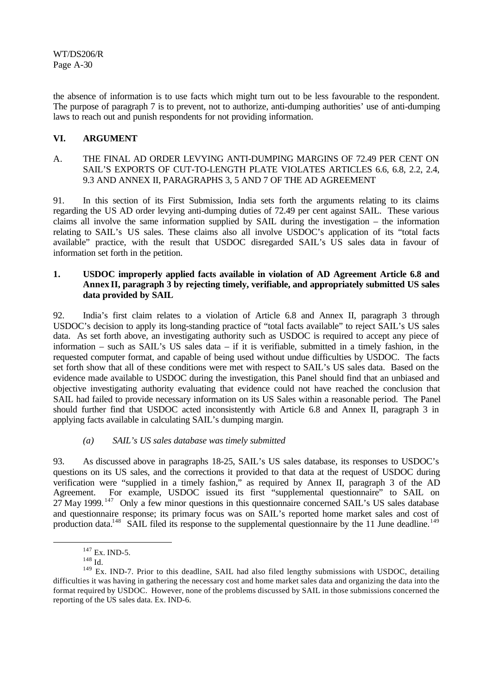the absence of information is to use facts which might turn out to be less favourable to the respondent. The purpose of paragraph 7 is to prevent, not to authorize, anti-dumping authorities' use of anti-dumping laws to reach out and punish respondents for not providing information.

## **VI. ARGUMENT**

### A. THE FINAL AD ORDER LEVYING ANTI-DUMPING MARGINS OF 72.49 PER CENT ON SAIL'S EXPORTS OF CUT-TO-LENGTH PLATE VIOLATES ARTICLES 6.6, 6.8, 2.2, 2.4, 9.3 AND ANNEX II, PARAGRAPHS 3, 5 AND 7 OF THE AD AGREEMENT

91. In this section of its First Submission, India sets forth the arguments relating to its claims regarding the US AD order levying anti-dumping duties of 72.49 per cent against SAIL. These various claims all involve the same information supplied by SAIL during the investigation – the information relating to SAIL's US sales. These claims also all involve USDOC's application of its "total facts available" practice, with the result that USDOC disregarded SAIL's US sales data in favour of information set forth in the petition.

### **1. USDOC improperly applied facts available in violation of AD Agreement Article 6.8 and Annex II, paragraph 3 by rejecting timely, verifiable, and appropriately submitted US sales data provided by SAIL**

92. India's first claim relates to a violation of Article 6.8 and Annex II, paragraph 3 through USDOC's decision to apply its long-standing practice of "total facts available" to reject SAIL's US sales data. As set forth above, an investigating authority such as USDOC is required to accept any piece of information – such as SAIL's US sales data – if it is verifiable, submitted in a timely fashion, in the requested computer format, and capable of being used without undue difficulties by USDOC. The facts set forth show that all of these conditions were met with respect to SAIL's US sales data. Based on the evidence made available to USDOC during the investigation, this Panel should find that an unbiased and objective investigating authority evaluating that evidence could not have reached the conclusion that SAIL had failed to provide necessary information on its US Sales within a reasonable period. The Panel should further find that USDOC acted inconsistently with Article 6.8 and Annex II, paragraph 3 in applying facts available in calculating SAIL's dumping margin.

## *(a) SAIL's US sales database was timely submitted*

93. As discussed above in paragraphs 18-25, SAIL's US sales database, its responses to USDOC's questions on its US sales, and the corrections it provided to that data at the request of USDOC during verification were "supplied in a timely fashion," as required by Annex II, paragraph 3 of the AD Agreement. For example, USDOC issued its first "supplemental questionnaire" to SAIL on 27 May 1999. <sup>147</sup> Only a few minor questions in this questionnaire concerned SAIL's US sales database and questionnaire response; its primary focus was on SAIL's reported home market sales and cost of production data.<sup>148</sup> SAIL filed its response to the supplemental questionnaire by the 11 June deadline.<sup>149</sup>

<sup>147</sup> Ex. IND-5.

<sup>148</sup> Id.

<sup>&</sup>lt;sup>149</sup> Ex. IND-7. Prior to this deadline, SAIL had also filed lengthy submissions with USDOC, detailing difficulties it was having in gathering the necessary cost and home market sales data and organizing the data into the format required by USDOC. However, none of the problems discussed by SAIL in those submissions concerned the reporting of the US sales data. Ex. IND-6.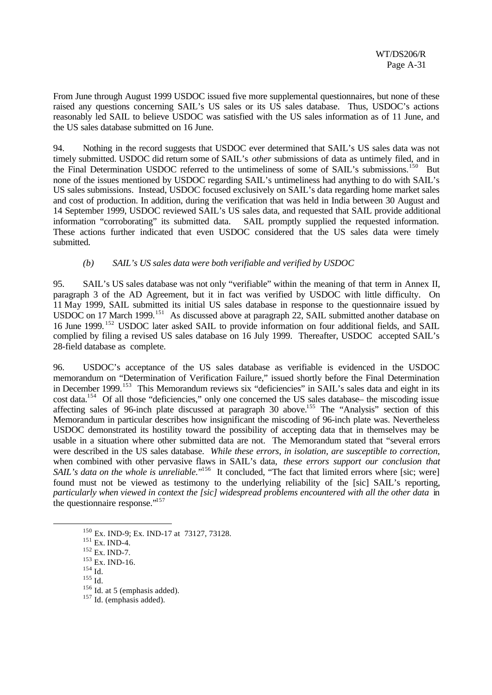From June through August 1999 USDOC issued five more supplemental questionnaires, but none of these raised any questions concerning SAIL's US sales or its US sales database. Thus, USDOC's actions reasonably led SAIL to believe USDOC was satisfied with the US sales information as of 11 June, and the US sales database submitted on 16 June.

94. Nothing in the record suggests that USDOC ever determined that SAIL's US sales data was not timely submitted. USDOC did return some of SAIL's *other* submissions of data as untimely filed, and in the Final Determination USDOC referred to the untimeliness of some of SAIL's submissions.<sup>150</sup> But none of the issues mentioned by USDOC regarding SAIL's untimeliness had anything to do with SAIL's US sales submissions. Instead, USDOC focused exclusively on SAIL's data regarding home market sales and cost of production. In addition, during the verification that was held in India between 30 August and 14 September 1999, USDOC reviewed SAIL's US sales data, and requested that SAIL provide additional information "corroborating" its submitted data. SAIL promptly supplied the requested information. These actions further indicated that even USDOC considered that the US sales data were timely submitted.

### *(b) SAIL's US sales data were both verifiable and verified by USDOC*

95. SAIL's US sales database was not only "verifiable" within the meaning of that term in Annex II, paragraph 3 of the AD Agreement, but it in fact was verified by USDOC with little difficulty. On 11 May 1999, SAIL submitted its initial US sales database in response to the questionnaire issued by USDOC on 17 March 1999.<sup>151</sup> As discussed above at paragraph 22, SAIL submitted another database on 16 June 1999.<sup>152</sup> USDOC later asked SAIL to provide information on four additional fields, and SAIL complied by filing a revised US sales database on 16 July 1999. Thereafter, USDOC accepted SAIL's 28-field database as complete.

96. USDOC's acceptance of the US sales database as verifiable is evidenced in the USDOC memorandum on "Determination of Verification Failure," issued shortly before the Final Determination in December 1999.<sup>153</sup> This Memorandum reviews six "deficiencies" in SAIL's sales data and eight in its cost data.<sup>154</sup> Of all those "deficiencies," only one concerned the US sales database– the miscoding issue affecting sales of 96-inch plate discussed at paragraph 30 above.<sup>155</sup> The "Analysis" section of this Memorandum in particular describes how insignificant the miscoding of 96-inch plate was. Nevertheless USDOC demonstrated its hostility toward the possibility of accepting data that in themselves may be usable in a situation where other submitted data are not. The Memorandum stated that "several errors were described in the US sales database. *While these errors, in isolation, are susceptible to correction*, when combined with other pervasive flaws in SAIL's data, *these errors support our conclusion that SAIL's data on the whole is unreliable*."<sup>156</sup> It concluded, "The fact that limited errors where [sic; were] found must not be viewed as testimony to the underlying reliability of the [sic] SAIL's reporting, *particularly when viewed in context the [sic] widespread problems encountered with all the other data* in the questionnaire response."<sup>157</sup>

<sup>150</sup> Ex. IND-9; Ex. IND-17 at 73127, 73128.

 $151$  Ex. IND-4.

 $152$  Ex. IND-7.

<sup>153</sup> Ex. IND-16.

<sup>154</sup> Id.

<sup>155</sup> Id.

<sup>&</sup>lt;sup>156</sup> Id. at 5 (emphasis added).

 $157$  Id. (emphasis added).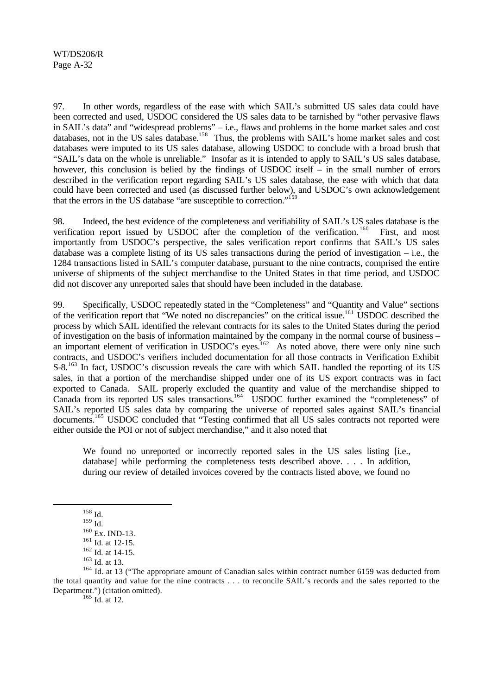97. In other words, regardless of the ease with which SAIL's submitted US sales data could have been corrected and used, USDOC considered the US sales data to be tarnished by "other pervasive flaws in SAIL's data" and "widespread problems" – i.e., flaws and problems in the home market sales and cost databases, not in the US sales database.<sup>158</sup> Thus, the problems with SAIL's home market sales and cost databases were imputed to its US sales database, allowing USDOC to conclude with a broad brush that "SAIL's data on the whole is unreliable." Insofar as it is intended to apply to SAIL's US sales database, however, this conclusion is belied by the findings of USDOC itself – in the small number of errors described in the verification report regarding SAIL's US sales database, the ease with which that data could have been corrected and used (as discussed further below), and USDOC's own acknowledgement that the errors in the US database "are susceptible to correction."<sup>159</sup>

98. Indeed, the best evidence of the completeness and verifiability of SAIL's US sales database is the verification report issued by USDOC after the completion of the verification.<sup>160</sup> First, and most importantly from USDOC's perspective, the sales verification report confirms that SAIL's US sales database was a complete listing of its US sales transactions during the period of investigation – i.e., the 1284 transactions listed in SAIL's computer database, pursuant to the nine contracts, comprised the entire universe of shipments of the subject merchandise to the United States in that time period, and USDOC did not discover any unreported sales that should have been included in the database.

99. Specifically, USDOC repeatedly stated in the "Completeness" and "Quantity and Value" sections of the verification report that "We noted no discrepancies" on the critical issue.<sup>161</sup> USDOC described the process by which SAIL identified the relevant contracts for its sales to the United States during the period of investigation on the basis of information maintained by the company in the normal course of business – an important element of verification in USDOC's eyes.<sup>162</sup> As noted above, there were only nine such contracts, and USDOC's verifiers included documentation for all those contracts in Verification Exhibit S-8.<sup>163</sup> In fact, USDOC's discussion reveals the care with which SAIL handled the reporting of its US sales, in that a portion of the merchandise shipped under one of its US export contracts was in fact exported to Canada. SAIL properly excluded the quantity and value of the merchandise shipped to Canada from its reported US sales transactions.<sup>164</sup> USDOC further examined the "completeness" of SAIL's reported US sales data by comparing the universe of reported sales against SAIL's financial documents.<sup>165</sup> USDOC concluded that "Testing confirmed that all US sales contracts not reported were either outside the POI or not of subject merchandise," and it also noted that

We found no unreported or incorrectly reported sales in the US sales listing [i.e., database] while performing the completeness tests described above. . . . In addition, during our review of detailed invoices covered by the contracts listed above, we found no

l

 $165$  Id. at 12.

<sup>158</sup> Id.

 $^{159}$  Id.

 $160$  Ex. IND-13.

 $161$  Id. at 12-15.

 $162$  Id. at 14-15.

<sup>163</sup> Id. at 13.

<sup>&</sup>lt;sup>164</sup> Id. at 13 ("The appropriate amount of Canadian sales within contract number 6159 was deducted from the total quantity and value for the nine contracts . . . to reconcile SAIL's records and the sales reported to the Department.") (citation omitted).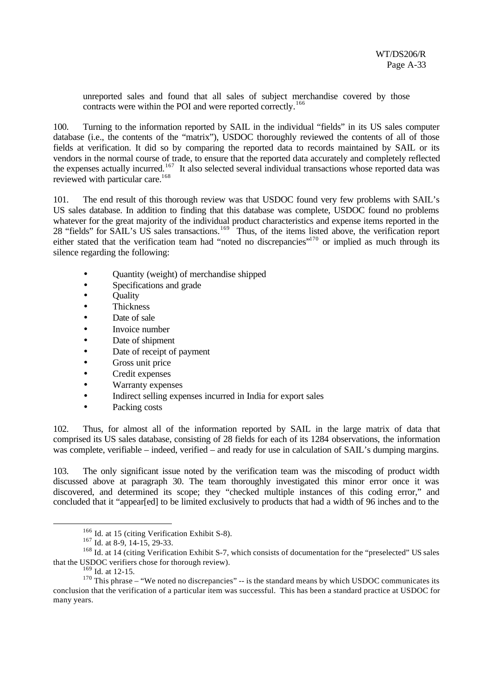unreported sales and found that all sales of subject merchandise covered by those contracts were within the POI and were reported correctly.<sup>166</sup>

100. Turning to the information reported by SAIL in the individual "fields" in its US sales computer database (i.e., the contents of the "matrix"), USDOC thoroughly reviewed the contents of all of those fields at verification. It did so by comparing the reported data to records maintained by SAIL or its vendors in the normal course of trade, to ensure that the reported data accurately and completely reflected the expenses actually incurred.<sup>167</sup> It also selected several individual transactions whose reported data was reviewed with particular care.<sup>168</sup>

101. The end result of this thorough review was that USDOC found very few problems with SAIL's US sales database. In addition to finding that this database was complete, USDOC found no problems whatever for the great majority of the individual product characteristics and expense items reported in the 28 "fields" for SAIL's US sales transactions.<sup>169</sup> Thus, of the items listed above, the verification report either stated that the verification team had "noted no discrepancies"<sup>170</sup> or implied as much through its silence regarding the following:

- Quantity (weight) of merchandise shipped
- Specifications and grade
- Ouality
- Thickness
- Date of sale
- Invoice number
- Date of shipment
- Date of receipt of payment
- Gross unit price
- Credit expenses
- Warranty expenses
- Indirect selling expenses incurred in India for export sales
- Packing costs

102. Thus, for almost all of the information reported by SAIL in the large matrix of data that comprised its US sales database, consisting of 28 fields for each of its 1284 observations, the information was complete, verifiable – indeed, verified – and ready for use in calculation of SAIL's dumping margins.

103. The only significant issue noted by the verification team was the miscoding of product width discussed above at paragraph 30. The team thoroughly investigated this minor error once it was discovered, and determined its scope; they "checked multiple instances of this coding error," and concluded that it "appear[ed] to be limited exclusively to products that had a width of 96 inches and to the

<sup>169</sup> Id. at 12-15.

 $166$  Id. at 15 (citing Verification Exhibit S-8).

 $167$  Id. at 8-9, 14-15, 29-33.

<sup>&</sup>lt;sup>168</sup> Id. at 14 (citing Verification Exhibit S-7, which consists of documentation for the "preselected" US sales that the USDOC verifiers chose for thorough review).

<sup>&</sup>lt;sup>170</sup> This phrase – "We noted no discrepancies" -- is the standard means by which USDOC communicates its conclusion that the verification of a particular item was successful. This has been a standard practice at USDOC for many years.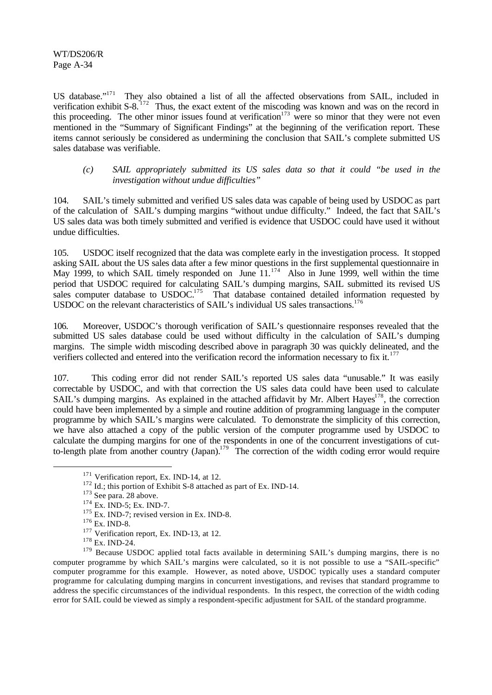US database."<sup>171</sup> They also obtained a list of all the affected observations from SAIL, included in verification exhibit  $S-8$ . <sup>172</sup> Thus, the exact extent of the miscoding was known and was on the record in this proceeding. The other minor issues found at verification<sup>173</sup> were so minor that they were not even mentioned in the "Summary of Significant Findings" at the beginning of the verification report. These items cannot seriously be considered as undermining the conclusion that SAIL's complete submitted US sales database was verifiable.

#### *(c) SAIL appropriately submitted its US sales data so that it could "be used in the investigation without undue difficulties"*

104. SAIL's timely submitted and verified US sales data was capable of being used by USDOC as part of the calculation of SAIL's dumping margins "without undue difficulty." Indeed, the fact that SAIL's US sales data was both timely submitted and verified is evidence that USDOC could have used it without undue difficulties.

105. USDOC itself recognized that the data was complete early in the investigation process. It stopped asking SAIL about the US sales data after a few minor questions in the first supplemental questionnaire in May 1999, to which SAIL timely responded on June 11.<sup>174</sup> Also in June 1999, well within the time period that USDOC required for calculating SAIL's dumping margins, SAIL submitted its revised US sales computer database to  $USDOC^{175}$  That database contained detailed information requested by USDOC on the relevant characteristics of SAIL's individual US sales transactions.<sup>176</sup>

106. Moreover, USDOC's thorough verification of SAIL's questionnaire responses revealed that the submitted US sales database could be used without difficulty in the calculation of SAIL's dumping margins. The simple width miscoding described above in paragraph 30 was quickly delineated, and the verifiers collected and entered into the verification record the information necessary to fix it.<sup>177</sup>

107. This coding error did not render SAIL's reported US sales data "unusable." It was easily correctable by USDOC, and with that correction the US sales data could have been used to calculate SAIL's dumping margins. As explained in the attached affidavit by Mr. Albert Hayes<sup>178</sup>, the correction could have been implemented by a simple and routine addition of programming language in the computer programme by which SAIL's margins were calculated. To demonstrate the simplicity of this correction, we have also attached a copy of the public version of the computer programme used by USDOC to calculate the dumping margins for one of the respondents in one of the concurrent investigations of cutto-length plate from another country (Japan).<sup>179</sup> The correction of the width coding error would require

<sup>176</sup> Ex. IND-8.

l

<sup>178</sup> Ex. IND-24.

<sup>179</sup> Because USDOC applied total facts available in determining SAIL's dumping margins, there is no computer programme by which SAIL's margins were calculated, so it is not possible to use a "SAIL-specific" computer programme for this example. However, as noted above, USDOC typically uses a standard computer programme for calculating dumping margins in concurrent investigations, and revises that standard programme to address the specific circumstances of the individual respondents. In this respect, the correction of the width coding error for SAIL could be viewed as simply a respondent-specific adjustment for SAIL of the standard programme.

<sup>&</sup>lt;sup>171</sup> Verification report, Ex. IND-14, at 12.

<sup>&</sup>lt;sup>172</sup> Id.; this portion of Exhibit S-8 attached as part of Ex. IND-14.

 $173$  See para. 28 above.

<sup>&</sup>lt;sup>174</sup> Ex. IND-5; Ex. IND-7.

 $175$  Ex. IND-7; revised version in Ex. IND-8.

<sup>&</sup>lt;sup>177</sup> Verification report, Ex. IND-13, at 12.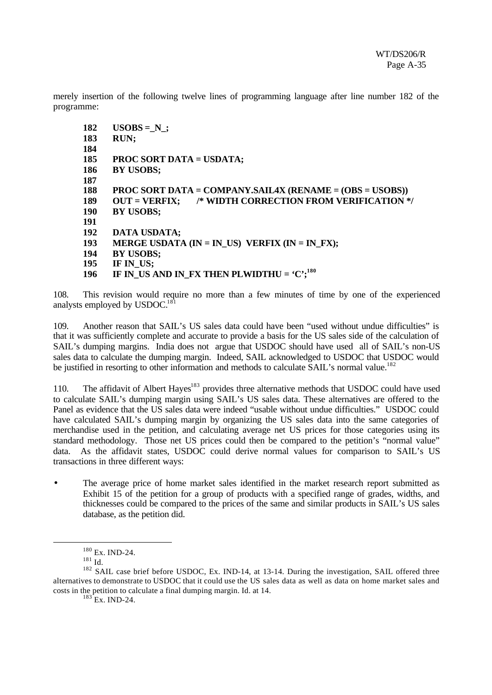merely insertion of the following twelve lines of programming language after line number 182 of the programme:

```
182 USOBS = _N_;
183 RUN;
184
185 PROC SORT DATA = USDATA;
186 BY USOBS;
187
188 PROC SORT DATA = COMPANY.SAIL4X (RENAME = (OBS = USOBS))
189 OUT = VERFIX; /* WIDTH CORRECTION FROM VERIFICATION */
190 BY USOBS;
191
192 DATA USDATA;
193 MERGE USDATA (IN = IN_US) VERFIX (IN = IN_FX);
194 BY USOBS;
195 IF IN_US;
196 IF IN_US AND IN_FX THEN PLWIDTHU = {}^{\circ}C<sup>180</sup>
```
108. This revision would require no more than a few minutes of time by one of the experienced analysts employed by USDOC.<sup>181</sup>

109. Another reason that SAIL's US sales data could have been "used without undue difficulties" is that it was sufficiently complete and accurate to provide a basis for the US sales side of the calculation of SAIL's dumping margins. India does not argue that USDOC should have used all of SAIL's non-US sales data to calculate the dumping margin. Indeed, SAIL acknowledged to USDOC that USDOC would be justified in resorting to other information and methods to calculate SAIL's normal value.<sup>182</sup>

110. The affidavit of Albert Hayes<sup>183</sup> provides three alternative methods that USDOC could have used to calculate SAIL's dumping margin using SAIL's US sales data. These alternatives are offered to the Panel as evidence that the US sales data were indeed "usable without undue difficulties." USDOC could have calculated SAIL's dumping margin by organizing the US sales data into the same categories of merchandise used in the petition, and calculating average net US prices for those categories using its standard methodology. Those net US prices could then be compared to the petition's "normal value" data. As the affidavit states, USDOC could derive normal values for comparison to SAIL's US transactions in three different ways:

• The average price of home market sales identified in the market research report submitted as Exhibit 15 of the petition for a group of products with a specified range of grades, widths, and thicknesses could be compared to the prices of the same and similar products in SAIL's US sales database, as the petition did.

l

 $^{183}$ Ex. IND-24.

<sup>180</sup> Ex. IND-24.

<sup>181</sup> Id.

<sup>&</sup>lt;sup>182</sup> SAIL case brief before USDOC, Ex. IND-14, at 13-14. During the investigation, SAIL offered three alternatives to demonstrate to USDOC that it could use the US sales data as well as data on home market sales and costs in the petition to calculate a final dumping margin. Id. at 14.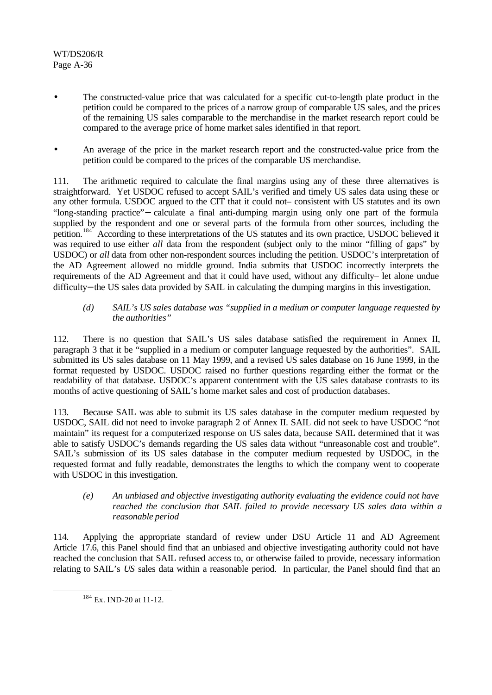- The constructed-value price that was calculated for a specific cut-to-length plate product in the petition could be compared to the prices of a narrow group of comparable US sales, and the prices of the remaining US sales comparable to the merchandise in the market research report could be compared to the average price of home market sales identified in that report.
- An average of the price in the market research report and the constructed-value price from the petition could be compared to the prices of the comparable US merchandise.

111. The arithmetic required to calculate the final margins using any of these three alternatives is straightforward. Yet USDOC refused to accept SAIL's verified and timely US sales data using these or any other formula. USDOC argued to the CIT that it could not– consistent with US statutes and its own "long-standing practice"− calculate a final anti-dumping margin using only one part of the formula supplied by the respondent and one or several parts of the formula from other sources, including the petition.<sup>184</sup> According to these interpretations of the US statutes and its own practice, USDOC believed it was required to use either *all* data from the respondent (subject only to the minor "filling of gaps" by USDOC) or *all* data from other non-respondent sources including the petition. USDOC's interpretation of the AD Agreement allowed no middle ground. India submits that USDOC incorrectly interprets the requirements of the AD Agreement and that it could have used, without any difficulty– let alone undue difficulty− the US sales data provided by SAIL in calculating the dumping margins in this investigation.

## *(d) SAIL's US sales database was "supplied in a medium or computer language requested by the authorities"*

112. There is no question that SAIL's US sales database satisfied the requirement in Annex II, paragraph 3 that it be "supplied in a medium or computer language requested by the authorities". SAIL submitted its US sales database on 11 May 1999, and a revised US sales database on 16 June 1999, in the format requested by USDOC. USDOC raised no further questions regarding either the format or the readability of that database. USDOC's apparent contentment with the US sales database contrasts to its months of active questioning of SAIL's home market sales and cost of production databases.

113. Because SAIL was able to submit its US sales database in the computer medium requested by USDOC, SAIL did not need to invoke paragraph 2 of Annex II. SAIL did not seek to have USDOC "not maintain" its request for a computerized response on US sales data, because SAIL determined that it was able to satisfy USDOC's demands regarding the US sales data without "unreasonable cost and trouble". SAIL's submission of its US sales database in the computer medium requested by USDOC, in the requested format and fully readable, demonstrates the lengths to which the company went to cooperate with USDOC in this investigation.

## *(e) An unbiased and objective investigating authority evaluating the evidence could not have reached the conclusion that SAIL failed to provide necessary US sales data within a reasonable period*

114. Applying the appropriate standard of review under DSU Article 11 and AD Agreement Article 17.6, this Panel should find that an unbiased and objective investigating authority could not have reached the conclusion that SAIL refused access to, or otherwise failed to provide, necessary information relating to SAIL's *US* sales data within a reasonable period. In particular, the Panel should find that an

<sup>184</sup> Ex. IND-20 at 11-12.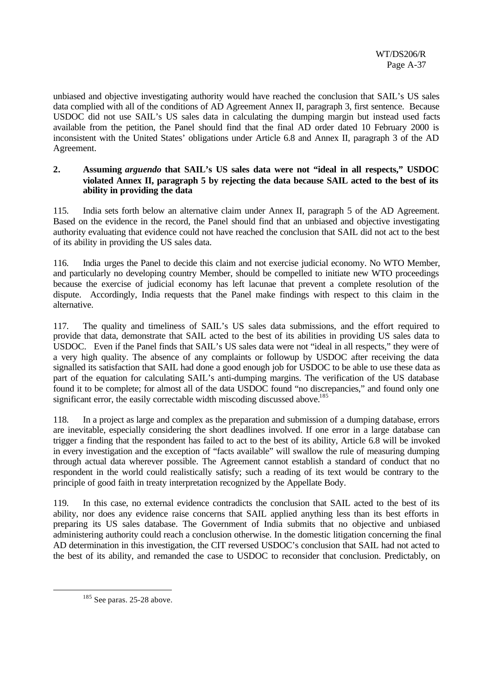unbiased and objective investigating authority would have reached the conclusion that SAIL's US sales data complied with all of the conditions of AD Agreement Annex II, paragraph 3, first sentence. Because USDOC did not use SAIL's US sales data in calculating the dumping margin but instead used facts available from the petition, the Panel should find that the final AD order dated 10 February 2000 is inconsistent with the United States' obligations under Article 6.8 and Annex II, paragraph 3 of the AD Agreement.

#### **2. Assuming** *arguendo* **that SAIL's US sales data were not "ideal in all respects," USDOC violated Annex II, paragraph 5 by rejecting the data because SAIL acted to the best of its ability in providing the data**

115. India sets forth below an alternative claim under Annex II, paragraph 5 of the AD Agreement. Based on the evidence in the record, the Panel should find that an unbiased and objective investigating authority evaluating that evidence could not have reached the conclusion that SAIL did not act to the best of its ability in providing the US sales data.

116. India urges the Panel to decide this claim and not exercise judicial economy. No WTO Member, and particularly no developing country Member, should be compelled to initiate new WTO proceedings because the exercise of judicial economy has left lacunae that prevent a complete resolution of the dispute. Accordingly, India requests that the Panel make findings with respect to this claim in the alternative.

117. The quality and timeliness of SAIL's US sales data submissions, and the effort required to provide that data, demonstrate that SAIL acted to the best of its abilities in providing US sales data to USDOC. Even if the Panel finds that SAIL's US sales data were not "ideal in all respects," they were of a very high quality. The absence of any complaints or followup by USDOC after receiving the data signalled its satisfaction that SAIL had done a good enough job for USDOC to be able to use these data as part of the equation for calculating SAIL's anti-dumping margins. The verification of the US database found it to be complete; for almost all of the data USDOC found "no discrepancies," and found only one significant error, the easily correctable width miscoding discussed above.<sup>185</sup>

118. In a project as large and complex as the preparation and submission of a dumping database, errors are inevitable, especially considering the short deadlines involved. If one error in a large database can trigger a finding that the respondent has failed to act to the best of its ability, Article 6.8 will be invoked in every investigation and the exception of "facts available" will swallow the rule of measuring dumping through actual data wherever possible. The Agreement cannot establish a standard of conduct that no respondent in the world could realistically satisfy; such a reading of its text would be contrary to the principle of good faith in treaty interpretation recognized by the Appellate Body.

119. In this case, no external evidence contradicts the conclusion that SAIL acted to the best of its ability, nor does any evidence raise concerns that SAIL applied anything less than its best efforts in preparing its US sales database. The Government of India submits that no objective and unbiased administering authority could reach a conclusion otherwise. In the domestic litigation concerning the final AD determination in this investigation, the CIT reversed USDOC's conclusion that SAIL had not acted to the best of its ability, and remanded the case to USDOC to reconsider that conclusion. Predictably, on

<sup>&</sup>lt;sup>185</sup> See paras. 25-28 above.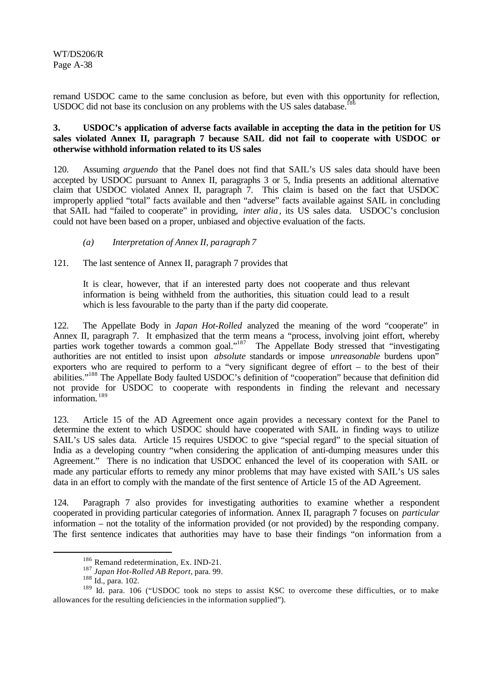remand USDOC came to the same conclusion as before, but even with this opportunity for reflection, USDOC did not base its conclusion on any problems with the US sales database.

#### **3. USDOC's application of adverse facts available in accepting the data in the petition for US sales violated Annex II, paragraph 7 because SAIL did not fail to cooperate with USDOC or otherwise withhold information related to its US sales**

120. Assuming *arguendo* that the Panel does not find that SAIL's US sales data should have been accepted by USDOC pursuant to Annex II, paragraphs 3 or 5, India presents an additional alternative claim that USDOC violated Annex II, paragraph 7. This claim is based on the fact that USDOC improperly applied "total" facts available and then "adverse" facts available against SAIL in concluding that SAIL had "failed to cooperate" in providing, *inter alia*, its US sales data. USDOC's conclusion could not have been based on a proper, unbiased and objective evaluation of the facts.

*(a) Interpretation of Annex II, paragraph 7*

121. The last sentence of Annex II, paragraph 7 provides that

It is clear, however, that if an interested party does not cooperate and thus relevant information is being withheld from the authorities, this situation could lead to a result which is less favourable to the party than if the party did cooperate.

122. The Appellate Body in *Japan Hot-Rolled* analyzed the meaning of the word "cooperate" in Annex II, paragraph 7. It emphasized that the term means a "process, involving joint effort, whereby parties work together towards a common goal."<sup>187</sup> The Appellate Body stressed that "investigating" authorities are not entitled to insist upon *absolute* standards or impose *unreasonable* burdens upon" exporters who are required to perform to a "very significant degree of effort – to the best of their abilities."<sup>188</sup> The Appellate Body faulted USDOC's definition of "cooperation" because that definition did not provide for USDOC to cooperate with respondents in finding the relevant and necessary information.<sup>189</sup>

123. Article 15 of the AD Agreement once again provides a necessary context for the Panel to determine the extent to which USDOC should have cooperated with SAIL in finding ways to utilize SAIL's US sales data. Article 15 requires USDOC to give "special regard" to the special situation of India as a developing country "when considering the application of anti-dumping measures under this Agreement." There is no indication that USDOC enhanced the level of its cooperation with SAIL or made any particular efforts to remedy any minor problems that may have existed with SAIL's US sales data in an effort to comply with the mandate of the first sentence of Article 15 of the AD Agreement.

124. Paragraph 7 also provides for investigating authorities to examine whether a respondent cooperated in providing particular categories of information. Annex II, paragraph 7 focuses on *particular* information – not the totality of the information provided (or not provided) by the responding company. The first sentence indicates that authorities may have to base their findings "on information from a

<sup>186</sup> Remand redetermination, Ex. IND-21.

<sup>187</sup> *Japan Hot-Rolled AB Report*, para. 99.

<sup>188</sup> Id., para. 102.

<sup>&</sup>lt;sup>189</sup> Id. para. 106 ("USDOC took no steps to assist KSC to overcome these difficulties, or to make allowances for the resulting deficiencies in the information supplied").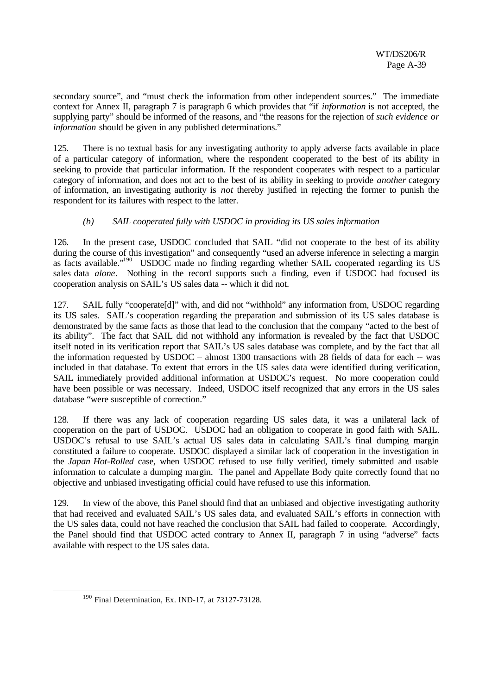secondary source", and "must check the information from other independent sources." The immediate context for Annex II, paragraph 7 is paragraph 6 which provides that "if *information* is not accepted, the supplying party" should be informed of the reasons, and "the reasons for the rejection of *such evidence or information* should be given in any published determinations."

125. There is no textual basis for any investigating authority to apply adverse facts available in place of a particular category of information, where the respondent cooperated to the best of its ability in seeking to provide that particular information. If the respondent cooperates with respect to a particular category of information, and does not act to the best of its ability in seeking to provide *another* category of information, an investigating authority is *not* thereby justified in rejecting the former to punish the respondent for its failures with respect to the latter.

#### *(b) SAIL cooperated fully with USDOC in providing its US sales information*

126. In the present case, USDOC concluded that SAIL "did not cooperate to the best of its ability during the course of this investigation" and consequently "used an adverse inference in selecting a margin as facts available."<sup>190</sup> USDOC made no finding regarding whether SAIL cooperated regarding its US sales data *alone*. Nothing in the record supports such a finding, even if USDOC had focused its cooperation analysis on SAIL's US sales data -- which it did not.

127. SAIL fully "cooperate[d]" with, and did not "withhold" any information from, USDOC regarding its US sales. SAIL's cooperation regarding the preparation and submission of its US sales database is demonstrated by the same facts as those that lead to the conclusion that the company "acted to the best of its ability". The fact that SAIL did not withhold any information is revealed by the fact that USDOC itself noted in its verification report that SAIL's US sales database was complete, and by the fact that all the information requested by USDOC – almost 1300 transactions with 28 fields of data for each -- was included in that database. To extent that errors in the US sales data were identified during verification, SAIL immediately provided additional information at USDOC's request. No more cooperation could have been possible or was necessary. Indeed, USDOC itself recognized that any errors in the US sales database "were susceptible of correction."

128. If there was any lack of cooperation regarding US sales data, it was a unilateral lack of cooperation on the part of USDOC. USDOC had an obligation to cooperate in good faith with SAIL. USDOC's refusal to use SAIL's actual US sales data in calculating SAIL's final dumping margin constituted a failure to cooperate. USDOC displayed a similar lack of cooperation in the investigation in the *Japan Hot-Rolled* case, when USDOC refused to use fully verified, timely submitted and usable information to calculate a dumping margin. The panel and Appellate Body quite correctly found that no objective and unbiased investigating official could have refused to use this information.

129. In view of the above, this Panel should find that an unbiased and objective investigating authority that had received and evaluated SAIL's US sales data, and evaluated SAIL's efforts in connection with the US sales data, could not have reached the conclusion that SAIL had failed to cooperate. Accordingly, the Panel should find that USDOC acted contrary to Annex II, paragraph 7 in using "adverse" facts available with respect to the US sales data.

<sup>190</sup> Final Determination, Ex. IND-17, at 73127-73128.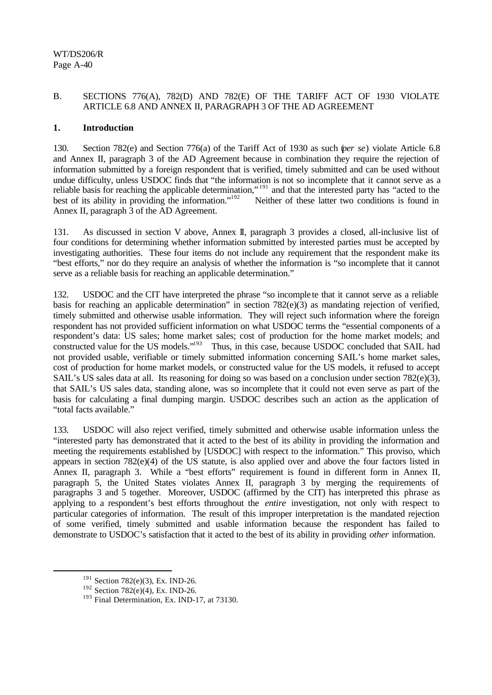## B. SECTIONS 776(A), 782(D) AND 782(E) OF THE TARIFF ACT OF 1930 VIOLATE ARTICLE 6.8 AND ANNEX II, PARAGRAPH 3 OF THE AD AGREEMENT

## **1. Introduction**

130. Section 782(e) and Section 776(a) of the Tariff Act of 1930 as such (*per se*) violate Article 6.8 and Annex II, paragraph 3 of the AD Agreement because in combination they require the rejection of information submitted by a foreign respondent that is verified, timely submitted and can be used without undue difficulty, unless USDOC finds that "the information is not so incomplete that it cannot serve as a reliable basis for reaching the applicable determination,"<sup>191</sup> and that the interested party has "acted to the best of its ability in providing the information."<sup>192</sup> Neither of these latter two conditions is found in best of its ability in providing the information."<sup>192</sup> Annex II, paragraph 3 of the AD Agreement.

131. As discussed in section V above, Annex II, paragraph 3 provides a closed, all-inclusive list of four conditions for determining whether information submitted by interested parties must be accepted by investigating authorities. These four items do not include any requirement that the respondent make its "best efforts," nor do they require an analysis of whether the information is "so incomplete that it cannot serve as a reliable basis for reaching an applicable determination."

132. USDOC and the CIT have interpreted the phrase "so incomple te that it cannot serve as a reliable basis for reaching an applicable determination" in section 782(e)(3) as mandating rejection of verified, timely submitted and otherwise usable information. They will reject such information where the foreign respondent has not provided sufficient information on what USDOC terms the "essential components of a respondent's data: US sales; home market sales; cost of production for the home market models; and constructed value for the US models."<sup>193</sup> Thus, in this case, because USDOC concluded that SAIL had not provided usable, verifiable or timely submitted information concerning SAIL's home market sales, cost of production for home market models, or constructed value for the US models, it refused to accept SAIL's US sales data at all. Its reasoning for doing so was based on a conclusion under section 782(e)(3), that SAIL's US sales data, standing alone, was so incomplete that it could not even serve as part of the basis for calculating a final dumping margin. USDOC describes such an action as the application of "total facts available."

133. USDOC will also reject verified, timely submitted and otherwise usable information unless the "interested party has demonstrated that it acted to the best of its ability in providing the information and meeting the requirements established by [USDOC] with respect to the information." This proviso, which appears in section  $782(e)(4)$  of the US statute, is also applied over and above the four factors listed in Annex II, paragraph 3. While a "best efforts" requirement is found in different form in Annex II, paragraph 5, the United States violates Annex II, paragraph 3 by merging the requirements of paragraphs 3 and 5 together. Moreover, USDOC (affirmed by the CIT) has interpreted this phrase as applying to a respondent's best efforts throughout the *entire* investigation, not only with respect to particular categories of information. The result of this improper interpretation is the mandated rejection of some verified, timely submitted and usable information because the respondent has failed to demonstrate to USDOC's satisfaction that it acted to the best of its ability in providing *other* information.

 $191$  Section 782(e)(3), Ex. IND-26.

<sup>&</sup>lt;sup>192</sup> Section 782(e)(4), Ex. IND-26.

<sup>&</sup>lt;sup>193</sup> Final Determination, Ex. IND-17, at 73130.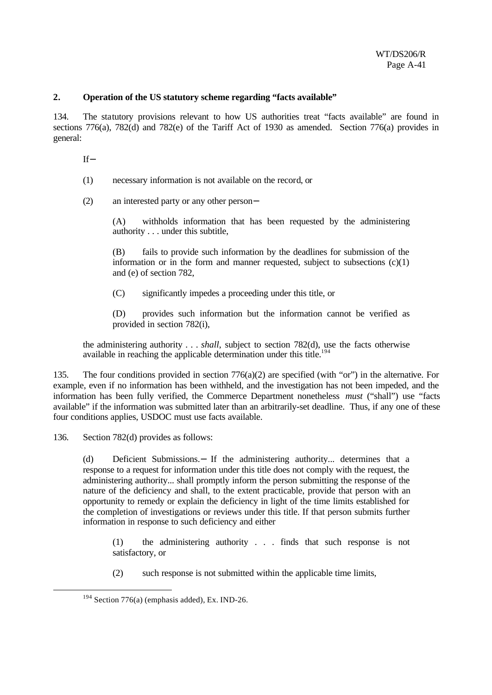#### **2. Operation of the US statutory scheme regarding "facts available"**

134. The statutory provisions relevant to how US authorities treat "facts available" are found in sections 776(a), 782(d) and 782(e) of the Tariff Act of 1930 as amended. Section 776(a) provides in general:

If−

- (1) necessary information is not available on the record, or
- (2) an interested party or any other person−

(A) withholds information that has been requested by the administering authority . . . under this subtitle,

(B) fails to provide such information by the deadlines for submission of the information or in the form and manner requested, subject to subsections  $(c)(1)$ and (e) of section 782,

(C) significantly impedes a proceeding under this title, or

(D) provides such information but the information cannot be verified as provided in section 782(i),

the administering authority . . . *shall*, subject to section 782(d), use the facts otherwise available in reaching the applicable determination under this title.<sup>194</sup>

135. The four conditions provided in section 776(a)(2) are specified (with "or") in the alternative. For example, even if no information has been withheld, and the investigation has not been impeded, and the information has been fully verified, the Commerce Department nonetheless *must* ("shall") use "facts available" if the information was submitted later than an arbitrarily-set deadline. Thus, if any one of these four conditions applies, USDOC must use facts available.

136. Section 782(d) provides as follows:

l

(d) Deficient Submissions.− If the administering authority... determines that a response to a request for information under this title does not comply with the request, the administering authority... shall promptly inform the person submitting the response of the nature of the deficiency and shall, to the extent practicable, provide that person with an opportunity to remedy or explain the deficiency in light of the time limits established for the completion of investigations or reviews under this title. If that person submits further information in response to such deficiency and either

(1) the administering authority . . . finds that such response is not satisfactory, or

(2) such response is not submitted within the applicable time limits,

 $194$  Section 776(a) (emphasis added), Ex. IND-26.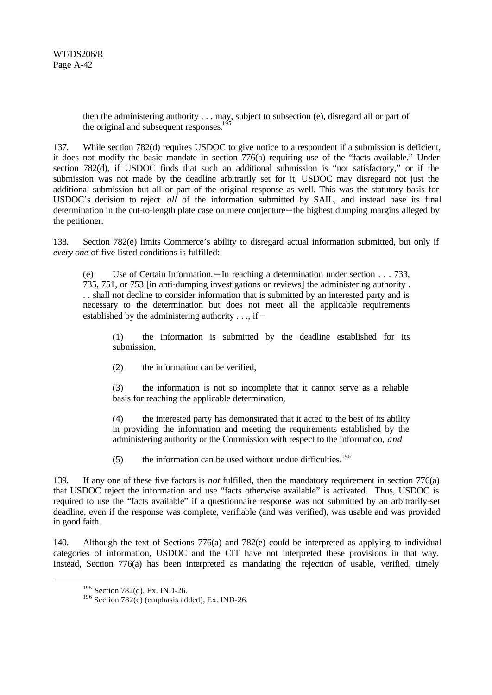> then the administering authority . . . may, subject to subsection (e), disregard all or part of the original and subsequent responses. $19$

137. While section 782(d) requires USDOC to give notice to a respondent if a submission is deficient, it does not modify the basic mandate in section 776(a) requiring use of the "facts available." Under section 782(d), if USDOC finds that such an additional submission is "not satisfactory," or if the submission was not made by the deadline arbitrarily set for it, USDOC may disregard not just the additional submission but all or part of the original response as well. This was the statutory basis for USDOC's decision to reject *all* of the information submitted by SAIL, and instead base its final determination in the cut-to-length plate case on mere conjecture− the highest dumping margins alleged by the petitioner.

138. Section 782(e) limits Commerce's ability to disregard actual information submitted, but only if *every one* of five listed conditions is fulfilled:

(e) Use of Certain Information.− In reaching a determination under section . . . 733, 735, 751, or 753 [in anti-dumping investigations or reviews] the administering authority . . . shall not decline to consider information that is submitted by an interested party and is necessary to the determination but does not meet all the applicable requirements established by the administering authority . . ., if−

(1) the information is submitted by the deadline established for its submission,

(2) the information can be verified,

(3) the information is not so incomplete that it cannot serve as a reliable basis for reaching the applicable determination,

(4) the interested party has demonstrated that it acted to the best of its ability in providing the information and meeting the requirements established by the administering authority or the Commission with respect to the information, *and*

 $(5)$  the information can be used without undue difficulties.<sup>196</sup>

139. If any one of these five factors is *not* fulfilled, then the mandatory requirement in section 776(a) that USDOC reject the information and use "facts otherwise available" is activated. Thus, USDOC is required to use the "facts available" if a questionnaire response was not submitted by an arbitrarily-set deadline, even if the response was complete, verifiable (and was verified), was usable and was provided in good faith.

140. Although the text of Sections 776(a) and 782(e) could be interpreted as applying to individual categories of information, USDOC and the CIT have not interpreted these provisions in that way. Instead, Section 776(a) has been interpreted as mandating the rejection of usable, verified, timely

<sup>195</sup> Section 782(d), Ex. IND-26.

<sup>&</sup>lt;sup>196</sup> Section 782 $(e)$  (emphasis added), Ex. IND-26.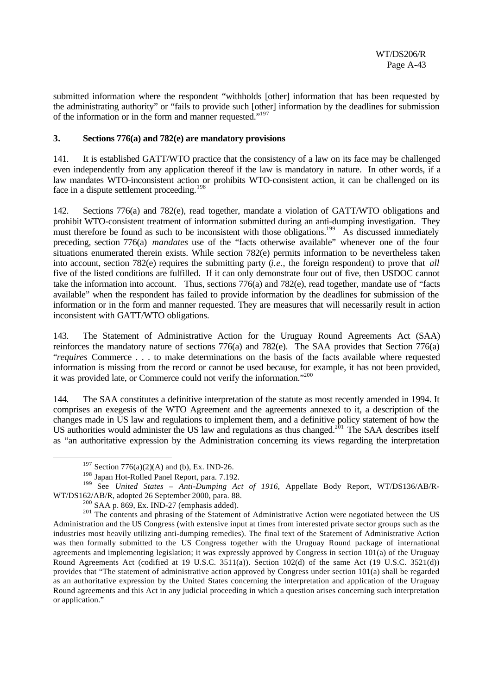submitted information where the respondent "withholds [other] information that has been requested by the administrating authority" or "fails to provide such [other] information by the deadlines for submission of the information or in the form and manner requested."<sup>197</sup>

#### **3. Sections 776(a) and 782(e) are mandatory provisions**

141. It is established GATT/WTO practice that the consistency of a law on its face may be challenged even independently from any application thereof if the law is mandatory in nature. In other words, if a law mandates WTO-inconsistent action or prohibits WTO-consistent action, it can be challenged on its face in a dispute settlement proceeding.<sup>198</sup>

142. Sections 776(a) and 782(e), read together, mandate a violation of GATT/WTO obligations and prohibit WTO-consistent treatment of information submitted during an anti-dumping investigation. They must therefore be found as such to be inconsistent with those obligations.<sup>199</sup> As discussed immediately preceding, section 776(a) *mandates* use of the "facts otherwise available" whenever one of the four situations enumerated therein exists. While section 782(e) permits information to be nevertheless taken into account, section 782(e) requires the submitting party (*i.e.,* the foreign respondent) to prove that *all* five of the listed conditions are fulfilled. If it can only demonstrate four out of five, then USDOC cannot take the information into account. Thus, sections 776(a) and 782(e), read together, mandate use of "facts available" when the respondent has failed to provide information by the deadlines for submission of the information or in the form and manner requested. They are measures that will necessarily result in action inconsistent with GATT/WTO obligations.

143. The Statement of Administrative Action for the Uruguay Round Agreements Act (SAA) reinforces the mandatory nature of sections 776(a) and 782(e). The SAA provides that Section 776(a) "*requires* Commerce . . . to make determinations on the basis of the facts available where requested information is missing from the record or cannot be used because, for example, it has not been provided, it was provided late, or Commerce could not verify the information."<sup>200</sup>

144. The SAA constitutes a definitive interpretation of the statute as most recently amended in 1994. It comprises an exegesis of the WTO Agreement and the agreements annexed to it, a description of the changes made in US law and regulations to implement them, and a definitive policy statement of how the US authorities would administer the US law and regulations as thus changed.<sup>201</sup> The SAA describes itself as "an authoritative expression by the Administration concerning its views regarding the interpretation

<sup>&</sup>lt;sup>197</sup> Section 776(a)(2)(A) and (b), Ex. IND-26.

<sup>198</sup> Japan Hot-Rolled Panel Report, para. 7.192.

<sup>199</sup> See *United States – Anti-Dumping Act of 1916*, Appellate Body Report, WT/DS136/AB/R-WT/DS162/AB/R, adopted 26 September 2000, para. 88.

<sup>200</sup> SAA p. 869, Ex. IND-27 (emphasis added).

<sup>&</sup>lt;sup>201</sup> The contents and phrasing of the Statement of Administrative Action were negotiated between the US Administration and the US Congress (with extensive input at times from interested private sector groups such as the industries most heavily utilizing anti-dumping remedies). The final text of the Statement of Administrative Action was then formally submitted to the US Congress together with the Uruguay Round package of international agreements and implementing legislation; it was expressly approved by Congress in section 101(a) of the Uruguay Round Agreements Act (codified at 19 U.S.C. 3511(a)). Section 102(d) of the same Act (19 U.S.C. 3521(d)) provides that "The statement of administrative action approved by Congress under section 101(a) shall be regarded as an authoritative expression by the United States concerning the interpretation and application of the Uruguay Round agreements and this Act in any judicial proceeding in which a question arises concerning such interpretation or application."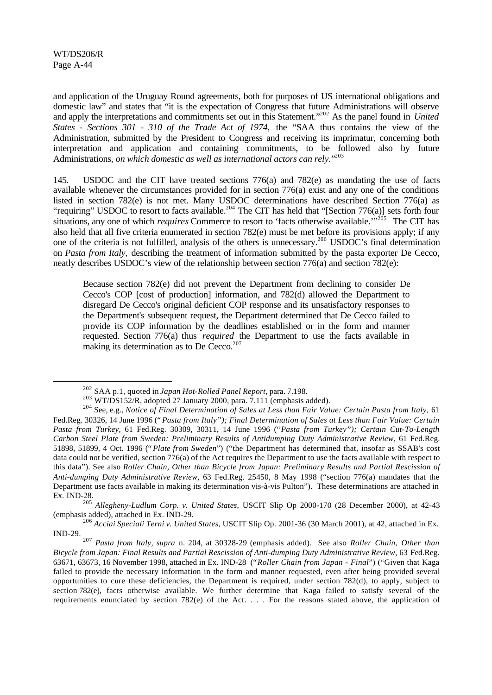l

and application of the Uruguay Round agreements, both for purposes of US international obligations and domestic law" and states that "it is the expectation of Congress that future Administrations will observe and apply the interpretations and commitments set out in this Statement."<sup>202</sup> As the panel found in *United States - Sections 301 - 310 of the Trade Act of 1974,* the "SAA thus contains the view of the Administration, submitted by the President to Congress and receiving its imprimatur, concerning both interpretation and application and containing commitments, to be followed also by future Administrations, *on which domestic as well as international actors can rely*.<sup>"203</sup>

145. USDOC and the CIT have treated sections 776(a) and 782(e) as mandating the use of facts available whenever the circumstances provided for in section 776(a) exist and any one of the conditions listed in section 782(e) is not met. Many USDOC determinations have described Section 776(a) as "requiring" USDOC to resort to facts available.<sup>204</sup> The CIT has held that "[Section 776(a)] sets forth four situations, any one of which *requires* Commerce to resort to 'facts otherwise available.'"<sup>205</sup> The CIT has also held that all five criteria enumerated in section 782(e) must be met before its provisions apply; if any one of the criteria is not fulfilled, analysis of the others is unnecessary.<sup>206</sup> USDOC's final determination on *Pasta from Italy,* describing the treatment of information submitted by the pasta exporter De Cecco, neatly describes USDOC's view of the relationship between section 776(a) and section 782(e):

Because section 782(e) did not prevent the Department from declining to consider De Cecco's COP [cost of production] information, and 782(d) allowed the Department to disregard De Cecco's original deficient COP response and its unsatisfactory responses to the Department's subsequent request, the Department determined that De Cecco failed to provide its COP information by the deadlines established or in the form and manner requested. Section 776(a) thus *required* the Department to use the facts available in making its determination as to De Cecco.<sup>207</sup>

<sup>205</sup> *Allegheny-Ludlum Corp. v. United States*, USCIT Slip Op 2000-170 (28 December 2000), at 42-43 (emphasis added), attached in Ex. IND-29.

<sup>206</sup> *Acciai Speciali Terni v. United States*, USCIT Slip Op. 2001-36 (30 March 2001), at 42, attached in Ex. IND-29.

<sup>202</sup> SAA p.1, quoted in *Japan Hot-Rolled Panel Report*, para. 7.198.

 $^{203}$  WT/DS152/R, adopted 27 January 2000, para. 7.111 (emphasis added).

<sup>204</sup> See, e.g., *Notice of Final Determination of Sales at Less than Fair Value: Certain Pasta from Italy*, 61 Fed.Reg. 30326, 14 June 1996 (" *Pasta from Italy"); Final Determination of Sales at Less than Fair Value: Certain Pasta from Turkey*, 61 Fed.Reg. 30309, 30311, 14 June 1996 ("*Pasta from Turkey"); Certain Cut-To-Length Carbon Steel Plate from Sweden: Preliminary Results of Antidumping Duty Administrative Review*, 61 Fed.Reg. 51898, 51899, 4 Oct. 1996 ("*Plate from Sweden*") ("the Department has determined that, insofar as SSAB's cost data could not be verified, section 776(a) of the Act requires the Department to use the facts available with respect to this data"). See also *Roller Chain, Other than Bicycle from Japan: Preliminary Results and Partial Rescission of Anti-dumping Duty Administrative Review*, 63 Fed.Reg. 25450, 8 May 1998 ("section 776(a) mandates that the Department use facts available in making its determination vis-à-vis Pulton"). These determinations are attached in Ex. IND-28.

<sup>207</sup> *Pasta from Italy, supra* n. 204, at 30328-29 (emphasis added). See also *Roller Chain, Other than Bicycle from Japan: Final Results and Partial Rescission of Anti-dumping Duty Administrative Review,* 63 Fed.Reg. 63671, 63673, 16 November 1998, attached in Ex. IND-28 ("*Roller Chain from Japan - Final*") ("Given that Kaga failed to provide the necessary information in the form and manner requested, even after being provided several opportunities to cure these deficiencies, the Department is required, under section 782(d), to apply, subject to section 782(e), facts otherwise available. We further determine that Kaga failed to satisfy several of the requirements enunciated by section 782(e) of the Act. . . . For the reasons stated above, the application of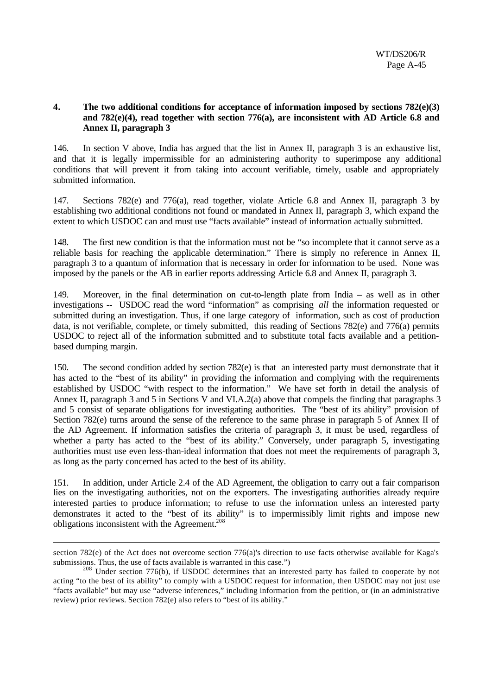## **4. The two additional conditions for acceptance of information imposed by sections 782(e)(3) and 782(e)(4), read together with section 776(a), are inconsistent with AD Article 6.8 and Annex II, paragraph 3**

146. In section V above, India has argued that the list in Annex II, paragraph 3 is an exhaustive list, and that it is legally impermissible for an administering authority to superimpose any additional conditions that will prevent it from taking into account verifiable, timely, usable and appropriately submitted information.

147. Sections 782(e) and 776(a), read together, violate Article 6.8 and Annex II, paragraph 3 by establishing two additional conditions not found or mandated in Annex II, paragraph 3, which expand the extent to which USDOC can and must use "facts available" instead of information actually submitted.

148. The first new condition is that the information must not be "so incomplete that it cannot serve as a reliable basis for reaching the applicable determination." There is simply no reference in Annex II, paragraph 3 to a quantum of information that is necessary in order for information to be used. None was imposed by the panels or the AB in earlier reports addressing Article 6.8 and Annex II, paragraph 3.

149. Moreover, in the final determination on cut-to-length plate from India – as well as in other investigations -- USDOC read the word "information" as comprising *all* the information requested or submitted during an investigation. Thus, if one large category of information, such as cost of production data, is not verifiable, complete, or timely submitted, this reading of Sections 782(e) and 776(a) permits USDOC to reject all of the information submitted and to substitute total facts available and a petitionbased dumping margin.

150. The second condition added by section 782(e) is that an interested party must demonstrate that it has acted to the "best of its ability" in providing the information and complying with the requirements established by USDOC "with respect to the information." We have set forth in detail the analysis of Annex II, paragraph 3 and 5 in Sections V and VI.A.2(a) above that compels the finding that paragraphs 3 and 5 consist of separate obligations for investigating authorities. The "best of its ability" provision of Section 782(e) turns around the sense of the reference to the same phrase in paragraph 5 of Annex II of the AD Agreement. If information satisfies the criteria of paragraph 3, it must be used, regardless of whether a party has acted to the "best of its ability." Conversely, under paragraph 5, investigating authorities must use even less-than-ideal information that does not meet the requirements of paragraph 3, as long as the party concerned has acted to the best of its ability.

151. In addition, under Article 2.4 of the AD Agreement, the obligation to carry out a fair comparison lies on the investigating authorities, not on the exporters. The investigating authorities already require interested parties to produce information; to refuse to use the information unless an interested party demonstrates it acted to the "best of its ability" is to impermissibly limit rights and impose new obligations inconsistent with the Agreement.<sup>208</sup>

section 782(e) of the Act does not overcome section 776(a)'s direction to use facts otherwise available for Kaga's submissions. Thus, the use of facts available is warranted in this case.")

<sup>&</sup>lt;sup>208</sup> Under section 776(b), if USDOC determines that an interested party has failed to cooperate by not acting "to the best of its ability" to comply with a USDOC request for information, then USDOC may not just use "facts available" but may use "adverse inferences," including information from the petition, or (in an administrative review) prior reviews. Section 782(e) also refers to "best of its ability."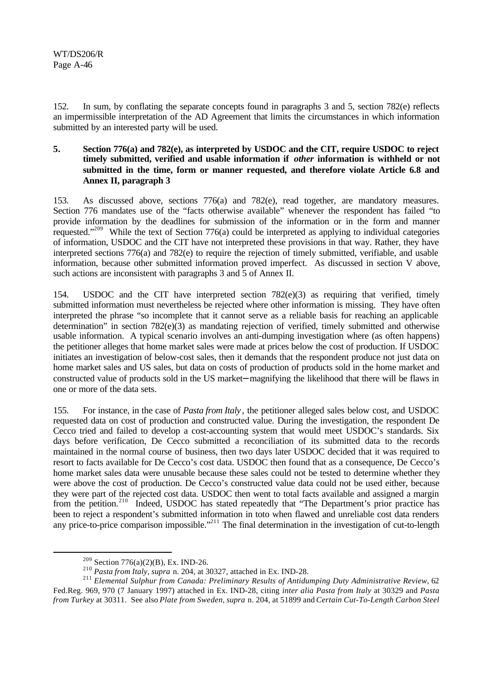152. In sum, by conflating the separate concepts found in paragraphs 3 and 5, section 782(e) reflects an impermissible interpretation of the AD Agreement that limits the circumstances in which information submitted by an interested party will be used.

## **5. Section 776(a) and 782(e), as interpreted by USDOC and the CIT, require USDOC to reject timely submitted, verified and usable information if** *other* **information is withheld or not submitted in the time, form or manner requested, and therefore violate Article 6.8 and Annex II, paragraph 3**

153. As discussed above, sections 776(a) and 782(e), read together, are mandatory measures. Section 776 mandates use of the "facts otherwise available" whenever the respondent has failed "to provide information by the deadlines for submission of the information or in the form and manner requested."<sup>209</sup> While the text of Section 776(a) could be interpreted as applying to individual categories of information, USDOC and the CIT have not interpreted these provisions in that way. Rather, they have interpreted sections 776(a) and 782(e) to require the rejection of timely submitted, verifiable, and usable information, because other submitted information proved imperfect. As discussed in section V above, such actions are inconsistent with paragraphs 3 and 5 of Annex II.

154. USDOC and the CIT have interpreted section 782(e)(3) as requiring that verified, timely submitted information must nevertheless be rejected where other information is missing. They have often interpreted the phrase "so incomplete that it cannot serve as a reliable basis for reaching an applicable determination" in section 782(e)(3) as mandating rejection of verified, timely submitted and otherwise usable information. A typical scenario involves an anti-dumping investigation where (as often happens) the petitioner alleges that home market sales were made at prices below the cost of production. If USDOC initiates an investigation of below-cost sales, then it demands that the respondent produce not just data on home market sales and US sales, but data on costs of production of products sold in the home market and constructed value of products sold in the US market− magnifying the likelihood that there will be flaws in one or more of the data sets.

155. For instance, in the case of *Pasta from Italy* , the petitioner alleged sales below cost, and USDOC requested data on cost of production and constructed value. During the investigation, the respondent De Cecco tried and failed to develop a cost-accounting system that would meet USDOC's standards. Six days before verification, De Cecco submitted a reconciliation of its submitted data to the records maintained in the normal course of business, then two days later USDOC decided that it was required to resort to facts available for De Cecco's cost data. USDOC then found that as a consequence, De Cecco's home market sales data were unusable because these sales could not be tested to determine whether they were above the cost of production. De Cecco's constructed value data could not be used either, because they were part of the rejected cost data. USDOC then went to total facts available and assigned a margin from the petition.<sup>210</sup> Indeed, USDOC has stated repeatedly that "The Department's prior practice has been to reject a respondent's submitted information in toto when flawed and unreliable cost data renders any price-to-price comparison impossible."<sup>211</sup> The final determination in the investigation of cut-to-length

<sup>&</sup>lt;sup>209</sup> Section 776(a)(2)(B), Ex. IND-26.

<sup>210</sup> *Pasta from Italy, supra* n. 204, at 30327, attached in Ex. IND-28.

<sup>211</sup> *Elemental Sulphur from Canada: Preliminary Results of Antidumping Duty Administrative Review*, 62 Fed.Reg. 969, 970 (7 January 1997) attached in Ex. IND-28, citing *inter alia Pasta from Italy* at 30329 and *Pasta from Turkey* at 30311. See also *Plate from Sweden*, *supra* n. 204, at 51899 and *Certain Cut-To-Length Carbon Steel*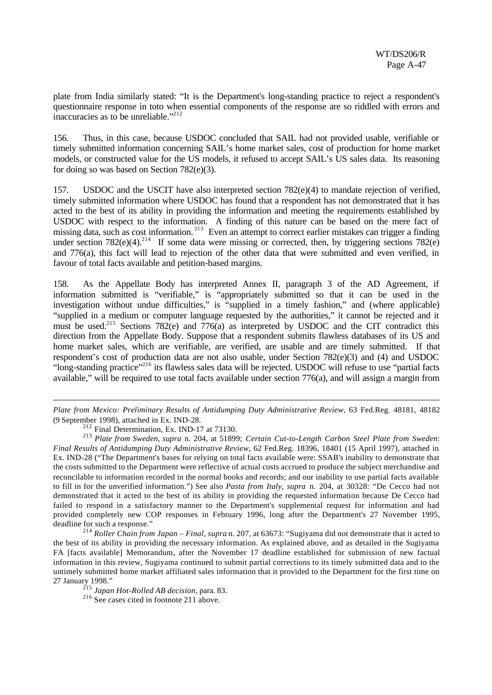plate from India similarly stated: "It is the Department's long-standing practice to reject a respondent's questionnaire response in toto when essential components of the response are so riddled with errors and inaccuracies as to be unreliable."<sup>212</sup>

156. Thus, in this case, because USDOC concluded that SAIL had not provided usable, verifiable or timely submitted information concerning SAIL's home market sales, cost of production for home market models, or constructed value for the US models, it refused to accept SAIL's US sales data. Its reasoning for doing so was based on Section 782(e)(3).

157. USDOC and the USCIT have also interpreted section 782(e)(4) to mandate rejection of verified, timely submitted information where USDOC has found that a respondent has not demonstrated that it has acted to the best of its ability in providing the information and meeting the requirements established by USDOC with respect to the information. A finding of this nature can be based on the mere fact of missing data, such as cost information.<sup>213</sup> Even an attempt to correct earlier mistakes can trigger a finding under section  $782(e)(4)$ <sup>214</sup> If some data were missing or corrected, then, by triggering sections  $782(e)$ and 776(a), this fact will lead to rejection of the other data that were submitted and even verified, in favour of total facts available and petition-based margins.

158. As the Appellate Body has interpreted Annex II, paragraph 3 of the AD Agreement, if information submitted is "verifiable," is "appropriately submitted so that it can be used in the investigation without undue difficulties," is "supplied in a timely fashion," and (where applicable) "supplied in a medium or computer language requested by the authorities," it cannot be rejected and it must be used.<sup>215</sup> Sections 782(e) and 776(a) as interpreted by USDOC and the CIT contradict this direction from the Appellate Body. Suppose that a respondent submits flawless databases of its US and home market sales, which are verifiable, are verified, are usable and are timely submitted. If that respondent's cost of production data are not also usable, under Section 782(e)(3) and (4) and USDOC "long-standing practice"<sup>216</sup> its flawless sales data will be rejected. USDOC will refuse to use "partial facts available," will be required to use total facts available under section 776(a), and will assign a margin from

l

<sup>215</sup> *Japan Hot-Rolled AB decision*, para. 83.

 $216$  See cases cited in footnote 211 above.

*Plate from Mexico: Preliminary Results of Antidumping Duty Administrative Review*, 63 Fed.Reg. 48181, 48182 (9 September 1998), attached in Ex. IND-28.

<sup>212</sup> Final Determination, Ex. IND-17 at 73130.

<sup>213</sup> *Plate from Sweden, supra* n. 204, at 51899; *Certain Cut-to-Length Carbon Steel Plate from Sweden*: *Final Results of Antidumping Duty Administrative Review*, 62 Fed.Reg. 18396, 18401 (15 April 1997), attached in Ex. IND-28 ("The Department's bases for relying on total facts available were: SSAB's inability to demonstrate that the costs submitted to the Department were reflective of actual costs accrued to produce the subject merchandise and reconcilable to information recorded in the normal books and records; and our inability to use partial facts available to fill in for the unverified information.") See also *Pasta from Italy, supra* n. 204, at 30328: "De Cecco had not demonstrated that it acted to the best of its ability in providing the requested information because De Cecco had failed to respond in a satisfactory manner to the Department's supplemental request for information and had provided completely new COP responses in February 1996, long after the Department's 27 November 1995, deadline for such a response."

<sup>214</sup> *Roller Chain from Japan – Final, supra* n. 207, at 63673: "Sugiyama did not demonstrate that it acted to the best of its ability in providing the necessary information. As explained above, and as detailed in the Sugiyama FA [facts available] Memorandum, after the November 17 deadline established for submission of new factual information in this review, Sugiyama continued to submit partial corrections to its timely submitted data and to the untimely submitted home market affiliated sales information that it provided to the Department for the first time on 27 January 1998."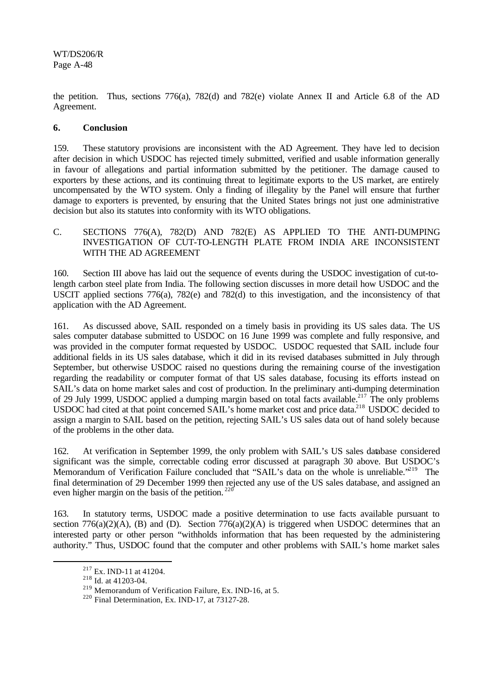the petition. Thus, sections 776(a), 782(d) and 782(e) violate Annex II and Article 6.8 of the AD Agreement.

#### **6. Conclusion**

159. These statutory provisions are inconsistent with the AD Agreement. They have led to decision after decision in which USDOC has rejected timely submitted, verified and usable information generally in favour of allegations and partial information submitted by the petitioner. The damage caused to exporters by these actions, and its continuing threat to legitimate exports to the US market, are entirely uncompensated by the WTO system. Only a finding of illegality by the Panel will ensure that further damage to exporters is prevented, by ensuring that the United States brings not just one administrative decision but also its statutes into conformity with its WTO obligations.

## C. SECTIONS 776(A), 782(D) AND 782(E) AS APPLIED TO THE ANTI-DUMPING INVESTIGATION OF CUT-TO-LENGTH PLATE FROM INDIA ARE INCONSISTENT WITH THE AD AGREEMENT

160. Section III above has laid out the sequence of events during the USDOC investigation of cut-tolength carbon steel plate from India. The following section discusses in more detail how USDOC and the USCIT applied sections 776(a), 782(e) and 782(d) to this investigation, and the inconsistency of that application with the AD Agreement.

161. As discussed above, SAIL responded on a timely basis in providing its US sales data. The US sales computer database submitted to USDOC on 16 June 1999 was complete and fully responsive, and was provided in the computer format requested by USDOC. USDOC requested that SAIL include four additional fields in its US sales database, which it did in its revised databases submitted in July through September, but otherwise USDOC raised no questions during the remaining course of the investigation regarding the readability or computer format of that US sales database, focusing its efforts instead on SAIL's data on home market sales and cost of production. In the preliminary anti-dumping determination of 29 July 1999, USDOC applied a dumping margin based on total facts available.<sup>217</sup> The only problems USDOC had cited at that point concerned SAIL's home market cost and price data.<sup>218</sup> USDOC decided to assign a margin to SAIL based on the petition, rejecting SAIL's US sales data out of hand solely because of the problems in the other data.

162. At verification in September 1999, the only problem with SAIL's US sales database considered significant was the simple, correctable coding error discussed at paragraph 30 above. But USDOC's Memorandum of Verification Failure concluded that "SAIL's data on the whole is unreliable."<sup>219</sup> The final determination of 29 December 1999 then rejected any use of the US sales database, and assigned an even higher margin on the basis of the petition.  $22$ 

163. In statutory terms, USDOC made a positive determination to use facts available pursuant to section 776(a)(2)(A), (B) and (D). Section 776(a)(2)(A) is triggered when USDOC determines that an interested party or other person "withholds information that has been requested by the administering authority." Thus, USDOC found that the computer and other problems with SAIL's home market sales

<sup>217</sup> Ex. IND-11 at 41204.

<sup>218</sup> Id. at 41203-04.

<sup>219</sup> Memorandum of Verification Failure, Ex. IND-16, at 5.

<sup>220</sup> Final Determination, Ex. IND-17, at 73127-28.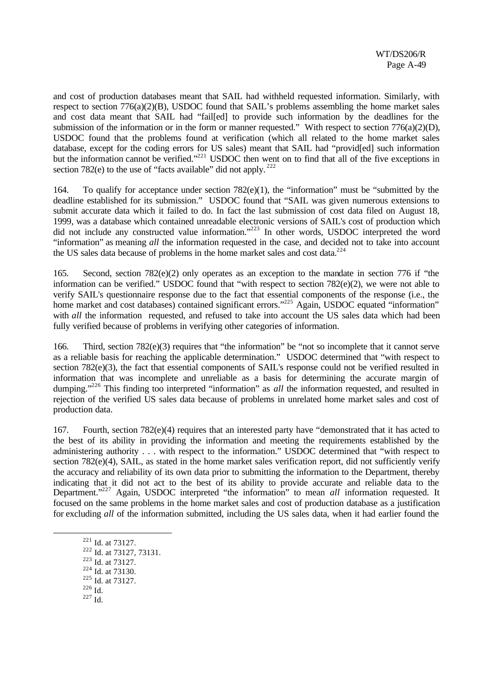and cost of production databases meant that SAIL had withheld requested information. Similarly, with respect to section 776(a)(2)(B), USDOC found that SAIL's problems assembling the home market sales and cost data meant that SAIL had "fail[ed] to provide such information by the deadlines for the submission of the information or in the form or manner requested." With respect to section  $776(a)(2)(D)$ , USDOC found that the problems found at verification (which all related to the home market sales database, except for the coding errors for US sales) meant that SAIL had "provid[ed] such information but the information cannot be verified."<sup>221</sup> USDOC then went on to find that all of the five exceptions in section 782(e) to the use of "facts available" did not apply.  $222$ 

164. To qualify for acceptance under section 782(e)(1), the "information" must be "submitted by the deadline established for its submission." USDOC found that "SAIL was given numerous extensions to submit accurate data which it failed to do. In fact the last submission of cost data filed on August 18, 1999, was a database which contained unreadable electronic versions of SAIL's cost of production which did not include any constructed value information."<sup>223</sup> In other words, USDOC interpreted the word "information" as meaning *all* the information requested in the case, and decided not to take into account the US sales data because of problems in the home market sales and cost data.<sup>224</sup>

165. Second, section 782(e)(2) only operates as an exception to the mandate in section 776 if "the information can be verified." USDOC found that "with respect to section 782(e)(2), we were not able to verify SAIL's questionnaire response due to the fact that essential components of the response (i.e., the home market and cost databases) contained significant errors."<sup>225</sup> Again, USDOC equated "information" with *all* the information requested, and refused to take into account the US sales data which had been fully verified because of problems in verifying other categories of information.

166. Third, section 782(e)(3) requires that "the information" be "not so incomplete that it cannot serve as a reliable basis for reaching the applicable determination." USDOC determined that "with respect to section 782(e)(3), the fact that essential components of SAIL's response could not be verified resulted in information that was incomplete and unreliable as a basis for determining the accurate margin of dumping."<sup>226</sup> This finding too interpreted "information" as *all* the information requested, and resulted in rejection of the verified US sales data because of problems in unrelated home market sales and cost of production data.

167. Fourth, section 782(e)(4) requires that an interested party have "demonstrated that it has acted to the best of its ability in providing the information and meeting the requirements established by the administering authority . . . with respect to the information." USDOC determined that "with respect to section 782(e)(4), SAIL, as stated in the home market sales verification report, did not sufficiently verify the accuracy and reliability of its own data prior to submitting the information to the Department, thereby indicating that it did not act to the best of its ability to provide accurate and reliable data to the Department."<sup>227</sup> Again, USDOC interpreted "the information" to mean *all* information requested. It focused on the same problems in the home market sales and cost of production database as a justification for excluding *all* of the information submitted, including the US sales data, when it had earlier found the

- <sup>221</sup> Id. at 73127.
- $222$  Id. at 73127, 73131.
- <sup>223</sup> Id. at 73127.
- <sup>224</sup> Id. at 73130.
- <sup>225</sup> Id. at 73127.
- <sup>226</sup> Id.

l

<sup>227</sup> Id.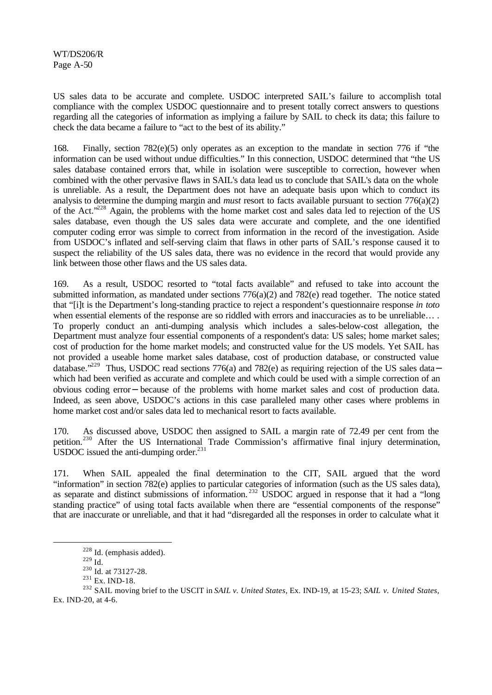US sales data to be accurate and complete. USDOC interpreted SAIL's failure to accomplish total compliance with the complex USDOC questionnaire and to present totally correct answers to questions regarding all the categories of information as implying a failure by SAIL to check its data; this failure to check the data became a failure to "act to the best of its ability."

168. Finally, section 782(e)(5) only operates as an exception to the mandate in section 776 if "the information can be used without undue difficulties." In this connection, USDOC determined that "the US sales database contained errors that, while in isolation were susceptible to correction, however when combined with the other pervasive flaws in SAIL's data lead us to conclude that SAIL's data on the whole is unreliable. As a result, the Department does not have an adequate basis upon which to conduct its analysis to determine the dumping margin and *must* resort to facts available pursuant to section 776(a)(2) of the Act."<sup>228</sup> Again, the problems with the home market cost and sales data led to rejection of the US sales database, even though the US sales data were accurate and complete, and the one identified computer coding error was simple to correct from information in the record of the investigation. Aside from USDOC's inflated and self-serving claim that flaws in other parts of SAIL's response caused it to suspect the reliability of the US sales data, there was no evidence in the record that would provide any link between those other flaws and the US sales data.

169. As a result, USDOC resorted to "total facts available" and refused to take into account the submitted information, as mandated under sections 776(a)(2) and 782(e) read together. The notice stated that "[i]t is the Department's long-standing practice to reject a respondent's questionnaire response *in toto* when essential elements of the response are so riddled with errors and inaccuracies as to be unreliable.... To properly conduct an anti-dumping analysis which includes a sales-below-cost allegation, the Department must analyze four essential components of a respondent's data: US sales; home market sales; cost of production for the home market models; and constructed value for the US models. Yet SAIL has not provided a useable home market sales database, cost of production database, or constructed value database."<sup>229</sup> Thus, USDOC read sections 776(a) and 782(e) as requiring rejection of the US sales data− which had been verified as accurate and complete and which could be used with a simple correction of an obvious coding error− because of the problems with home market sales and cost of production data. Indeed, as seen above, USDOC's actions in this case paralleled many other cases where problems in home market cost and/or sales data led to mechanical resort to facts available.

170. As discussed above, USDOC then assigned to SAIL a margin rate of 72.49 per cent from the petition.<sup>230</sup> After the US International Trade Commission's affirmative final injury determination, USDOC issued the anti-dumping order. $^{231}$ 

171. When SAIL appealed the final determination to the CIT, SAIL argued that the word "information" in section 782(e) applies to particular categories of information (such as the US sales data), as separate and distinct submissions of information.<sup>232</sup> USDOC argued in response that it had a "long" standing practice" of using total facts available when there are "essential components of the response" that are inaccurate or unreliable, and that it had "disregarded all the responses in order to calculate what it

<sup>228</sup> Id. (emphasis added).

 $229$  Id.

<sup>230</sup> Id. at 73127-28.

 $231$  Ex. IND-18.

<sup>232</sup> SAIL moving brief to the USCIT in *SAIL v. United States,* Ex. IND-19, at 15-23; *SAIL v. United States,* Ex. IND-20, at 4-6.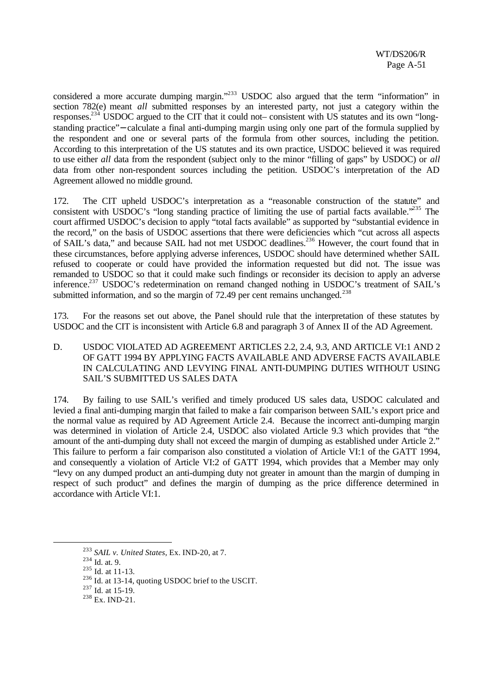considered a more accurate dumping margin."<sup>233</sup> USDOC also argued that the term "information" in section 782(e) meant *all* submitted responses by an interested party, not just a category within the responses.<sup>234</sup> USDOC argued to the CIT that it could not– consistent with US statutes and its own "longstanding practice"− calculate a final anti-dumping margin using only one part of the formula supplied by the respondent and one or several parts of the formula from other sources, including the petition. According to this interpretation of the US statutes and its own practice, USDOC believed it was required to use either *all* data from the respondent (subject only to the minor "filling of gaps" by USDOC) or *all* data from other non-respondent sources including the petition. USDOC's interpretation of the AD Agreement allowed no middle ground.

172. The CIT upheld USDOC's interpretation as a "reasonable construction of the statute" and consistent with USDOC's "long standing practice of limiting the use of partial facts available."<sup>235</sup> The court affirmed USDOC's decision to apply "total facts available" as supported by "substantial evidence in the record," on the basis of USDOC assertions that there were deficiencies which "cut across all aspects of SAIL's data," and because SAIL had not met USDOC deadlines.<sup>236</sup> However, the court found that in these circumstances, before applying adverse inferences, USDOC should have determined whether SAIL refused to cooperate or could have provided the information requested but did not. The issue was remanded to USDOC so that it could make such findings or reconsider its decision to apply an adverse inference.<sup>237</sup> USDOC's redetermination on remand changed nothing in USDOC's treatment of SAIL's submitted information, and so the margin of  $72.49$  per cent remains unchanged.<sup>238</sup>

173. For the reasons set out above, the Panel should rule that the interpretation of these statutes by USDOC and the CIT is inconsistent with Article 6.8 and paragraph 3 of Annex II of the AD Agreement.

D. USDOC VIOLATED AD AGREEMENT ARTICLES 2.2, 2.4, 9.3, AND ARTICLE VI:1 AND 2 OF GATT 1994 BY APPLYING FACTS AVAILABLE AND ADVERSE FACTS AVAILABLE IN CALCULATING AND LEVYING FINAL ANTI-DUMPING DUTIES WITHOUT USING SAIL'S SUBMITTED US SALES DATA

174. By failing to use SAIL's verified and timely produced US sales data, USDOC calculated and levied a final anti-dumping margin that failed to make a fair comparison between SAIL's export price and the normal value as required by AD Agreement Article 2.4. Because the incorrect anti-dumping margin was determined in violation of Article 2.4, USDOC also violated Article 9.3 which provides that "the amount of the anti-dumping duty shall not exceed the margin of dumping as established under Article 2." This failure to perform a fair comparison also constituted a violation of Article VI:1 of the GATT 1994, and consequently a violation of Article VI:2 of GATT 1994, which provides that a Member may only "levy on any dumped product an anti-dumping duty not greater in amount than the margin of dumping in respect of such product" and defines the margin of dumping as the price difference determined in accordance with Article VI:1.

- <sup>237</sup> Id. at 15-19.
- <sup>238</sup> Ex. IND-21.

<sup>233</sup> *SAIL v. United States*, Ex. IND-20, at 7.

<sup>234</sup> Id. at. 9.

<sup>235</sup> Id. at 11-13.

<sup>236</sup> Id. at 13-14, quoting USDOC brief to the USCIT.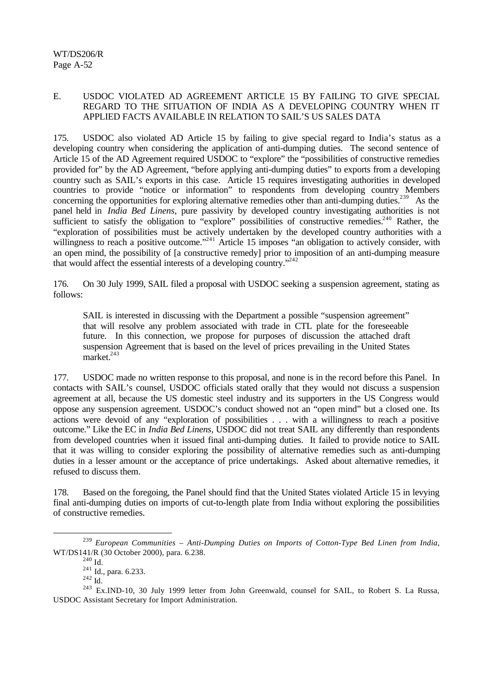#### E. USDOC VIOLATED AD AGREEMENT ARTICLE 15 BY FAILING TO GIVE SPECIAL REGARD TO THE SITUATION OF INDIA AS A DEVELOPING COUNTRY WHEN IT APPLIED FACTS AVAILABLE IN RELATION TO SAIL'S US SALES DATA

175. USDOC also violated AD Article 15 by failing to give special regard to India's status as a developing country when considering the application of anti-dumping duties. The second sentence of Article 15 of the AD Agreement required USDOC to "explore" the "possibilities of constructive remedies provided for" by the AD Agreement, "before applying anti-dumping duties" to exports from a developing country such as SAIL's exports in this case. Article 15 requires investigating authorities in developed countries to provide "notice or information" to respondents from developing country Members concerning the opportunities for exploring alternative remedies other than anti-dumping duties.<sup>239</sup> As the panel held in *India Bed Linens*, pure passivity by developed country investigating authorities is not sufficient to satisfy the obligation to "explore" possibilities of constructive remedies.<sup>240</sup> Rather, the "exploration of possibilities must be actively undertaken by the developed country authorities with a willingness to reach a positive outcome."<sup>241</sup> Article 15 imposes "an obligation to actively consider, with an open mind, the possibility of [a constructive remedy] prior to imposition of an anti-dumping measure that would affect the essential interests of a developing country."<sup>242</sup>

176. On 30 July 1999, SAIL filed a proposal with USDOC seeking a suspension agreement, stating as follows:

SAIL is interested in discussing with the Department a possible "suspension agreement" that will resolve any problem associated with trade in CTL plate for the foreseeable future. In this connection, we propose for purposes of discussion the attached draft suspension Agreement that is based on the level of prices prevailing in the United States  $\text{market.}^{243}$ 

177. USDOC made no written response to this proposal, and none is in the record before this Panel. In contacts with SAIL's counsel, USDOC officials stated orally that they would not discuss a suspension agreement at all, because the US domestic steel industry and its supporters in the US Congress would oppose any suspension agreement. USDOC's conduct showed not an "open mind" but a closed one. Its actions were devoid of any "exploration of possibilities . . . with a willingness to reach a positive outcome." Like the EC in *India Bed Linens,* USDOC did not treat SAIL any differently than respondents from developed countries when it issued final anti-dumping duties. It failed to provide notice to SAIL that it was willing to consider exploring the possibility of alternative remedies such as anti-dumping duties in a lesser amount or the acceptance of price undertakings. Asked about alternative remedies, it refused to discuss them.

178. Based on the foregoing, the Panel should find that the United States violated Article 15 in levying final anti-dumping duties on imports of cut-to-length plate from India without exploring the possibilities of constructive remedies.

<sup>239</sup> *European Communities – Anti-Dumping Duties on Imports of Cotton-Type Bed Linen from India*, WT/DS141/R (30 October 2000), para. 6.238.

<sup>240</sup> Id.

<sup>241</sup> Id., para. 6.233.

<sup>242</sup> Id*.*

<sup>&</sup>lt;sup>243</sup> Ex.IND-10, 30 July 1999 letter from John Greenwald, counsel for SAIL, to Robert S. La Russa, USDOC Assistant Secretary for Import Administration.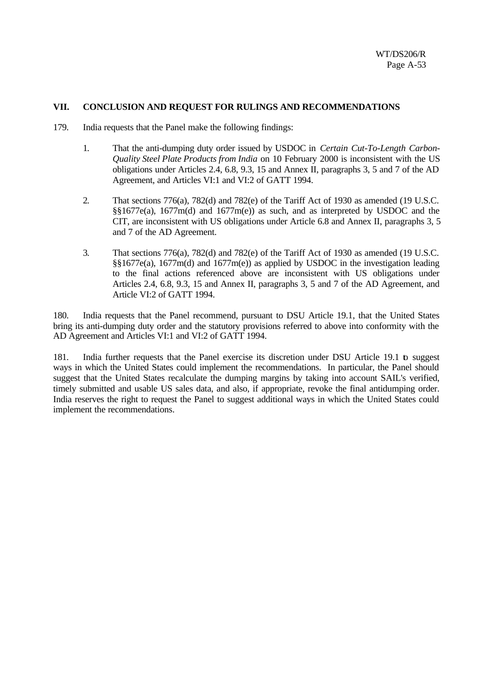#### **VII. CONCLUSION AND REQUEST FOR RULINGS AND RECOMMENDATIONS**

- 179. India requests that the Panel make the following findings:
	- 1. That the anti-dumping duty order issued by USDOC in *Certain Cut-To-Length Carbon-Quality Steel Plate Products from India* on 10 February 2000 is inconsistent with the US obligations under Articles 2.4, 6.8, 9.3, 15 and Annex II, paragraphs 3, 5 and 7 of the AD Agreement, and Articles VI:1 and VI:2 of GATT 1994.
	- 2. That sections 776(a), 782(d) and 782(e) of the Tariff Act of 1930 as amended (19 U.S.C. §§1677e(a), 1677m(d) and 1677m(e)) as such, and as interpreted by USDOC and the CIT, are inconsistent with US obligations under Article 6.8 and Annex II, paragraphs 3, 5 and 7 of the AD Agreement.
	- 3. That sections 776(a), 782(d) and 782(e) of the Tariff Act of 1930 as amended (19 U.S.C. §§1677e(a), 1677m(d) and 1677m(e)) as applied by USDOC in the investigation leading to the final actions referenced above are inconsistent with US obligations under Articles 2.4, 6.8, 9.3, 15 and Annex II, paragraphs 3, 5 and 7 of the AD Agreement, and Article VI:2 of GATT 1994.

180. India requests that the Panel recommend, pursuant to DSU Article 19.1, that the United States bring its anti-dumping duty order and the statutory provisions referred to above into conformity with the AD Agreement and Articles VI:1 and VI:2 of GATT 1994.

181. India further requests that the Panel exercise its discretion under DSU Article 19.1 to suggest ways in which the United States could implement the recommendations. In particular, the Panel should suggest that the United States recalculate the dumping margins by taking into account SAIL's verified, timely submitted and usable US sales data, and also, if appropriate, revoke the final antidumping order. India reserves the right to request the Panel to suggest additional ways in which the United States could implement the recommendations.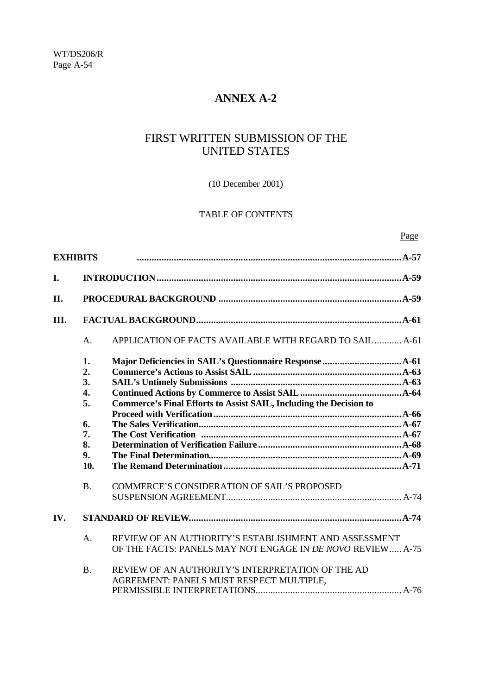# **ANNEX A-2**

## FIRST WRITTEN SUBMISSION OF THE UNITED STATES

## (10 December 2001)

## TABLE OF CONTENTS

|      |                 | Page                                                                      |  |  |
|------|-----------------|---------------------------------------------------------------------------|--|--|
|      | <b>EXHIBITS</b> |                                                                           |  |  |
| I.   |                 |                                                                           |  |  |
| II.  |                 |                                                                           |  |  |
| III. |                 |                                                                           |  |  |
|      | $\mathsf{A}$ .  | APPLICATION OF FACTS AVAILABLE WITH REGARD TO SAIL  A-61                  |  |  |
|      | 1.              |                                                                           |  |  |
|      | 2.              |                                                                           |  |  |
|      | 3.              |                                                                           |  |  |
|      | 4.              |                                                                           |  |  |
|      | 5.              | <b>Commerce's Final Efforts to Assist SAIL, Including the Decision to</b> |  |  |
|      |                 |                                                                           |  |  |
|      | 6.              |                                                                           |  |  |
|      | 7.              |                                                                           |  |  |
|      | 8.<br>9.        |                                                                           |  |  |
|      | 10.             |                                                                           |  |  |
|      |                 |                                                                           |  |  |
|      | <b>B.</b>       | <b>COMMERCE'S CONSIDERATION OF SAIL'S PROPOSED</b>                        |  |  |
|      |                 |                                                                           |  |  |
|      |                 |                                                                           |  |  |
| IV.  |                 |                                                                           |  |  |
|      | $\mathsf{A}$ .  | REVIEW OF AN AUTHORITY'S ESTABLISHMENT AND ASSESSMENT                     |  |  |
|      |                 | OF THE FACTS: PANELS MAY NOT ENGAGE IN DE NOVO REVIEW A-75                |  |  |
|      |                 |                                                                           |  |  |
|      | <b>B.</b>       | REVIEW OF AN AUTHORITY'S INTERPRETATION OF THE AD                         |  |  |
|      |                 | AGREEMENT: PANELS MUST RESPECT MULTIPLE,                                  |  |  |
|      |                 |                                                                           |  |  |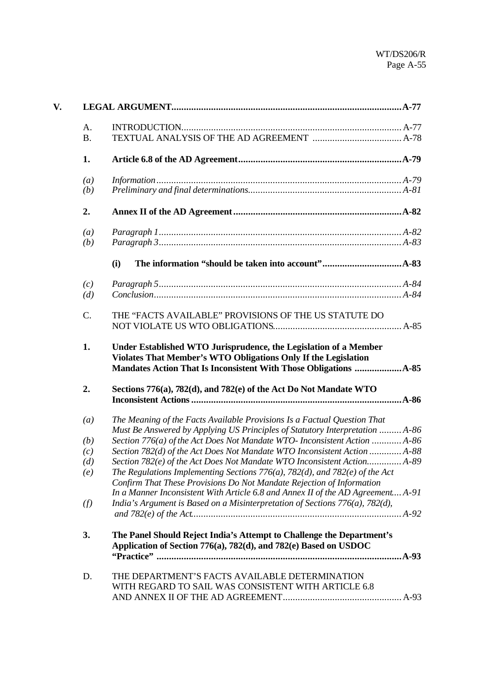| V. |                 |                                                                                                                                                                                                                                         |
|----|-----------------|-----------------------------------------------------------------------------------------------------------------------------------------------------------------------------------------------------------------------------------------|
|    | A.<br><b>B.</b> |                                                                                                                                                                                                                                         |
|    | 1.              |                                                                                                                                                                                                                                         |
|    | (a)<br>(b)      |                                                                                                                                                                                                                                         |
|    | 2.              |                                                                                                                                                                                                                                         |
|    | (a)<br>(b)      |                                                                                                                                                                                                                                         |
|    |                 | (i)                                                                                                                                                                                                                                     |
|    | (c)<br>(d)      |                                                                                                                                                                                                                                         |
|    | C.              | THE "FACTS AVAILABLE" PROVISIONS OF THE US STATUTE DO                                                                                                                                                                                   |
|    | 1.              | Under Established WTO Jurisprudence, the Legislation of a Member<br>Violates That Member's WTO Obligations Only If the Legislation                                                                                                      |
|    | 2.              | Sections 776(a), 782(d), and 782(e) of the Act Do Not Mandate WTO                                                                                                                                                                       |
|    | (a)             | The Meaning of the Facts Available Provisions Is a Factual Question That<br>Must Be Answered by Applying US Principles of Statutory Interpretation  A-86                                                                                |
|    | (b)             | Section 776(a) of the Act Does Not Mandate WTO- Inconsistent Action  A-86                                                                                                                                                               |
|    | (c)             | Section 782(d) of the Act Does Not Mandate WTO Inconsistent Action  A-88                                                                                                                                                                |
|    | (d)             | Section 782(e) of the Act Does Not Mandate WTO Inconsistent Action A-89                                                                                                                                                                 |
|    | (e)             | The Regulations Implementing Sections 776(a), 782(d), and 782(e) of the Act<br>Confirm That These Provisions Do Not Mandate Rejection of Information<br>In a Manner Inconsistent With Article 6.8 and Annex II of the AD Agreement A-91 |
|    | (f)             | India's Argument is Based on a Misinterpretation of Sections 776(a), 782(d),                                                                                                                                                            |
|    | 3.              | The Panel Should Reject India's Attempt to Challenge the Department's<br>Application of Section 776(a), 782(d), and 782(e) Based on USDOC                                                                                               |
|    | D.              | THE DEPARTMENT'S FACTS AVAILABLE DETERMINATION                                                                                                                                                                                          |
|    |                 | WITH REGARD TO SAIL WAS CONSISTENT WITH ARTICLE 6.8                                                                                                                                                                                     |
|    |                 |                                                                                                                                                                                                                                         |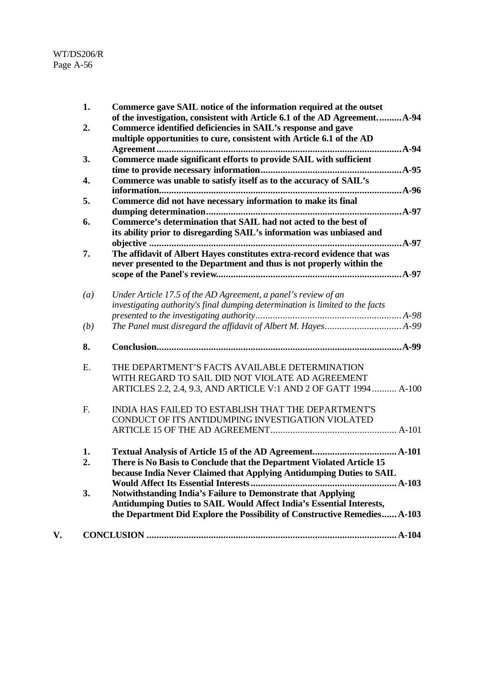|    | 1.               | Commerce gave SAIL notice of the information required at the outset<br>of the investigation, consistent with Article 6.1 of the AD AgreementA-94  |
|----|------------------|---------------------------------------------------------------------------------------------------------------------------------------------------|
|    | 2.               | Commerce identified deficiencies in SAIL's response and gave<br>multiple opportunities to cure, consistent with Article 6.1 of the AD             |
|    |                  | A-94                                                                                                                                              |
|    | 3.               | Commerce made significant efforts to provide SAIL with sufficient                                                                                 |
|    |                  |                                                                                                                                                   |
|    | 4.               | Commerce was unable to satisfy itself as to the accuracy of SAIL's                                                                                |
|    | 5.               | Commerce did not have necessary information to make its final                                                                                     |
|    |                  |                                                                                                                                                   |
|    | 6.               | Commerce's determination that SAIL had not acted to the best of                                                                                   |
|    |                  | its ability prior to disregarding SAIL's information was unbiased and                                                                             |
|    | 7.               | The affidavit of Albert Hayes constitutes extra-record evidence that was<br>never presented to the Department and thus is not properly within the |
|    |                  |                                                                                                                                                   |
|    |                  |                                                                                                                                                   |
|    | $\left(a\right)$ | Under Article 17.5 of the AD Agreement, a panel's review of an                                                                                    |
|    |                  | investigating authority's final dumping determination is limited to the facts                                                                     |
|    | (b)              |                                                                                                                                                   |
|    |                  |                                                                                                                                                   |
|    | 8.               |                                                                                                                                                   |
|    | E.               | THE DEPARTMENT'S FACTS AVAILABLE DETERMINATION                                                                                                    |
|    |                  | WITH REGARD TO SAIL DID NOT VIOLATE AD AGREEMENT                                                                                                  |
|    |                  | ARTICLES 2.2, 2.4, 9.3, AND ARTICLE V:1 AND 2 OF GATT 1994 A-100                                                                                  |
|    |                  |                                                                                                                                                   |
|    | F.               | <b>INDIA HAS FAILED TO ESTABLISH THAT THE DEPARTMENT'S</b>                                                                                        |
|    |                  | CONDUCT OF ITS ANTIDUMPING INVESTIGATION VIOLATED                                                                                                 |
|    |                  |                                                                                                                                                   |
|    | 1.               |                                                                                                                                                   |
|    | 2.               | There is No Basis to Conclude that the Department Violated Article 15                                                                             |
|    |                  | because India Never Claimed that Applying Antidumping Duties to SAIL                                                                              |
|    |                  |                                                                                                                                                   |
|    | 3.               | Notwithstanding India's Failure to Demonstrate that Applying                                                                                      |
|    |                  | Antidumping Duties to SAIL Would Affect India's Essential Interests,                                                                              |
|    |                  | the Department Did Explore the Possibility of Constructive Remedies A-103                                                                         |
| V. |                  |                                                                                                                                                   |
|    |                  |                                                                                                                                                   |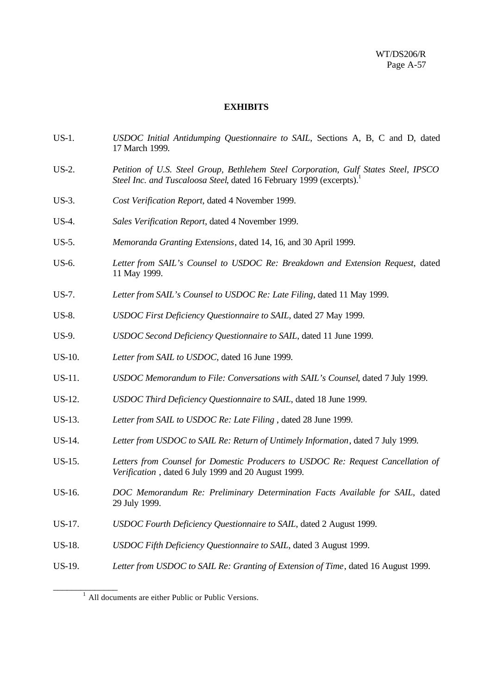#### **EXHIBITS**

- US-1. *USDOC Initial Antidumping Questionnaire to SAIL*, Sections A, B, C and D, dated 17 March 1999*.*
- US-2. *Petition of U.S. Steel Group, Bethlehem Steel Corporation, Gulf States Steel, IPSCO Steel Inc. and Tuscaloosa Steel*, dated 16 February 1999 (excerpts).<sup>1</sup>
- US-3. *Cost Verification Report*, dated 4 November 1999.
- US-4. *Sales Verification Report*, dated 4 November 1999.
- US-5. *Memoranda Granting Extensions*, dated 14, 16, and 30 April 1999.
- US-6. *Letter from SAIL's Counsel to USDOC Re: Breakdown and Extension Request*, dated 11 May 1999.
- US-7. *Letter from SAIL's Counsel to USDOC Re: Late Filing*, dated 11 May 1999.
- US-8. *USDOC First Deficiency Questionnaire to SAIL,* dated 27 May 1999.
- US-9. *USDOC Second Deficiency Questionnaire to SAIL*, dated 11 June 1999.
- US-10. *Letter from SAIL to USDOC*, dated 16 June 1999.
- US-11. *USDOC Memorandum to File: Conversations with SAIL's Counsel*, dated 7 July 1999.
- US-12. *USDOC Third Deficiency Questionnaire to SAIL*, dated 18 June 1999.
- US-13. *Letter from SAIL to USDOC Re: Late Filing*, dated 28 June 1999.
- US-14. *Letter from USDOC to SAIL Re: Return of Untimely Information*, dated 7 July 1999.
- US-15. *Letters from Counsel for Domestic Producers to USDOC Re: Request Cancellation of Verification* , dated 6 July 1999 and 20 August 1999.
- US-16. *DOC Memorandum Re: Preliminary Determination Facts Available for SAIL*, dated 29 July 1999.
- US-17. *USDOC Fourth Deficiency Questionnaire to SAIL*, dated 2 August 1999.
- US-18. *USDOC Fifth Deficiency Questionnaire to SAIL*, dated 3 August 1999.
- US-19. *Letter from USDOC to SAIL Re: Granting of Extension of Time*, dated 16 August 1999.

\_\_\_\_\_\_\_\_\_\_\_\_\_\_

 $<sup>1</sup>$  All documents are either Public or Public Versions.</sup>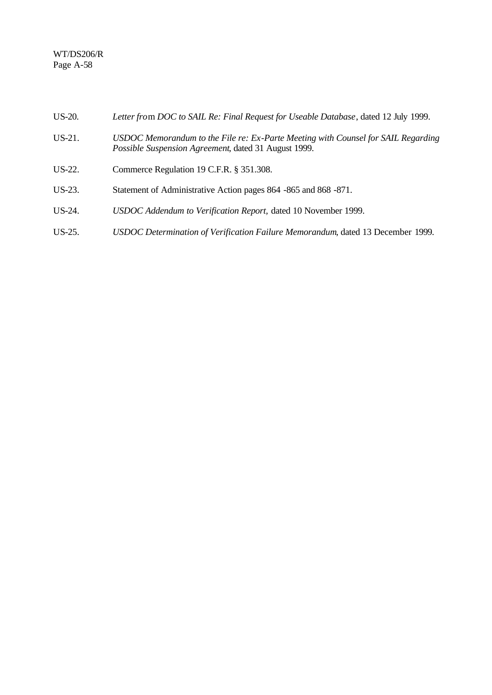- US-20. *Letter fro*m *DOC to SAIL Re: Final Request for Useable Database*, dated 12 July 1999.
- US-21. *USDOC Memorandum to the File re: Ex-Parte Meeting with Counsel for SAIL Regarding Possible Suspension Agreement*, dated 31 August 1999.
- US-22. Commerce Regulation 19 C.F.R. § 351.308.
- US-23. Statement of Administrative Action pages 864 -865 and 868 -871.
- US-24. *USDOC Addendum to Verification Report,* dated 10 November 1999.
- US-25. *USDOC Determination of Verification Failure Memorandum*, dated 13 December 1999.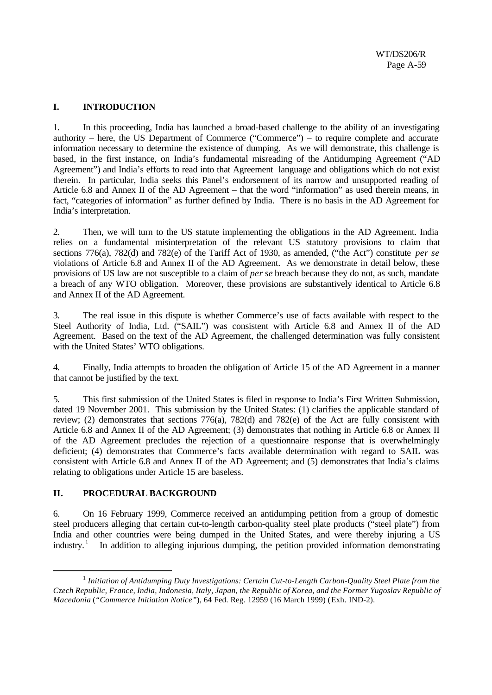## **I. INTRODUCTION**

1. In this proceeding, India has launched a broad-based challenge to the ability of an investigating authority – here, the US Department of Commerce ("Commerce") – to require complete and accurate information necessary to determine the existence of dumping. As we will demonstrate, this challenge is based, in the first instance, on India's fundamental misreading of the Antidumping Agreement ("AD Agreement") and India's efforts to read into that Agreement language and obligations which do not exist therein. In particular, India seeks this Panel's endorsement of its narrow and unsupported reading of Article 6.8 and Annex II of the AD Agreement – that the word "information" as used therein means, in fact, "categories of information" as further defined by India. There is no basis in the AD Agreement for India's interpretation.

2. Then, we will turn to the US statute implementing the obligations in the AD Agreement. India relies on a fundamental misinterpretation of the relevant US statutory provisions to claim that sections 776(a), 782(d) and 782(e) of the Tariff Act of 1930, as amended, ("the Act") constitute *per se* violations of Article 6.8 and Annex II of the AD Agreement. As we demonstrate in detail below, these provisions of US law are not susceptible to a claim of *per se* breach because they do not, as such, mandate a breach of any WTO obligation. Moreover, these provisions are substantively identical to Article 6.8 and Annex II of the AD Agreement.

3. The real issue in this dispute is whether Commerce's use of facts available with respect to the Steel Authority of India, Ltd. ("SAIL") was consistent with Article 6.8 and Annex II of the AD Agreement. Based on the text of the AD Agreement, the challenged determination was fully consistent with the United States' WTO obligations.

4. Finally, India attempts to broaden the obligation of Article 15 of the AD Agreement in a manner that cannot be justified by the text.

5. This first submission of the United States is filed in response to India's First Written Submission, dated 19 November 2001. This submission by the United States: (1) clarifies the applicable standard of review; (2) demonstrates that sections 776(a), 782(d) and 782(e) of the Act are fully consistent with Article 6.8 and Annex II of the AD Agreement; (3) demonstrates that nothing in Article 6.8 or Annex II of the AD Agreement precludes the rejection of a questionnaire response that is overwhelmingly deficient; (4) demonstrates that Commerce's facts available determination with regard to SAIL was consistent with Article 6.8 and Annex II of the AD Agreement; and (5) demonstrates that India's claims relating to obligations under Article 15 are baseless.

## **II. PROCEDURAL BACKGROUND**

l

6. On 16 February 1999, Commerce received an antidumping petition from a group of domestic steel producers alleging that certain cut-to-length carbon-quality steel plate products ("steel plate") from India and other countries were being dumped in the United States, and were thereby injuring a US industry. $<sup>1</sup>$ </sup> In addition to alleging injurious dumping, the petition provided information demonstrating

<sup>&</sup>lt;sup>1</sup> Initiation of Antidumping Duty Investigations: Certain Cut-to-Length Carbon-Quality Steel Plate from the *Czech Republic, France, India, Indonesia, Italy, Japan, the Republic of Korea, and the Former Yugoslav Republic of Macedonia* (*"Commerce Initiation Notice"*), 64 Fed. Reg. 12959 (16 March 1999) (Exh. IND-2).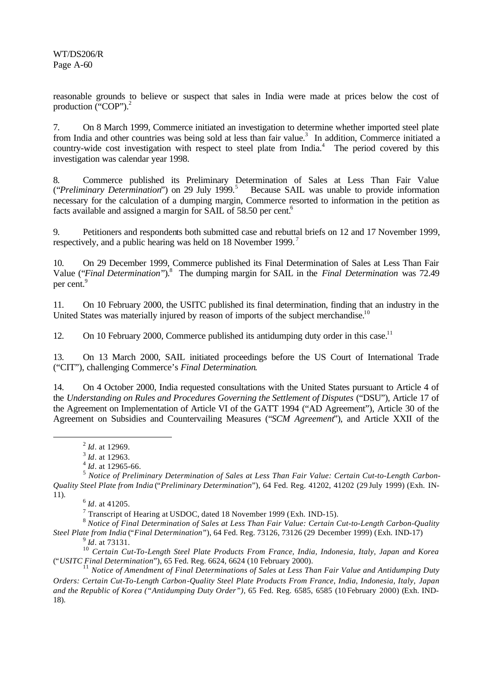reasonable grounds to believe or suspect that sales in India were made at prices below the cost of production ("COP").<sup>2</sup>

7. On 8 March 1999, Commerce initiated an investigation to determine whether imported steel plate from India and other countries was being sold at less than fair value.<sup>3</sup> In addition, Commerce initiated a country-wide cost investigation with respect to steel plate from India.<sup>4</sup> The period covered by this investigation was calendar year 1998.

8. Commerce published its Preliminary Determination of Sales at Less Than Fair Value ("*Preliminary Determination*") on 29 July 1999.<sup>5</sup> Because SAIL was unable to provide information necessary for the calculation of a dumping margin, Commerce resorted to information in the petition as facts available and assigned a margin for SAIL of 58.50 per cent.<sup>6</sup>

9. Petitioners and respondents both submitted case and rebuttal briefs on 12 and 17 November 1999, respectively, and a public hearing was held on 18 November 1999. <sup>7</sup>

10. On 29 December 1999, Commerce published its Final Determination of Sales at Less Than Fair Value ("Final Determination").<sup>8</sup> The dumping margin for SAIL in the *Final Determination* was 72.49 per cent.<sup>9</sup>

11. On 10 February 2000, the USITC published its final determination, finding that an industry in the United States was materially injured by reason of imports of the subject merchandise.<sup>10</sup>

12. On 10 February 2000, Commerce published its antidumping duty order in this case.<sup>11</sup>

13. On 13 March 2000, SAIL initiated proceedings before the US Court of International Trade ("CIT"), challenging Commerce's *Final Determination*.

14. On 4 October 2000, India requested consultations with the United States pursuant to Article 4 of the *Understanding on Rules and Procedures Governing the Settlement of Disputes* ("DSU"), Article 17 of the Agreement on Implementation of Article VI of the GATT 1994 ("AD Agreement"), Article 30 of the Agreement on Subsidies and Countervailing Measures ("*SCM Agreement*"), and Article XXII of the

l

<sup>5</sup> *Notice of Preliminary Determination of Sales at Less Than Fair Value: Certain Cut-to-Length Carbon-Quality Steel Plate from India* ("*Preliminary Determination*"), 64 Fed. Reg. 41202, 41202 (29 July 1999) (Exh. IN-11).

6 *Id*. at 41205.

 $7$  Transcript of Hearing at USDOC, dated 18 November 1999 (Exh. IND-15).

<sup>8</sup> *Notice of Final Determination of Sales at Less Than Fair Value: Certain Cut-to-Length Carbon-Quality Steel Plate from India* ("*Final Determination*"), 64 Fed. Reg. 73126, 73126 (29 December 1999) (Exh. IND-17)

9 *Id*. at 73131.

<sup>10</sup> *Certain Cut-To-Length Steel Plate Products From France, India, Indonesia, Italy, Japan and Korea* ("*USITC Final Determination*"), 65 Fed. Reg. 6624, 6624 (10 February 2000).

<sup>11</sup> *Notice of Amendment of Final Determinations of Sales at Less Than Fair Value and Antidumping Duty Orders: Certain Cut-To-Length Carbon-Quality Steel Plate Products From France, India, Indonesia, Italy, Japan and the Republic of Korea ("Antidumping Duty Order"),* 65 Fed. Reg. 6585, 6585 (10 February 2000) (Exh. IND-18).

<sup>2</sup> *Id*. at 12969.

<sup>3</sup> *Id*. at 12963.

<sup>4</sup> *Id*. at 12965-66.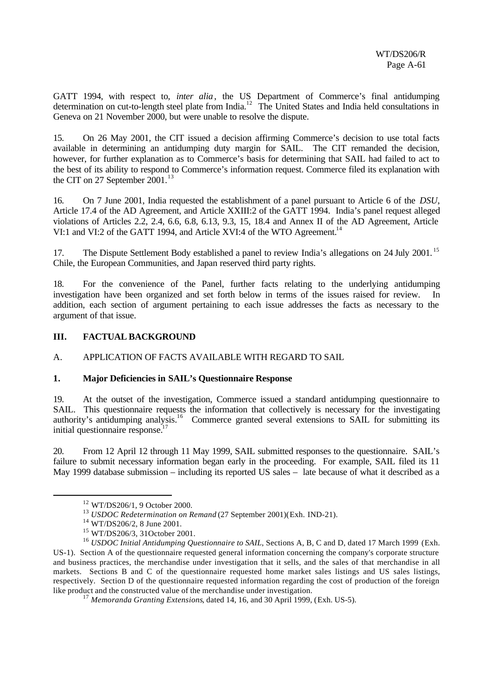GATT 1994, with respect to, *inter alia*, the US Department of Commerce's final antidumping determination on cut-to-length steel plate from India.<sup>12</sup> The United States and India held consultations in Geneva on 21 November 2000, but were unable to resolve the dispute.

15. On 26 May 2001, the CIT issued a decision affirming Commerce's decision to use total facts available in determining an antidumping duty margin for SAIL. The CIT remanded the decision, however, for further explanation as to Commerce's basis for determining that SAIL had failed to act to the best of its ability to respond to Commerce's information request. Commerce filed its explanation with the CIT on 27 September 2001.<sup>13</sup>

16. On 7 June 2001, India requested the establishment of a panel pursuant to Article 6 of the *DSU*, Article 17.4 of the AD Agreement, and Article XXIII:2 of the GATT 1994. India's panel request alleged violations of Articles 2.2, 2.4, 6.6, 6.8, 6.13, 9.3, 15, 18.4 and Annex II of the AD Agreement, Article VI:1 and VI:2 of the GATT 1994, and Article XVI:4 of the WTO Agreement.<sup>14</sup>

17. The Dispute Settlement Body established a panel to review India's allegations on 24 July 2001.<sup>15</sup> Chile, the European Communities, and Japan reserved third party rights.

18. For the convenience of the Panel, further facts relating to the underlying antidumping investigation have been organized and set forth below in terms of the issues raised for review. In addition, each section of argument pertaining to each issue addresses the facts as necessary to the argument of that issue.

#### **III. FACTUAL BACKGROUND**

## A. APPLICATION OF FACTS AVAILABLE WITH REGARD TO SAIL

#### **1. Major Deficiencies in SAIL's Questionnaire Response**

19. At the outset of the investigation, Commerce issued a standard antidumping questionnaire to SAIL. This questionnaire requests the information that collectively is necessary for the investigating authority's antidumping analysis.<sup>16</sup> Commerce granted several extensions to SAIL for submitting its initial questionnaire response.<sup>17</sup>

20. From 12 April 12 through 11 May 1999, SAIL submitted responses to the questionnaire. SAIL's failure to submit necessary information began early in the proceeding. For example, SAIL filed its 11 May 1999 database submission – including its reported US sales – late because of what it described as a

<sup>12</sup> WT/DS206/1, 9 October 2000.

<sup>13</sup> *USDOC Redetermination on Remand* (27 September 2001)(Exh. IND-21).

<sup>14</sup> WT/DS206/2, 8 June 2001.

<sup>15</sup> WT/DS206/3, 31October 2001.

<sup>&</sup>lt;sup>16</sup> *USDOC Initial Antidumping Questionnaire to SAIL*, Sections A, B, C and D, dated 17 March 1999 (Exh. US-1). Section A of the questionnaire requested general information concerning the company's corporate structure and business practices, the merchandise under investigation that it sells, and the sales of that merchandise in all markets. Sections B and C of the questionnaire requested home market sales listings and US sales listings, respectively. Section D of the questionnaire requested information regarding the cost of production of the foreign like product and the constructed value of the merchandise under investigation.

<sup>17</sup> *Memoranda Granting Extensions*, dated 14, 16, and 30 April 1999, (Exh. US-5).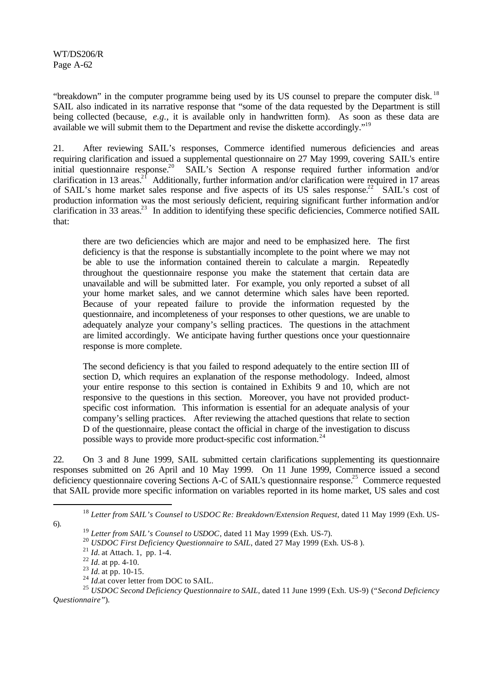"breakdown" in the computer programme being used by its US counsel to prepare the computer disk.<sup>18</sup> SAIL also indicated in its narrative response that "some of the data requested by the Department is still being collected (because, *e.g.*, it is available only in handwritten form). As soon as these data are available we will submit them to the Department and revise the diskette accordingly."<sup>19</sup>

21. After reviewing SAIL's responses, Commerce identified numerous deficiencies and areas requiring clarification and issued a supplemental questionnaire on 27 May 1999, covering SAIL's entire initial questionnaire response.<sup>20</sup> SAIL's Section A response required further information and/or clarification in 13 areas.<sup>21</sup> Additionally, further information and/or clarification were required in 17 areas of SAIL's home market sales response and five aspects of its US sales response.<sup>22</sup> SAIL's cost of production information was the most seriously deficient, requiring significant further information and/or clarification in 33 areas.<sup>23</sup> In addition to identifying these specific deficiencies, Commerce notified SAIL that:

there are two deficiencies which are major and need to be emphasized here. The first deficiency is that the response is substantially incomplete to the point where we may not be able to use the information contained therein to calculate a margin. Repeatedly throughout the questionnaire response you make the statement that certain data are unavailable and will be submitted later. For example, you only reported a subset of all your home market sales, and we cannot determine which sales have been reported. Because of your repeated failure to provide the information requested by the questionnaire, and incompleteness of your responses to other questions, we are unable to adequately analyze your company's selling practices. The questions in the attachment are limited accordingly. We anticipate having further questions once your questionnaire response is more complete.

The second deficiency is that you failed to respond adequately to the entire section III of section D, which requires an explanation of the response methodology. Indeed, almost your entire response to this section is contained in Exhibits 9 and 10, which are not responsive to the questions in this section. Moreover, you have not provided productspecific cost information. This information is essential for an adequate analysis of your company's selling practices. After reviewing the attached questions that relate to section D of the questionnaire, please contact the official in charge of the investigation to discuss possible ways to provide more product-specific cost information.<sup>24</sup>

22. On 3 and 8 June 1999, SAIL submitted certain clarifications supplementing its questionnaire responses submitted on 26 April and 10 May 1999. On 11 June 1999, Commerce issued a second deficiency questionnaire covering Sections A-C of SAIL's questionnaire response.<sup>25</sup> Commerce requested that SAIL provide more specific information on variables reported in its home market, US sales and cost

<sup>18</sup> Letter from SAIL's Counsel to USDOC Re: Breakdown/Extension Request, dated 11 May 1999 (Exh. US-

6).

l

<sup>21</sup> *Id.* at Attach. 1, pp. 1-4.

<sup>22</sup> *Id.* at pp. 4-10.

<sup>25</sup> *USDOC Second Deficiency Questionnaire to SAIL*, dated 11 June 1999 (Exh. US-9) (*"Second Deficiency Questionnaire"*).

<sup>19</sup> *Letter from SAIL's Counsel to USDOC*, dated 11 May 1999 (Exh. US-7).

<sup>&</sup>lt;sup>20</sup> *USDOC First Deficiency Questionnaire to SAIL*, dated 27 May 1999 (Exh. US-8).

<sup>23</sup> *Id.* at pp. 10-15.

<sup>&</sup>lt;sup>24</sup> *Id.*at cover letter from DOC to SAIL.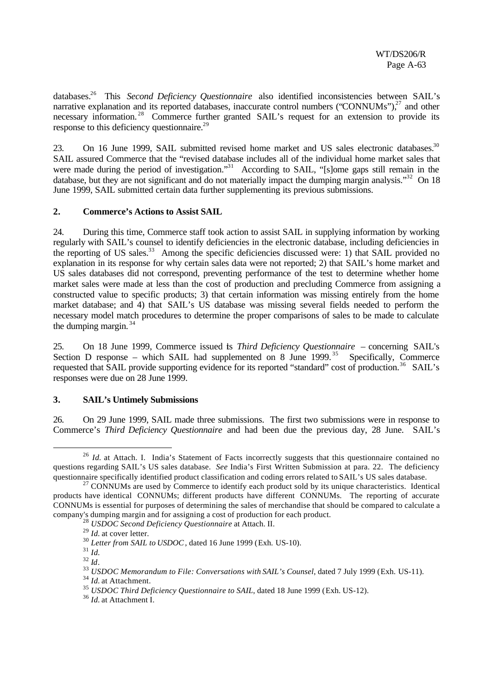databases.<sup>26</sup> This *Second Deficiency Questionnaire* also identified inconsistencies between SAIL's narrative explanation and its reported databases, inaccurate control numbers ("CONNUMs"), $^{27}$  and other necessary information.<sup>28</sup> Commerce further granted SAIL's request for an extension to provide its response to this deficiency questionnaire.<sup>29</sup>

23. On 16 June 1999, SAIL submitted revised home market and US sales electronic databases.<sup>30</sup> SAIL assured Commerce that the "revised database includes all of the individual home market sales that were made during the period of investigation."<sup>31</sup> According to SAIL, "[s]ome gaps still remain in the database, but they are not significant and do not materially impact the dumping margin analysis."<sup>32</sup> On 18 June 1999, SAIL submitted certain data further supplementing its previous submissions.

#### **2. Commerce's Actions to Assist SAIL**

24. During this time, Commerce staff took action to assist SAIL in supplying information by working regularly with SAIL's counsel to identify deficiencies in the electronic database, including deficiencies in the reporting of US sales.<sup>33</sup> Among the specific deficiencies discussed were: 1) that SAIL provided no explanation in its response for why certain sales data were not reported; 2) that SAIL's home market and US sales databases did not correspond, preventing performance of the test to determine whether home market sales were made at less than the cost of production and precluding Commerce from assigning a constructed value to specific products; 3) that certain information was missing entirely from the home market database; and 4) that SAIL's US database was missing several fields needed to perform the necessary model match procedures to determine the proper comparisons of sales to be made to calculate the dumping margin. <sup>34</sup>

25. On 18 June 1999, Commerce issued its *Third Deficiency Questionnaire* – concerning SAIL's Section D response – which SAIL had supplemented on 8 June 1999.<sup>35</sup> Specifically, Commerce requested that SAIL provide supporting evidence for its reported "standard" cost of production.<sup>36</sup> SAIL's responses were due on 28 June 1999.

## **3. SAIL's Untimely Submissions**

26. On 29 June 1999, SAIL made three submissions. The first two submissions were in response to Commerce's *Third Deficiency Questionnaire* and had been due the previous day, 28 June. SAIL's

<sup>&</sup>lt;sup>26</sup> *Id.* at Attach. I. India's Statement of Facts incorrectly suggests that this questionnaire contained no questions regarding SAIL's US sales database. *See* India's First Written Submission at para. 22. The deficiency questionnaire specifically identified product classification and coding errors related to SAIL's US sales database.

<sup>&</sup>lt;sup>27</sup> CONNUMs are used by Commerce to identify each product sold by its unique characteristics. Identical products have identical CONNUMs; different products have different CONNUMs. The reporting of accurate CONNUMs is essential for purposes of determining the sales of merchandise that should be compared to calculate a company's dumping margin and for assigning a cost of production for each product.

<sup>28</sup> *USDOC Second Deficiency Questionnaire* at Attach. II.

<sup>29</sup> *Id.* at cover letter.

<sup>30</sup> *Letter from SAIL to USDOC*, dated 16 June 1999 (Exh. US-10).

<sup>31</sup> *Id.*

<sup>32</sup> *Id*.

<sup>33</sup> *USDOC Memorandum to File: Conversations with SAIL's Counsel*, dated 7 July 1999 (Exh. US-11).

<sup>34</sup> *Id.* at Attachment.

<sup>35</sup> *USDOC Third Deficiency Questionnaire to SAIL*, dated 18 June 1999 (Exh. US-12).

<sup>36</sup> *Id.* at Attachment I.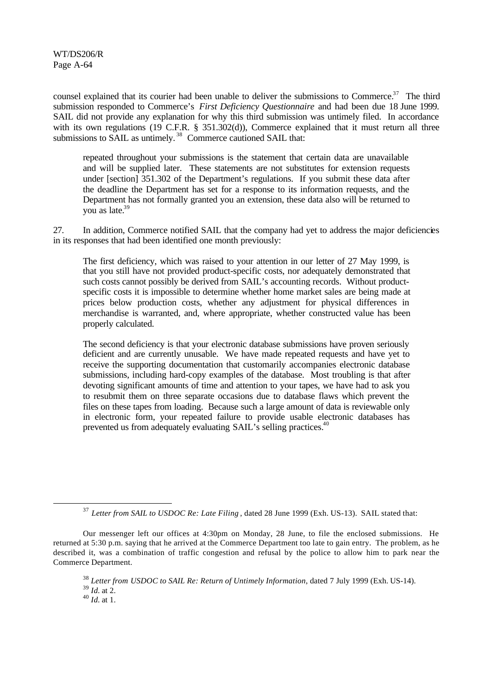counsel explained that its courier had been unable to deliver the submissions to Commerce.<sup>37</sup> The third submission responded to Commerce's *First Deficiency Questionnaire* and had been due 18 June 1999. SAIL did not provide any explanation for why this third submission was untimely filed. In accordance with its own regulations (19 C.F.R. § 351.302(d)), Commerce explained that it must return all three submissions to SAIL as untimely.<sup>38</sup> Commerce cautioned SAIL that:

repeated throughout your submissions is the statement that certain data are unavailable and will be supplied later. These statements are not substitutes for extension requests under [section] 351.302 of the Department's regulations. If you submit these data after the deadline the Department has set for a response to its information requests, and the Department has not formally granted you an extension, these data also will be returned to you as late.<sup>39</sup>

27. In addition, Commerce notified SAIL that the company had yet to address the major deficiencies in its responses that had been identified one month previously:

The first deficiency, which was raised to your attention in our letter of 27 May 1999, is that you still have not provided product-specific costs, nor adequately demonstrated that such costs cannot possibly be derived from SAIL's accounting records. Without productspecific costs it is impossible to determine whether home market sales are being made at prices below production costs, whether any adjustment for physical differences in merchandise is warranted, and, where appropriate, whether constructed value has been properly calculated.

The second deficiency is that your electronic database submissions have proven seriously deficient and are currently unusable. We have made repeated requests and have yet to receive the supporting documentation that customarily accompanies electronic database submissions, including hard-copy examples of the database. Most troubling is that after devoting significant amounts of time and attention to your tapes, we have had to ask you to resubmit them on three separate occasions due to database flaws which prevent the files on these tapes from loading. Because such a large amount of data is reviewable only in electronic form, your repeated failure to provide usable electronic databases has prevented us from adequately evaluating SAIL's selling practices.<sup>40</sup>

<sup>&</sup>lt;sup>37</sup> *Letter from SAIL to USDOC Re: Late Filing*, dated 28 June 1999 (Exh. US-13). SAIL stated that:

Our messenger left our offices at 4:30pm on Monday, 28 June, to file the enclosed submissions. He returned at 5:30 p.m. saying that he arrived at the Commerce Department too late to gain entry. The problem, as he described it, was a combination of traffic congestion and refusal by the police to allow him to park near the Commerce Department.

<sup>38</sup> *Letter from USDOC to SAIL Re: Return of Untimely Information*, dated 7 July 1999 (Exh. US-14).

<sup>39</sup> *Id.* at 2.

 $^{40}$  *Id.* at 1.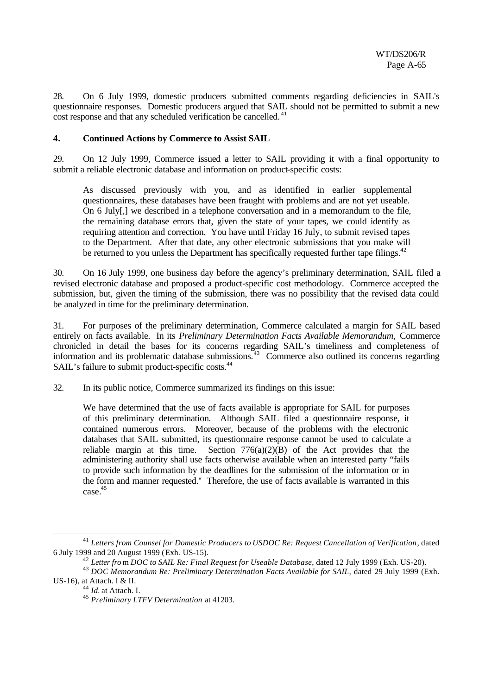28. On 6 July 1999, domestic producers submitted comments regarding deficiencies in SAIL's questionnaire responses. Domestic producers argued that SAIL should not be permitted to submit a new cost response and that any scheduled verification be cancelled.<sup>41</sup>

#### **4. Continued Actions by Commerce to Assist SAIL**

29. On 12 July 1999, Commerce issued a letter to SAIL providing it with a final opportunity to submit a reliable electronic database and information on product-specific costs:

As discussed previously with you, and as identified in earlier supplemental questionnaires, these databases have been fraught with problems and are not yet useable. On 6 July[,] we described in a telephone conversation and in a memorandum to the file, the remaining database errors that, given the state of your tapes, we could identify as requiring attention and correction. You have until Friday 16 July, to submit revised tapes to the Department. After that date, any other electronic submissions that you make will be returned to you unless the Department has specifically requested further tape filings.<sup>42</sup>

30. On 16 July 1999, one business day before the agency's preliminary determination, SAIL filed a revised electronic database and proposed a product-specific cost methodology. Commerce accepted the submission, but, given the timing of the submission, there was no possibility that the revised data could be analyzed in time for the preliminary determination.

31. For purposes of the preliminary determination, Commerce calculated a margin for SAIL based entirely on facts available. In its *Preliminary Determination Facts Available Memorandum,* Commerce chronicled in detail the bases for its concerns regarding SAIL's timeliness and completeness of information and its problematic database submissions.<sup> $43$ </sup> Commerce also outlined its concerns regarding SAIL's failure to submit product-specific costs.<sup>44</sup>

32. In its public notice, Commerce summarized its findings on this issue:

We have determined that the use of facts available is appropriate for SAIL for purposes of this preliminary determination. Although SAIL filed a questionnaire response, it contained numerous errors. Moreover, because of the problems with the electronic databases that SAIL submitted, its questionnaire response cannot be used to calculate a reliable margin at this time. Section  $776(a)(2)(B)$  of the Act provides that the administering authority shall use facts otherwise available when an interested party "fails to provide such information by the deadlines for the submission of the information or in the form and manner requested.'' Therefore, the use of facts available is warranted in this case. 45

<sup>41</sup> *Letters from Counsel for Domestic Producers to USDOC Re: Request Cancellation of Verification*, dated 6 July 1999 and 20 August 1999 (Exh. US-15).

<sup>42</sup> *Letter fro*m *DOC to SAIL Re: Final Request for Useable Database*, dated 12 July 1999 (Exh. US-20).

<sup>43</sup> *DOC Memorandum Re: Preliminary Determination Facts Available for SAIL*, dated 29 July 1999 (Exh. US-16), at Attach. I & II.

<sup>44</sup> *Id.* at Attach. I.

<sup>45</sup> *Preliminary LTFV Determination* at 41203.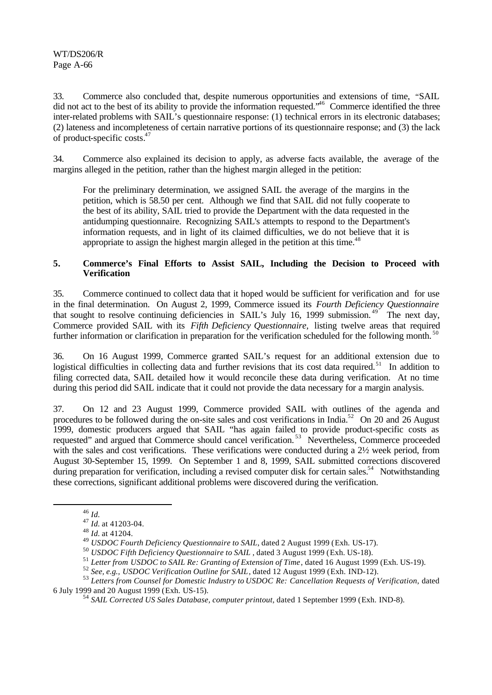33. Commerce also concluded that, despite numerous opportunities and extensions of time, "SAIL did not act to the best of its ability to provide the information requested.<sup>46</sup> Commerce identified the three inter-related problems with SAIL's questionnaire response: (1) technical errors in its electronic databases; (2) lateness and incompleteness of certain narrative portions of its questionnaire response; and (3) the lack of product-specific costs.<sup>47</sup>

34. Commerce also explained its decision to apply, as adverse facts available, the average of the margins alleged in the petition, rather than the highest margin alleged in the petition:

For the preliminary determination, we assigned SAIL the average of the margins in the petition, which is 58.50 per cent. Although we find that SAIL did not fully cooperate to the best of its ability, SAIL tried to provide the Department with the data requested in the antidumping questionnaire. Recognizing SAIL's attempts to respond to the Department's information requests, and in light of its claimed difficulties, we do not believe that it is appropriate to assign the highest margin alleged in the petition at this time.<sup>48</sup>

## **5. Commerce's Final Efforts to Assist SAIL, Including the Decision to Proceed with Verification**

35. Commerce continued to collect data that it hoped would be sufficient for verification and for use in the final determination. On August 2, 1999, Commerce issued its *Fourth Deficiency Questionnaire* that sought to resolve continuing deficiencies in SAIL's July 16, 1999 submission.<sup>49</sup> The next day, Commerce provided SAIL with its *Fifth Deficiency Questionnaire,* listing twelve areas that required further information or clarification in preparation for the verification scheduled for the following month.<sup>50</sup>

36. On 16 August 1999, Commerce granted SAIL's request for an additional extension due to logistical difficulties in collecting data and further revisions that its cost data required.<sup>51</sup> In addition to filing corrected data, SAIL detailed how it would reconcile these data during verification. At no time during this period did SAIL indicate that it could not provide the data necessary for a margin analysis.

37. On 12 and 23 August 1999, Commerce provided SAIL with outlines of the agenda and procedures to be followed during the on-site sales and cost verifications in India.<sup>52</sup> On 20 and 26 August 1999, domestic producers argued that SAIL "has again failed to provide product-specific costs as requested" and argued that Commerce should cancel verification. <sup>53</sup> Nevertheless, Commerce proceeded with the sales and cost verifications. These verifications were conducted during a 2½ week period, from August 30-September 15, 1999. On September 1 and 8, 1999, SAIL submitted corrections discovered during preparation for verification, including a revised computer disk for certain sales.<sup>54</sup> Notwithstanding these corrections, significant additional problems were discovered during the verification.

<sup>46</sup> *Id.*

<sup>47</sup> *Id.* at 41203-04.

<sup>48</sup> *Id.* at 41204.

<sup>49</sup> *USDOC Fourth Deficiency Questionnaire to SAIL*, dated 2 August 1999 (Exh. US-17).

<sup>50</sup> *USDOC Fifth Deficiency Questionnaire to SAIL* , dated 3 August 1999 (Exh. US-18).

<sup>51</sup> *Letter from USDOC to SAIL Re: Granting of Extension of Time*, dated 16 August 1999 (Exh. US-19).

<sup>52</sup> *See, e.g., USDOC Verification Outline for SAIL*, dated 12 August 1999 (Exh. IND-12).

<sup>53</sup> *Letters from Counsel for Domestic Industry to USDOC Re: Cancellation Requests of Verification*, dated 6 July 1999 and 20 August 1999 (Exh. US-15).

<sup>54</sup> *SAIL Corrected US Sales Database, computer printout,* dated 1 September 1999 (Exh. IND-8).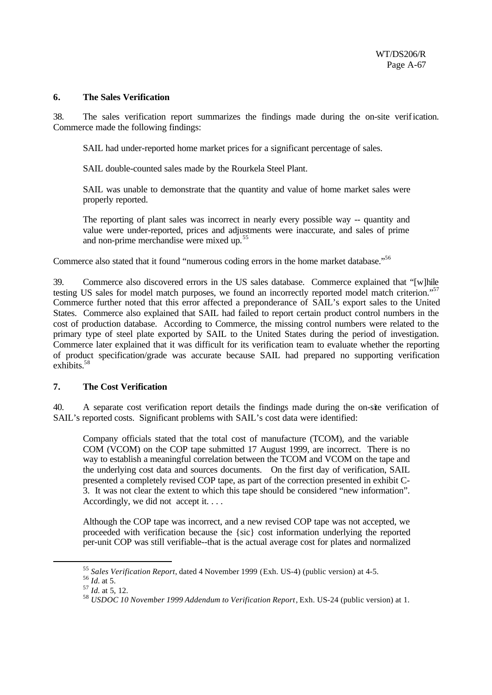#### **6. The Sales Verification**

38. The sales verification report summarizes the findings made during the on-site verification. Commerce made the following findings:

SAIL had under-reported home market prices for a significant percentage of sales.

SAIL double-counted sales made by the Rourkela Steel Plant.

SAIL was unable to demonstrate that the quantity and value of home market sales were properly reported.

The reporting of plant sales was incorrect in nearly every possible way -- quantity and value were under-reported, prices and adjustments were inaccurate, and sales of prime and non-prime merchandise were mixed up.<sup>55</sup>

Commerce also stated that it found "numerous coding errors in the home market database."<sup>56</sup>

39. Commerce also discovered errors in the US sales database. Commerce explained that "[w]hile testing US sales for model match purposes, we found an incorrectly reported model match criterion."<sup>57</sup> Commerce further noted that this error affected a preponderance of SAIL's export sales to the United States. Commerce also explained that SAIL had failed to report certain product control numbers in the cost of production database. According to Commerce, the missing control numbers were related to the primary type of steel plate exported by SAIL to the United States during the period of investigation. Commerce later explained that it was difficult for its verification team to evaluate whether the reporting of product specification/grade was accurate because SAIL had prepared no supporting verification exhibits.<sup>58</sup>

#### **7. The Cost Verification**

40. A separate cost verification report details the findings made during the on-site verification of SAIL's reported costs. Significant problems with SAIL's cost data were identified:

Company officials stated that the total cost of manufacture (TCOM), and the variable COM (VCOM) on the COP tape submitted 17 August 1999, are incorrect. There is no way to establish a meaningful correlation between the TCOM and VCOM on the tape and the underlying cost data and sources documents. On the first day of verification, SAIL presented a completely revised COP tape, as part of the correction presented in exhibit C-3. It was not clear the extent to which this tape should be considered "new information". Accordingly, we did not accept it. . . .

Although the COP tape was incorrect, and a new revised COP tape was not accepted, we proceeded with verification because the {sic} cost information underlying the reported per-unit COP was still verifiable--that is the actual average cost for plates and normalized

<sup>55</sup> *Sales Verification Report*, dated 4 November 1999 (Exh. US-4) (public version) at 4-5.

<sup>56</sup> *Id.* at 5.

<sup>57</sup> *Id.* at 5, 12.

<sup>58</sup> *USDOC 10 November 1999 Addendum to Verification Report*, Exh. US-24 (public version) at 1.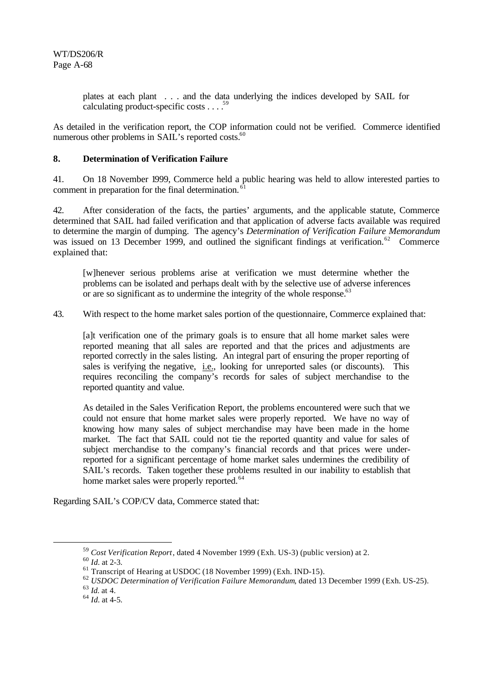plates at each plant . . . and the data underlying the indices developed by SAIL for calculating product-specific costs  $\ldots$ <sup>59</sup>

As detailed in the verification report, the COP information could not be verified. Commerce identified numerous other problems in SAIL's reported costs.<sup>60</sup>

## **8. Determination of Verification Failure**

41. On 18 November 1999, Commerce held a public hearing was held to allow interested parties to comment in preparation for the final determination.<sup> $6$ </sup>

42. After consideration of the facts, the parties' arguments, and the applicable statute, Commerce determined that SAIL had failed verification and that application of adverse facts available was required to determine the margin of dumping. The agency's *Determination of Verification Failure Memorandum* was issued on 13 December 1999, and outlined the significant findings at verification.<sup>62</sup> Commerce explained that:

[w]henever serious problems arise at verification we must determine whether the problems can be isolated and perhaps dealt with by the selective use of adverse inferences or are so significant as to undermine the integrity of the whole response.<sup>63</sup>

43. With respect to the home market sales portion of the questionnaire, Commerce explained that:

[a]t verification one of the primary goals is to ensure that all home market sales were reported meaning that all sales are reported and that the prices and adjustments are reported correctly in the sales listing. An integral part of ensuring the proper reporting of sales is verifying the negative, *i.e.*, looking for unreported sales (or discounts). This requires reconciling the company's records for sales of subject merchandise to the reported quantity and value.

As detailed in the Sales Verification Report, the problems encountered were such that we could not ensure that home market sales were properly reported. We have no way of knowing how many sales of subject merchandise may have been made in the home market. The fact that SAIL could not tie the reported quantity and value for sales of subject merchandise to the company's financial records and that prices were underreported for a significant percentage of home market sales undermines the credibility of SAIL's records. Taken together these problems resulted in our inability to establish that home market sales were properly reported.<sup>64</sup>

Regarding SAIL's COP/CV data, Commerce stated that:

l

<sup>63</sup> *Id.* at 4.

<sup>59</sup> *Cost Verification Report*, dated 4 November 1999 (Exh. US-3) (public version) at 2.

<sup>60</sup> *Id.* at 2-3.

<sup>61</sup> Transcript of Hearing at USDOC (18 November 1999) (Exh. IND-15).

<sup>62</sup> *USDOC Determination of Verification Failure Memorandum*, dated 13 December 1999 (Exh. US-25).

<sup>64</sup> *Id.* at 4-5.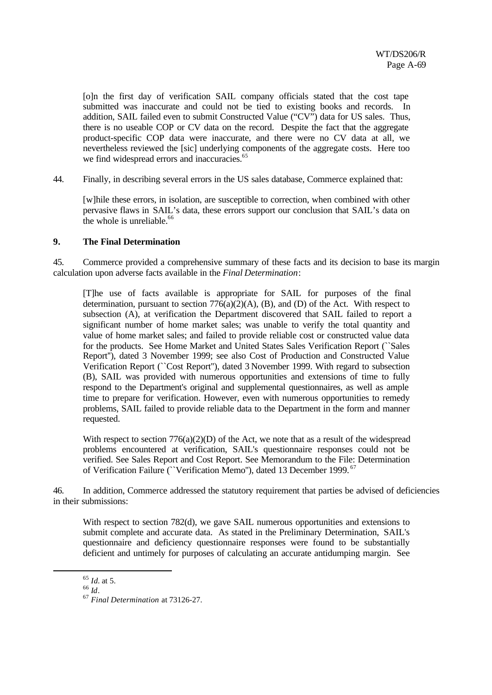[o]n the first day of verification SAIL company officials stated that the cost tape submitted was inaccurate and could not be tied to existing books and records. In addition, SAIL failed even to submit Constructed Value ("CV") data for US sales. Thus, there is no useable COP or CV data on the record. Despite the fact that the aggregate product-specific COP data were inaccurate, and there were no CV data at all, we nevertheless reviewed the [sic] underlying components of the aggregate costs. Here too we find widespread errors and inaccuracies.<sup>65</sup>

44. Finally, in describing several errors in the US sales database, Commerce explained that:

[w]hile these errors, in isolation, are susceptible to correction, when combined with other pervasive flaws in SAIL's data, these errors support our conclusion that SAIL's data on the whole is unreliable. $66$ 

#### **9. The Final Determination**

45. Commerce provided a comprehensive summary of these facts and its decision to base its margin calculation upon adverse facts available in the *Final Determination*:

[T]he use of facts available is appropriate for SAIL for purposes of the final determination, pursuant to section  $776(a)(2)(A)$ , (B), and (D) of the Act. With respect to subsection (A), at verification the Department discovered that SAIL failed to report a significant number of home market sales; was unable to verify the total quantity and value of home market sales; and failed to provide reliable cost or constructed value data for the products. See Home Market and United States Sales Verification Report (``Sales Report''), dated 3 November 1999; see also Cost of Production and Constructed Value Verification Report (``Cost Report''), dated 3 November 1999. With regard to subsection (B), SAIL was provided with numerous opportunities and extensions of time to fully respond to the Department's original and supplemental questionnaires, as well as ample time to prepare for verification. However, even with numerous opportunities to remedy problems, SAIL failed to provide reliable data to the Department in the form and manner requested.

With respect to section  $776(a)(2)(D)$  of the Act, we note that as a result of the widespread problems encountered at verification, SAIL's questionnaire responses could not be verified. See Sales Report and Cost Report. See Memorandum to the File: Determination of Verification Failure (``Verification Memo''), dated 13 December 1999.<sup>67</sup>

46. In addition, Commerce addressed the statutory requirement that parties be advised of deficiencies in their submissions:

With respect to section 782(d), we gave SAIL numerous opportunities and extensions to submit complete and accurate data. As stated in the Preliminary Determination, SAIL's questionnaire and deficiency questionnaire responses were found to be substantially deficient and untimely for purposes of calculating an accurate antidumping margin. See

<sup>65</sup> *Id.* at 5.

<sup>66</sup> *Id*.

<sup>67</sup> *Final Determination* at 73126-27.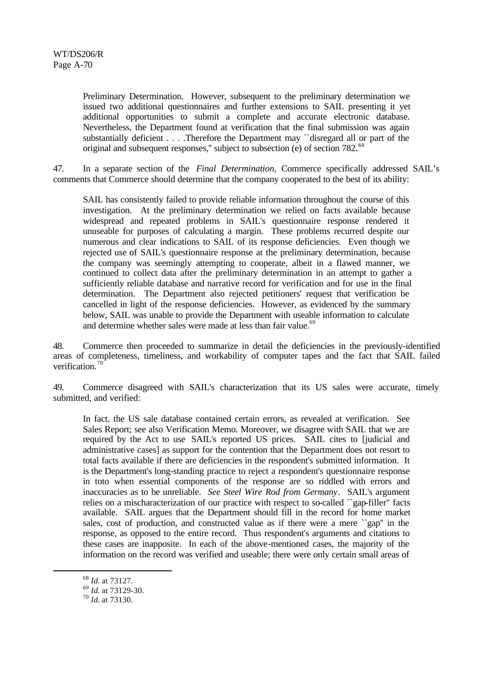Preliminary Determination. However, subsequent to the preliminary determination we issued two additional questionnaires and further extensions to SAIL presenting it yet additional opportunities to submit a complete and accurate electronic database. Nevertheless, the Department found at verification that the final submission was again substantially deficient . . . .Therefore the Department may ``disregard all or part of the original and subsequent responses," subject to subsection (e) of section 782.<sup>68</sup>

47. In a separate section of the *Final Determination*, Commerce specifically addressed SAIL's comments that Commerce should determine that the company cooperated to the best of its ability:

SAIL has consistently failed to provide reliable information throughout the course of this investigation. At the preliminary determination we relied on facts available because widespread and repeated problems in SAIL's questionnaire response rendered it unuseable for purposes of calculating a margin. These problems recurred despite our numerous and clear indications to SAIL of its response deficiencies. Even though we rejected use of SAIL's questionnaire response at the preliminary determination, because the company was seemingly attempting to cooperate, albeit in a flawed manner, we continued to collect data after the preliminary determination in an attempt to gather a sufficiently reliable database and narrative record for verification and for use in the final determination. The Department also rejected petitioners' request that verification be cancelled in light of the response deficiencies. However, as evidenced by the summary below, SAIL was unable to provide the Department with useable information to calculate and determine whether sales were made at less than fair value.<sup>69</sup>

48. Commerce then proceeded to summarize in detail the deficiencies in the previously-identified areas of completeness, timeliness, and workability of computer tapes and the fact that SAIL failed verification.<sup>70</sup>

49. Commerce disagreed with SAIL's characterization that its US sales were accurate, timely submitted, and verified:

In fact, the US sale database contained certain errors, as revealed at verification. See Sales Report; see also Verification Memo. Moreover, we disagree with SAIL that we are required by the Act to use SAIL's reported US prices. SAIL cites to [judicial and administrative cases] as support for the contention that the Department does not resort to total facts available if there are deficiencies in the respondent's submitted information. It is the Department's long-standing practice to reject a respondent's questionnaire response in toto when essential components of the response are so riddled with errors and inaccuracies as to be unreliable. *See Steel Wire Rod from Germany*. SAIL's argument relies on a mischaracterization of our practice with respect to so-called ``gap-filler'' facts available. SAIL argues that the Department should fill in the record for home market sales, cost of production, and constructed value as if there were a mere ``gap'' in the response, as opposed to the entire record. Thus respondent's arguments and citations to these cases are inapposite. In each of the above-mentioned cases, the majority of the information on the record was verified and useable; there were only certain small areas of

<sup>68</sup> *Id.* at 73127.

<sup>69</sup> *Id.* at 73129-30.

<sup>70</sup> *Id.* at 73130.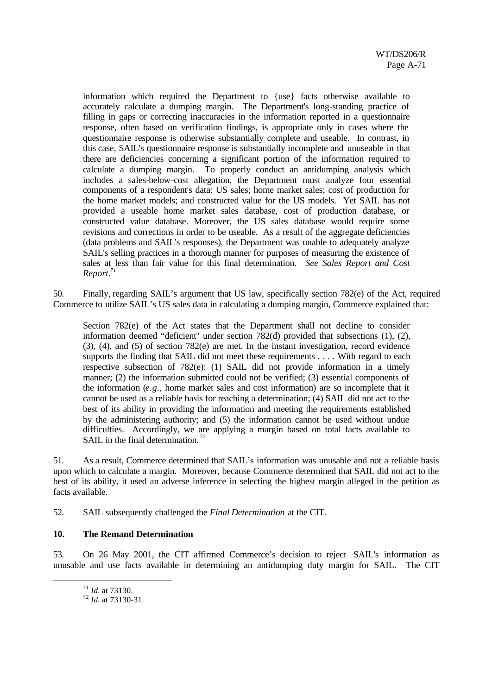information which required the Department to {use} facts otherwise available to accurately calculate a dumping margin. The Department's long-standing practice of filling in gaps or correcting inaccuracies in the information reported in a questionnaire response, often based on verification findings, is appropriate only in cases where the questionnaire response is otherwise substantially complete and useable. In contrast, in this case, SAIL's questionnaire response is substantially incomplete and unuseable in that there are deficiencies concerning a significant portion of the information required to calculate a dumping margin. To properly conduct an antidumping analysis which includes a sales-below-cost allegation, the Department must analyze four essential components of a respondent's data: US sales; home market sales; cost of production for the home market models; and constructed value for the US models. Yet SAIL has not provided a useable home market sales database, cost of production database, or constructed value database. Moreover, the US sales database would require some revisions and corrections in order to be useable. As a result of the aggregate deficiencies (data problems and SAIL's responses), the Department was unable to adequately analyze SAIL's selling practices in a thorough manner for purposes of measuring the existence of sales at less than fair value for this final determination. *See Sales Report and Cost Report.<sup>71</sup>*

50. Finally, regarding SAIL's argument that US law, specifically section 782(e) of the Act, required Commerce to utilize SAIL's US sales data in calculating a dumping margin, Commerce explained that:

Section 782(e) of the Act states that the Department shall not decline to consider information deemed "deficient'' under section 782(d) provided that subsections (1), (2), (3), (4), and (5) of section 782(e) are met. In the instant investigation, record evidence supports the finding that SAIL did not meet these requirements . . . . With regard to each respective subsection of 782(e): (1) SAIL did not provide information in a timely manner; (2) the information submitted could not be verified; (3) essential components of the information (*e.g.*, home market sales and cost information) are so incomplete that it cannot be used as a reliable basis for reaching a determination; (4) SAIL did not act to the best of its ability in providing the information and meeting the requirements established by the administering authority; and (5) the information cannot be used without undue difficulties. Accordingly, we are applying a margin based on total facts available to SAIL in the final determination.<sup>72</sup>

51. As a result, Commerce determined that SAIL's information was unusable and not a reliable basis upon which to calculate a margin. Moreover, because Commerce determined that SAIL did not act to the best of its ability, it used an adverse inference in selecting the highest margin alleged in the petition as facts available.

52. SAIL subsequently challenged the *Final Determination* at the CIT.

## **10. The Remand Determination**

53. On 26 May 2001, the CIT affirmed Commerce's decision to reject SAIL's information as unusable and use facts available in determining an antidumping duty margin for SAIL. The CIT

<sup>71</sup> *Id.* at 73130.

<sup>72</sup> *Id.* at 73130-31.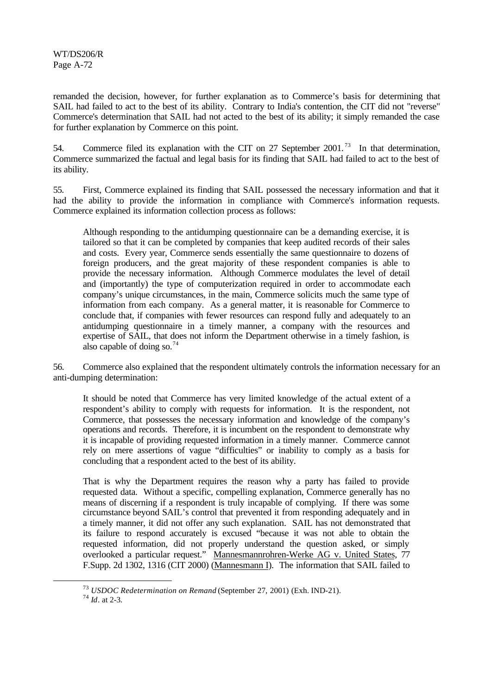remanded the decision, however, for further explanation as to Commerce's basis for determining that SAIL had failed to act to the best of its ability. Contrary to India's contention, the CIT did not "reverse" Commerce's determination that SAIL had not acted to the best of its ability; it simply remanded the case for further explanation by Commerce on this point.

54. Commerce filed its explanation with the CIT on 27 September 2001.<sup>73</sup> In that determination, Commerce summarized the factual and legal basis for its finding that SAIL had failed to act to the best of its ability.

55. First, Commerce explained its finding that SAIL possessed the necessary information and that it had the ability to provide the information in compliance with Commerce's information requests. Commerce explained its information collection process as follows:

Although responding to the antidumping questionnaire can be a demanding exercise, it is tailored so that it can be completed by companies that keep audited records of their sales and costs. Every year, Commerce sends essentially the same questionnaire to dozens of foreign producers, and the great majority of these respondent companies is able to provide the necessary information. Although Commerce modulates the level of detail and (importantly) the type of computerization required in order to accommodate each company's unique circumstances, in the main, Commerce solicits much the same type of information from each company. As a general matter, it is reasonable for Commerce to conclude that, if companies with fewer resources can respond fully and adequately to an antidumping questionnaire in a timely manner, a company with the resources and expertise of SAIL, that does not inform the Department otherwise in a timely fashion, is also capable of doing so. $74$ 

56. Commerce also explained that the respondent ultimately controls the information necessary for an anti-dumping determination:

It should be noted that Commerce has very limited knowledge of the actual extent of a respondent's ability to comply with requests for information. It is the respondent, not Commerce, that possesses the necessary information and knowledge of the company's operations and records. Therefore, it is incumbent on the respondent to demonstrate why it is incapable of providing requested information in a timely manner. Commerce cannot rely on mere assertions of vague "difficulties" or inability to comply as a basis for concluding that a respondent acted to the best of its ability.

That is why the Department requires the reason why a party has failed to provide requested data. Without a specific, compelling explanation, Commerce generally has no means of discerning if a respondent is truly incapable of complying. If there was some circumstance beyond SAIL's control that prevented it from responding adequately and in a timely manner, it did not offer any such explanation. SAIL has not demonstrated that its failure to respond accurately is excused "because it was not able to obtain the requested information, did not properly understand the question asked, or simply overlooked a particular request." Mannesmannrohren-Werke AG v. United States, 77 F.Supp. 2d 1302, 1316 (CIT 2000) (Mannesmann I). The information that SAIL failed to

<sup>73</sup> *USDOC Redetermination on Remand* (September 27, 2001) (Exh. IND-21).

<sup>74</sup> *Id*. at 2-3.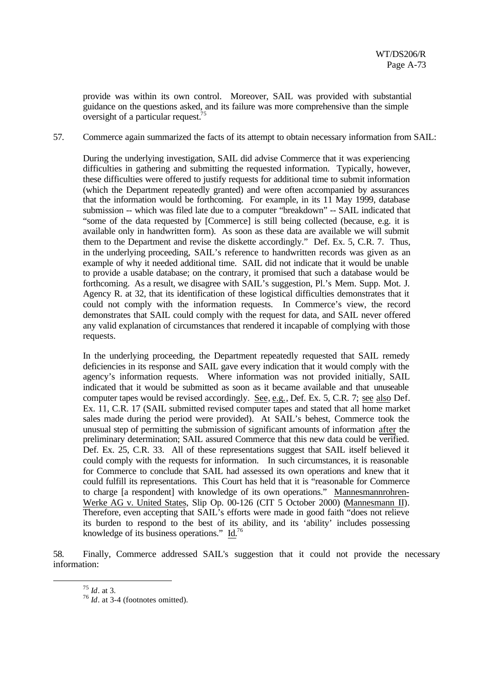provide was within its own control. Moreover, SAIL was provided with substantial guidance on the questions asked, and its failure was more comprehensive than the simple oversight of a particular request.<sup>75</sup>

### 57. Commerce again summarized the facts of its attempt to obtain necessary information from SAIL:

During the underlying investigation, SAIL did advise Commerce that it was experiencing difficulties in gathering and submitting the requested information. Typically, however, these difficulties were offered to justify requests for additional time to submit information (which the Department repeatedly granted) and were often accompanied by assurances that the information would be forthcoming. For example, in its 11 May 1999, database submission -- which was filed late due to a computer "breakdown" -- SAIL indicated that "some of the data requested by [Commerce] is still being collected (because, e.g. it is available only in handwritten form). As soon as these data are available we will submit them to the Department and revise the diskette accordingly." Def. Ex. 5, C.R. 7. Thus, in the underlying proceeding, SAIL's reference to handwritten records was given as an example of why it needed additional time. SAIL did not indicate that it would be unable to provide a usable database; on the contrary, it promised that such a database would be forthcoming. As a result, we disagree with SAIL's suggestion, Pl.'s Mem. Supp. Mot. J. Agency R. at 32, that its identification of these logistical difficulties demonstrates that it could not comply with the information requests. In Commerce's view, the record demonstrates that SAIL could comply with the request for data, and SAIL never offered any valid explanation of circumstances that rendered it incapable of complying with those requests.

In the underlying proceeding, the Department repeatedly requested that SAIL remedy deficiencies in its response and SAIL gave every indication that it would comply with the agency's information requests. Where information was not provided initially, SAIL indicated that it would be submitted as soon as it became available and that unuseable computer tapes would be revised accordingly. See, e.g., Def. Ex. 5, C.R. 7; see also Def. Ex. 11, C.R. 17 (SAIL submitted revised computer tapes and stated that all home market sales made during the period were provided). At SAIL's behest, Commerce took the unusual step of permitting the submission of significant amounts of information after the preliminary determination; SAIL assured Commerce that this new data could be verified. Def. Ex. 25, C.R. 33. All of these representations suggest that SAIL itself believed it could comply with the requests for information. In such circumstances, it is reasonable for Commerce to conclude that SAIL had assessed its own operations and knew that it could fulfill its representations. This Court has held that it is "reasonable for Commerce to charge [a respondent] with knowledge of its own operations." Mannesmannrohren-Werke AG v. United States, Slip Op. 00-126 (CIT 5 October 2000) Mannesmann II). Therefore, even accepting that SAIL's efforts were made in good faith "does not relieve its burden to respond to the best of its ability, and its 'ability' includes possessing knowledge of its business operations." Id.<sup>76</sup>

58. Finally, Commerce addressed SAIL's suggestion that it could not provide the necessary information:

<sup>75</sup> *Id*. at 3.

<sup>76</sup> *Id*. at 3-4 (footnotes omitted).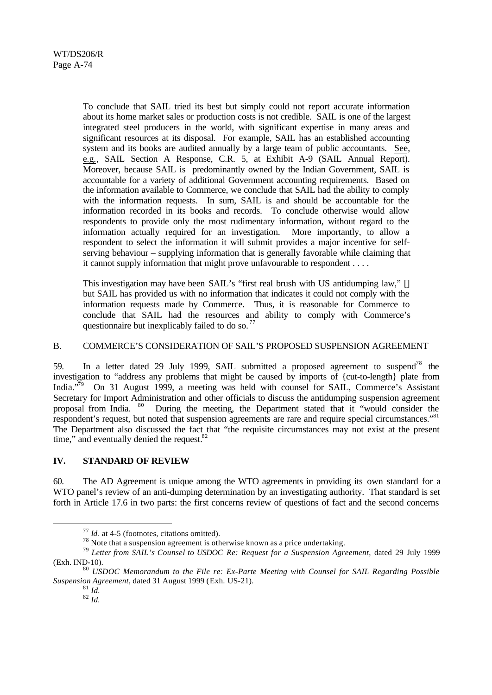To conclude that SAIL tried its best but simply could not report accurate information about its home market sales or production costs is not credible. SAIL is one of the largest integrated steel producers in the world, with significant expertise in many areas and significant resources at its disposal. For example, SAIL has an established accounting system and its books are audited annually by a large team of public accountants. See, e.g., SAIL Section A Response, C.R. 5, at Exhibit A-9 (SAIL Annual Report). Moreover, because SAIL is predominantly owned by the Indian Government, SAIL is accountable for a variety of additional Government accounting requirements. Based on the information available to Commerce, we conclude that SAIL had the ability to comply with the information requests. In sum, SAIL is and should be accountable for the information recorded in its books and records. To conclude otherwise would allow respondents to provide only the most rudimentary information, without regard to the information actually required for an investigation. More importantly, to allow a respondent to select the information it will submit provides a major incentive for selfserving behaviour – supplying information that is generally favorable while claiming that it cannot supply information that might prove unfavourable to respondent . . . .

This investigation may have been SAIL's "first real brush with US antidumping law," [] but SAIL has provided us with no information that indicates it could not comply with the information requests made by Commerce. Thus, it is reasonable for Commerce to conclude that SAIL had the resources and ability to comply with Commerce's questionnaire but inexplicably failed to do so.  $77$ 

#### B. COMMERCE'S CONSIDERATION OF SAIL'S PROPOSED SUSPENSION AGREEMENT

59. In a letter dated 29 July 1999, SAIL submitted a proposed agreement to suspend<sup>78</sup> the investigation to "address any problems that might be caused by imports of {cut-to-length} plate from India.<sup>79</sup> On 31 August 1999, a meeting was held with counsel for SAIL, Commerce's Assistant Secretary for Import Administration and other officials to discuss the antidumping suspension agreement proposal from India. <sup>80</sup> During the meeting, the Department stated that it "would consider the respondent's request, but noted that suspension agreements are rare and require special circumstances."<sup>81</sup> The Department also discussed the fact that "the requisite circumstances may not exist at the present time," and eventually denied the request. $82$ 

### **IV. STANDARD OF REVIEW**

60. The AD Agreement is unique among the WTO agreements in providing its own standard for a WTO panel's review of an anti-dumping determination by an investigating authority. That standard is set forth in Article 17.6 in two parts: the first concerns review of questions of fact and the second concerns

<sup>&</sup>lt;sup>77</sup> *Id*. at 4-5 (footnotes, citations omitted).

 $^{78}$  Note that a suspension agreement is otherwise known as a price undertaking.

<sup>79</sup> *Letter from SAIL's Counsel to USDOC Re: Request for a Suspension Agreement*, dated 29 July 1999 (Exh. IND-10).

<sup>80</sup> *USDOC Memorandum to the File re: Ex-Parte Meeting with Counsel for SAIL Regarding Possible Suspension Agreement*, dated 31 August 1999 (Exh. US-21).

 $81$  *Id.*  $82$   $H$ .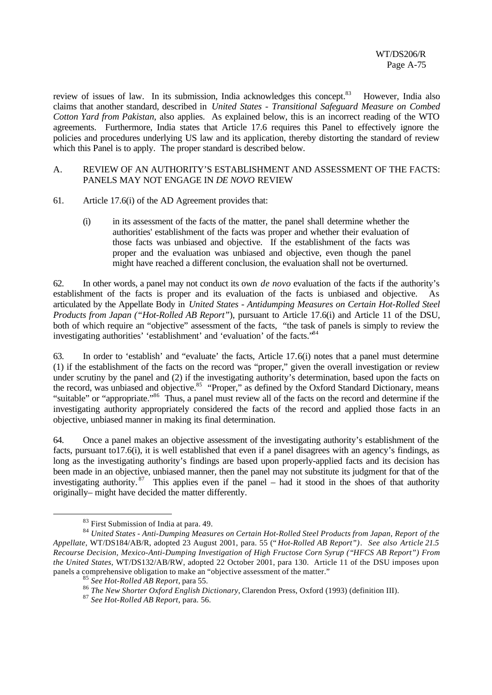review of issues of law. In its submission, India acknowledges this concept.<sup>83</sup> However, India also claims that another standard, described in *United States - Transitional Safeguard Measure on Combed Cotton Yard from Pakistan*, also applies. As explained below, this is an incorrect reading of the WTO agreements. Furthermore, India states that Article 17.6 requires this Panel to effectively ignore the policies and procedures underlying US law and its application, thereby distorting the standard of review which this Panel is to apply. The proper standard is described below.

#### A. REVIEW OF AN AUTHORITY'S ESTABLISHMENT AND ASSESSMENT OF THE FACTS: PANELS MAY NOT ENGAGE IN *DE NOVO* REVIEW

- 61. Article 17.6(i) of the AD Agreement provides that:
	- (i) in its assessment of the facts of the matter, the panel shall determine whether the authorities' establishment of the facts was proper and whether their evaluation of those facts was unbiased and objective. If the establishment of the facts was proper and the evaluation was unbiased and objective, even though the panel might have reached a different conclusion, the evaluation shall not be overturned.

62. In other words, a panel may not conduct its own *de novo* evaluation of the facts if the authority's establishment of the facts is proper and its evaluation of the facts is unbiased and objective. As articulated by the Appellate Body in *United States - Antidumping Measures on Certain Hot-Rolled Steel Products from Japan ("Hot-Rolled AB Report"*), pursuant to Article 17.6(i) and Article 11 of the DSU, both of which require an "objective" assessment of the facts, "the task of panels is simply to review the investigating authorities' 'establishment' and 'evaluation' of the facts."<sup>84</sup>

63. In order to 'establish' and "evaluate' the facts, Article 17.6(i) notes that a panel must determine (1) if the establishment of the facts on the record was "proper," given the overall investigation or review under scrutiny by the panel and (2) if the investigating authority's determination, based upon the facts on the record, was unbiased and objective.<sup>85</sup> "Proper," as defined by the Oxford Standard Dictionary, means "suitable" or "appropriate."<sup>86</sup> Thus, a panel must review all of the facts on the record and determine if the investigating authority appropriately considered the facts of the record and applied those facts in an objective, unbiased manner in making its final determination.

64. Once a panel makes an objective assessment of the investigating authority's establishment of the facts, pursuant to17.6(i), it is well established that even if a panel disagrees with an agency's findings, as long as the investigating authority's findings are based upon properly-applied facts and its decision has been made in an objective, unbiased manner, then the panel may not substitute its judgment for that of the investigating authority.  $87$  This applies even if the panel – had it stood in the shoes of that authority originally– might have decided the matter differently.

<sup>83</sup> First Submission of India at para. 49.

<sup>84</sup> *United States - Anti-Dumping Measures on Certain Hot-Rolled Steel Products from Japan*, *Report of the Appellate*, WT/DS184/AB/R, adopted 23 August 2001, para. 55 (" *Hot-Rolled AB Report")*. *See also Article 21.5 Recourse Decision, Mexico-Anti-Dumping Investigation of High Fructose Corn Syrup ("HFCS AB Report") From the United States*, WT/DS132/AB/RW, adopted 22 October 2001, para 130. Article 11 of the DSU imposes upon panels a comprehensive obligation to make an "objective assessment of the matter."

<sup>85</sup> *See Hot-Rolled AB Report*, para 55.

<sup>86</sup> *The New Shorter Oxford English Dictionary*, Clarendon Press, Oxford (1993) (definition III).

<sup>87</sup> *See Hot-Rolled AB Report*, para. 56.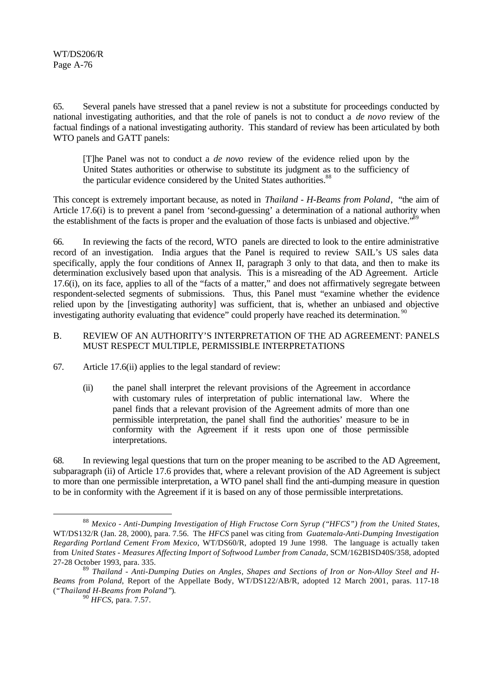65. Several panels have stressed that a panel review is not a substitute for proceedings conducted by national investigating authorities, and that the role of panels is not to conduct a *de novo* review of the factual findings of a national investigating authority. This standard of review has been articulated by both WTO panels and GATT panels:

[T]he Panel was not to conduct a *de novo* review of the evidence relied upon by the United States authorities or otherwise to substitute its judgment as to the sufficiency of the particular evidence considered by the United States authorities.<sup>88</sup>

This concept is extremely important because, as noted in *Thailand - H-Beams from Poland*, "the aim of Article 17.6(i) is to prevent a panel from 'second-guessing' a determination of a national authority when the establishment of the facts is proper and the evaluation of those facts is unbiased and objective.<sup>89</sup>

66. In reviewing the facts of the record, WTO panels are directed to look to the entire administrative record of an investigation. India argues that the Panel is required to review SAIL's US sales data specifically, apply the four conditions of Annex II, paragraph 3 only to that data, and then to make its determination exclusively based upon that analysis. This is a misreading of the AD Agreement. Article 17.6(i), on its face, applies to all of the "facts of a matter," and does not affirmatively segregate between respondent-selected segments of submissions. Thus, this Panel must "examine whether the evidence relied upon by the [investigating authority] was sufficient, that is, whether an unbiased and objective investigating authority evaluating that evidence" could properly have reached its determination.<sup>90</sup>

#### B. REVIEW OF AN AUTHORITY'S INTERPRETATION OF THE AD AGREEMENT: PANELS MUST RESPECT MULTIPLE, PERMISSIBLE INTERPRETATIONS

- 67. Article 17.6(ii) applies to the legal standard of review:
	- (ii) the panel shall interpret the relevant provisions of the Agreement in accordance with customary rules of interpretation of public international law. Where the panel finds that a relevant provision of the Agreement admits of more than one permissible interpretation, the panel shall find the authorities' measure to be in conformity with the Agreement if it rests upon one of those permissible interpretations.

68. In reviewing legal questions that turn on the proper meaning to be ascribed to the AD Agreement, subparagraph (ii) of Article 17.6 provides that, where a relevant provision of the AD Agreement is subject to more than one permissible interpretation, a WTO panel shall find the anti-dumping measure in question to be in conformity with the Agreement if it is based on any of those permissible interpretations.

<sup>88</sup> *Mexico - Anti-Dumping Investigation of High Fructose Corn Syrup ("HFCS") from the United States*, WT/DS132/R (Jan. 28, 2000), para. 7.56. The *HFCS* panel was citing from *Guatemala-Anti-Dumping Investigation Regarding Portland Cement From Mexico*, WT/DS60/R, adopted 19 June 1998. The language is actually taken from *United States - Measures Affecting Import of Softwood Lumber from Canada*, SCM/162BISD40S/358, adopted 27-28 October 1993, para. 335.

<sup>89</sup> *Thailand - Anti-Dumping Duties on Angles, Shapes and Sections of Iron or Non-Alloy Steel and H-Beams from Poland*, Report of the Appellate Body, WT/DS122/AB/R, adopted 12 March 2001, paras. 117-18 (*"Thailand H-Beams from Poland"*).

<sup>90</sup> *HFCS*, para. 7.57.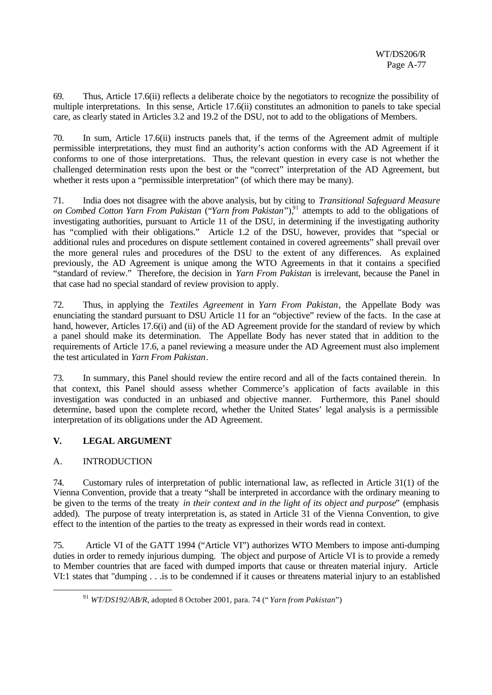69. Thus, Article 17.6(ii) reflects a deliberate choice by the negotiators to recognize the possibility of multiple interpretations. In this sense, Article 17.6(ii) constitutes an admonition to panels to take special care, as clearly stated in Articles 3.2 and 19.2 of the DSU, not to add to the obligations of Members.

70. In sum, Article 17.6(ii) instructs panels that, if the terms of the Agreement admit of multiple permissible interpretations, they must find an authority's action conforms with the AD Agreement if it conforms to one of those interpretations. Thus, the relevant question in every case is not whether the challenged determination rests upon the best or the "correct" interpretation of the AD Agreement, but whether it rests upon a "permissible interpretation" (of which there may be many).

71. India does not disagree with the above analysis, but by citing to *Transitional Safeguard Measure on Combed Cotton Yarn From Pakistan* ("*Yarn from Pakistan*"),<sup>91</sup> attempts to add to the obligations of investigating authorities, pursuant to Article 11 of the DSU, in determining if the investigating authority has "complied with their obligations." Article 1.2 of the DSU, however, provides that "special or additional rules and procedures on dispute settlement contained in covered agreements" shall prevail over the more general rules and procedures of the DSU to the extent of any differences. As explained previously, the AD Agreement is unique among the WTO Agreements in that it contains a specified "standard of review." Therefore, the decision in *Yarn From Pakistan* is irrelevant, because the Panel in that case had no special standard of review provision to apply.

72. Thus, in applying the *Textiles Agreement* in *Yarn From Pakistan*, the Appellate Body was enunciating the standard pursuant to DSU Article 11 for an "objective" review of the facts. In the case at hand, however, Articles 17.6(i) and (ii) of the AD Agreement provide for the standard of review by which a panel should make its determination. The Appellate Body has never stated that in addition to the requirements of Article 17.6, a panel reviewing a measure under the AD Agreement must also implement the test articulated in *Yarn From Pakistan*.

73. In summary, this Panel should review the entire record and all of the facts contained therein. In that context, this Panel should assess whether Commerce's application of facts available in this investigation was conducted in an unbiased and objective manner. Furthermore, this Panel should determine, based upon the complete record, whether the United States' legal analysis is a permissible interpretation of its obligations under the AD Agreement.

# **V. LEGAL ARGUMENT**

## A. INTRODUCTION

l

74. Customary rules of interpretation of public international law, as reflected in Article 31(1) of the Vienna Convention, provide that a treaty "shall be interpreted in accordance with the ordinary meaning to be given to the terms of the treaty *in their context and in the light of its object and purpose*" (emphasis added). The purpose of treaty interpretation is, as stated in Article 31 of the Vienna Convention, to give effect to the intention of the parties to the treaty as expressed in their words read in context.

75. Article VI of the GATT 1994 ("Article VI") authorizes WTO Members to impose anti-dumping duties in order to remedy injurious dumping. The object and purpose of Article VI is to provide a remedy to Member countries that are faced with dumped imports that cause or threaten material injury. Article VI:1 states that "dumping . . .is to be condemned if it causes or threatens material injury to an established

<sup>91</sup> *WT/DS192/AB/R*, adopted 8 October 2001, para. 74 (" *Yarn from Pakistan*")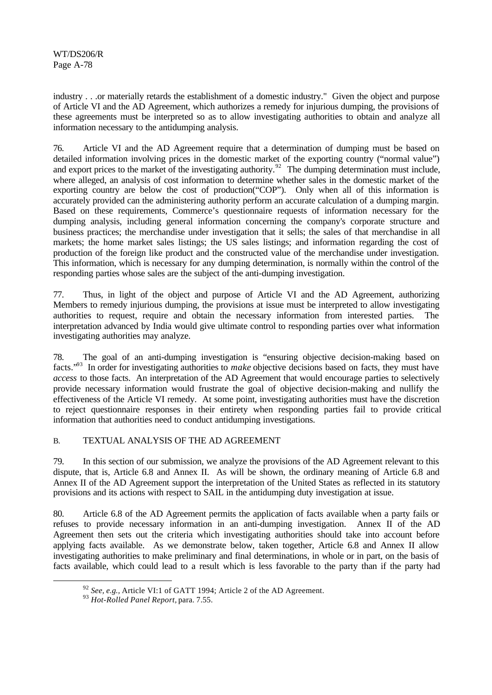WT/DS206/R Page A-78

industry . . .or materially retards the establishment of a domestic industry." Given the object and purpose of Article VI and the AD Agreement, which authorizes a remedy for injurious dumping, the provisions of these agreements must be interpreted so as to allow investigating authorities to obtain and analyze all information necessary to the antidumping analysis.

76. Article VI and the AD Agreement require that a determination of dumping must be based on detailed information involving prices in the domestic market of the exporting country ("normal value") and export prices to the market of the investigating authority.<sup>92</sup> The dumping determination must include, where alleged, an analysis of cost information to determine whether sales in the domestic market of the exporting country are below the cost of production("COP"). Only when all of this information is accurately provided can the administering authority perform an accurate calculation of a dumping margin. Based on these requirements, Commerce's questionnaire requests of information necessary for the dumping analysis, including general information concerning the company's corporate structure and business practices; the merchandise under investigation that it sells; the sales of that merchandise in all markets; the home market sales listings; the US sales listings; and information regarding the cost of production of the foreign like product and the constructed value of the merchandise under investigation. This information, which is necessary for any dumping determination, is normally within the control of the responding parties whose sales are the subject of the anti-dumping investigation.

77. Thus, in light of the object and purpose of Article VI and the AD Agreement, authorizing Members to remedy injurious dumping, the provisions at issue must be interpreted to allow investigating authorities to request, require and obtain the necessary information from interested parties. The interpretation advanced by India would give ultimate control to responding parties over what information investigating authorities may analyze.

78. The goal of an anti-dumping investigation is "ensuring objective decision-making based on facts."<sup>93</sup> In order for investigating authorities to *make* objective decisions based on facts, they must have *access* to those facts. An interpretation of the AD Agreement that would encourage parties to selectively provide necessary information would frustrate the goal of objective decision-making and nullify the effectiveness of the Article VI remedy. At some point, investigating authorities must have the discretion to reject questionnaire responses in their entirety when responding parties fail to provide critical information that authorities need to conduct antidumping investigations.

## B. TEXTUAL ANALYSIS OF THE AD AGREEMENT

79. In this section of our submission, we analyze the provisions of the AD Agreement relevant to this dispute, that is, Article 6.8 and Annex II. As will be shown, the ordinary meaning of Article 6.8 and Annex II of the AD Agreement support the interpretation of the United States as reflected in its statutory provisions and its actions with respect to SAIL in the antidumping duty investigation at issue.

80. Article 6.8 of the AD Agreement permits the application of facts available when a party fails or refuses to provide necessary information in an anti-dumping investigation. Annex II of the AD Agreement then sets out the criteria which investigating authorities should take into account before applying facts available. As we demonstrate below, taken together, Article 6.8 and Annex II allow investigating authorities to make preliminary and final determinations, in whole or in part, on the basis of facts available, which could lead to a result which is less favorable to the party than if the party had

<sup>92</sup> *See, e.g.,* Article VI:1 of GATT 1994; Article 2 of the AD Agreement.

<sup>93</sup> *Hot-Rolled Panel Report,* para. 7.55.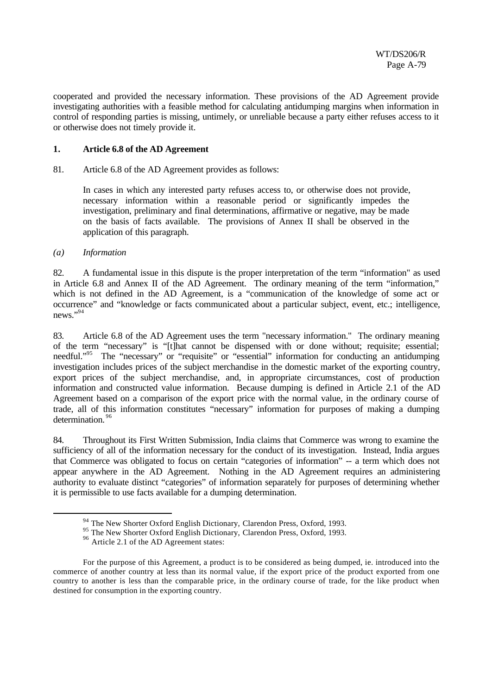cooperated and provided the necessary information. These provisions of the AD Agreement provide investigating authorities with a feasible method for calculating antidumping margins when information in control of responding parties is missing, untimely, or unreliable because a party either refuses access to it or otherwise does not timely provide it.

## **1. Article 6.8 of the AD Agreement**

81. Article 6.8 of the AD Agreement provides as follows:

In cases in which any interested party refuses access to, or otherwise does not provide, necessary information within a reasonable period or significantly impedes the investigation, preliminary and final determinations, affirmative or negative, may be made on the basis of facts available. The provisions of Annex II shall be observed in the application of this paragraph.

#### *(a) Information*

l

82. A fundamental issue in this dispute is the proper interpretation of the term "information" as used in Article 6.8 and Annex II of the AD Agreement. The ordinary meaning of the term "information," which is not defined in the AD Agreement, is a "communication of the knowledge of some act or occurrence" and "knowledge or facts communicated about a particular subject, event, etc.; intelligence,  $news.$ <sup>"94</sup>

83. Article 6.8 of the AD Agreement uses the term "necessary information." The ordinary meaning of the term "necessary" is "[t]hat cannot be dispensed with or done without; requisite; essential; needful."<sup>95</sup> The "necessary" or "requisite" or "essential" information for conducting an antidumping investigation includes prices of the subject merchandise in the domestic market of the exporting country, export prices of the subject merchandise, and, in appropriate circumstances, cost of production information and constructed value information. Because dumping is defined in Article 2.1 of the AD Agreement based on a comparison of the export price with the normal value, in the ordinary course of trade, all of this information constitutes "necessary" information for purposes of making a dumping determination. <sup>96</sup>

84. Throughout its First Written Submission, India claims that Commerce was wrong to examine the sufficiency of all of the information necessary for the conduct of its investigation. Instead, India argues that Commerce was obligated to focus on certain "categories of information" -- a term which does not appear anywhere in the AD Agreement. Nothing in the AD Agreement requires an administering authority to evaluate distinct "categories" of information separately for purposes of determining whether it is permissible to use facts available for a dumping determination.

<sup>&</sup>lt;sup>94</sup> The New Shorter Oxford English Dictionary, Clarendon Press, Oxford, 1993.

<sup>&</sup>lt;sup>95</sup> The New Shorter Oxford English Dictionary, Clarendon Press, Oxford, 1993.

<sup>&</sup>lt;sup>96</sup> Article 2.1 of the AD Agreement states:

For the purpose of this Agreement, a product is to be considered as being dumped, ie. introduced into the commerce of another country at less than its normal value, if the export price of the product exported from one country to another is less than the comparable price, in the ordinary course of trade, for the like product when destined for consumption in the exporting country.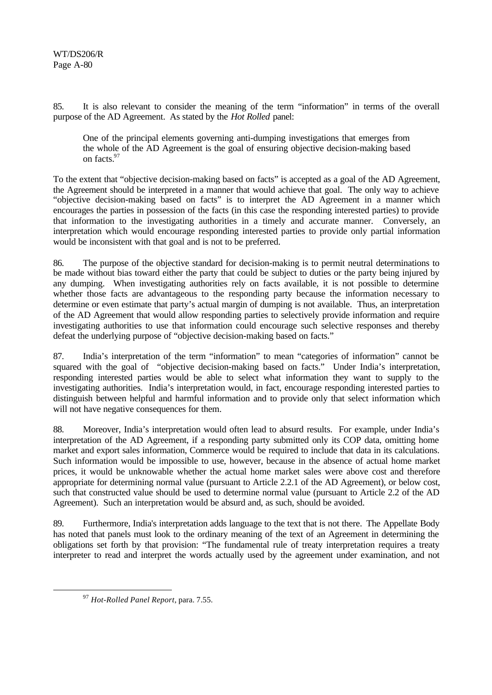WT/DS206/R Page A-80

85. It is also relevant to consider the meaning of the term "information" in terms of the overall purpose of the AD Agreement. As stated by the *Hot Rolled* panel:

One of the principal elements governing anti-dumping investigations that emerges from the whole of the AD Agreement is the goal of ensuring objective decision-making based on facts.<sup>97</sup>

To the extent that "objective decision-making based on facts" is accepted as a goal of the AD Agreement, the Agreement should be interpreted in a manner that would achieve that goal. The only way to achieve "objective decision-making based on facts" is to interpret the AD Agreement in a manner which encourages the parties in possession of the facts (in this case the responding interested parties) to provide that information to the investigating authorities in a timely and accurate manner. Conversely, an interpretation which would encourage responding interested parties to provide only partial information would be inconsistent with that goal and is not to be preferred.

86. The purpose of the objective standard for decision-making is to permit neutral determinations to be made without bias toward either the party that could be subject to duties or the party being injured by any dumping. When investigating authorities rely on facts available, it is not possible to determine whether those facts are advantageous to the responding party because the information necessary to determine or even estimate that party's actual margin of dumping is not available. Thus, an interpretation of the AD Agreement that would allow responding parties to selectively provide information and require investigating authorities to use that information could encourage such selective responses and thereby defeat the underlying purpose of "objective decision-making based on facts."

87. India's interpretation of the term "information" to mean "categories of information" cannot be squared with the goal of "objective decision-making based on facts." Under India's interpretation, responding interested parties would be able to select what information they want to supply to the investigating authorities. India's interpretation would, in fact, encourage responding interested parties to distinguish between helpful and harmful information and to provide only that select information which will not have negative consequences for them.

88. Moreover, India's interpretation would often lead to absurd results. For example, under India's interpretation of the AD Agreement, if a responding party submitted only its COP data, omitting home market and export sales information, Commerce would be required to include that data in its calculations. Such information would be impossible to use, however, because in the absence of actual home market prices, it would be unknowable whether the actual home market sales were above cost and therefore appropriate for determining normal value (pursuant to Article 2.2.1 of the AD Agreement), or below cost, such that constructed value should be used to determine normal value (pursuant to Article 2.2 of the AD Agreement). Such an interpretation would be absurd and, as such, should be avoided.

89. Furthermore, India's interpretation adds language to the text that is not there.The Appellate Body has noted that panels must look to the ordinary meaning of the text of an Agreement in determining the obligations set forth by that provision: "The fundamental rule of treaty interpretation requires a treaty interpreter to read and interpret the words actually used by the agreement under examination, and not

<sup>97</sup> *Hot-Rolled Panel Report*, para. 7.55.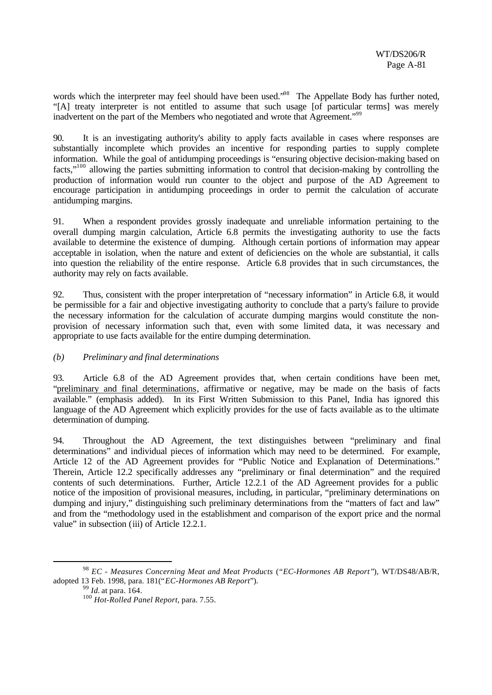words which the interpreter may feel should have been used."<sup>98</sup> The Appellate Body has further noted, "[A] treaty interpreter is not entitled to assume that such usage [of particular terms] was merely inadvertent on the part of the Members who negotiated and wrote that Agreement."<sup>99</sup>

90. It is an investigating authority's ability to apply facts available in cases where responses are substantially incomplete which provides an incentive for responding parties to supply complete information. While the goal of antidumping proceedings is "ensuring objective decision-making based on facts,"<sup>100</sup> allowing the parties submitting information to control that decision-making by controlling the production of information would run counter to the object and purpose of the AD Agreement to encourage participation in antidumping proceedings in order to permit the calculation of accurate antidumping margins.

91. When a respondent provides grossly inadequate and unreliable information pertaining to the overall dumping margin calculation, Article 6.8 permits the investigating authority to use the facts available to determine the existence of dumping. Although certain portions of information may appear acceptable in isolation, when the nature and extent of deficiencies on the whole are substantial, it calls into question the reliability of the entire response. Article 6.8 provides that in such circumstances, the authority may rely on facts available.

92. Thus, consistent with the proper interpretation of "necessary information" in Article 6.8, it would be permissible for a fair and objective investigating authority to conclude that a party's failure to provide the necessary information for the calculation of accurate dumping margins would constitute the nonprovision of necessary information such that, even with some limited data, it was necessary and appropriate to use facts available for the entire dumping determination.

## *(b) Preliminary and final determinations*

93. Article 6.8 of the AD Agreement provides that, when certain conditions have been met, "preliminary and final determinations, affirmative or negative, may be made on the basis of facts available." (emphasis added). In its First Written Submission to this Panel, India has ignored this language of the AD Agreement which explicitly provides for the use of facts available as to the ultimate determination of dumping.

94. Throughout the AD Agreement, the text distinguishes between "preliminary and final determinations" and individual pieces of information which may need to be determined. For example, Article 12 of the AD Agreement provides for "Public Notice and Explanation of Determinations." Therein, Article 12.2 specifically addresses any "preliminary or final determination" and the required contents of such determinations. Further, Article 12.2.1 of the AD Agreement provides for a public notice of the imposition of provisional measures, including, in particular, "preliminary determinations on dumping and injury," distinguishing such preliminary determinations from the "matters of fact and law" and from the "methodology used in the establishment and comparison of the export price and the normal value" in subsection (iii) of Article 12.2.1.

<sup>98</sup> *EC - Measures Concerning Meat and Meat Products* (*"EC-Hormones AB Report"*), WT/DS48/AB/R, adopted 13 Feb. 1998, para. 181("*EC-Hormones AB Report*").

<sup>99</sup> *Id.* at para. 164.

<sup>100</sup> *Hot-Rolled Panel Report*, para. 7.55.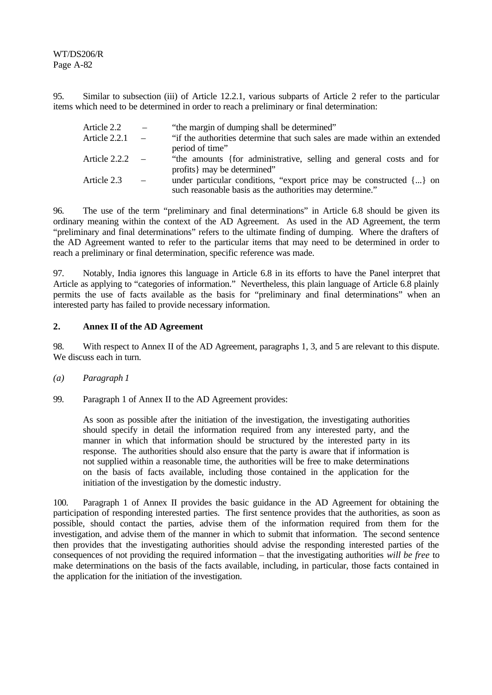WT/DS206/R Page A-82

95. Similar to subsection (iii) of Article 12.2.1, various subparts of Article 2 refer to the particular items which need to be determined in order to reach a preliminary or final determination:

| Article 2.2   | $\overline{\phantom{0}}$ | "the margin of dumping shall be determined"                               |
|---------------|--------------------------|---------------------------------------------------------------------------|
| Article 2.2.1 | $\equiv$                 | "if the authorities determine that such sales are made within an extended |
|               |                          | period of time"                                                           |
| Article 2.2.2 |                          | "the amounts {for administrative, selling and general costs and for       |
|               |                          | profits may be determined"                                                |
| Article 2.3   | $\equiv$                 | under particular conditions, "export price may be constructed $\{\}$ on   |
|               |                          | such reasonable basis as the authorities may determine."                  |

96. The use of the term "preliminary and final determinations" in Article 6.8 should be given its ordinary meaning within the context of the AD Agreement. As used in the AD Agreement, the term "preliminary and final determinations" refers to the ultimate finding of dumping. Where the drafters of the AD Agreement wanted to refer to the particular items that may need to be determined in order to reach a preliminary or final determination, specific reference was made.

97. Notably, India ignores this language in Article 6.8 in its efforts to have the Panel interpret that Article as applying to "categories of information." Nevertheless, this plain language of Article 6.8 plainly permits the use of facts available as the basis for "preliminary and final determinations" when an interested party has failed to provide necessary information.

### **2. Annex II of the AD Agreement**

98. With respect to Annex II of the AD Agreement, paragraphs 1, 3, and 5 are relevant to this dispute. We discuss each in turn.

- *(a) Paragraph 1*
- 99. Paragraph 1 of Annex II to the AD Agreement provides:

As soon as possible after the initiation of the investigation, the investigating authorities should specify in detail the information required from any interested party, and the manner in which that information should be structured by the interested party in its response. The authorities should also ensure that the party is aware that if information is not supplied within a reasonable time, the authorities will be free to make determinations on the basis of facts available, including those contained in the application for the initiation of the investigation by the domestic industry.

100. Paragraph 1 of Annex II provides the basic guidance in the AD Agreement for obtaining the participation of responding interested parties. The first sentence provides that the authorities, as soon as possible, should contact the parties, advise them of the information required from them for the investigation, and advise them of the manner in which to submit that information. The second sentence then provides that the investigating authorities should advise the responding interested parties of the consequences of not providing the required information – that the investigating authorities *will be free* to make determinations on the basis of the facts available, including, in particular, those facts contained in the application for the initiation of the investigation.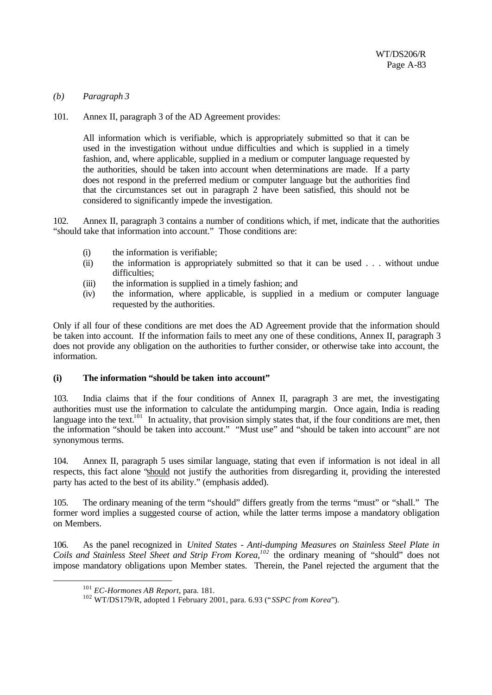### *(b) Paragraph 3*

101. Annex II, paragraph 3 of the AD Agreement provides:

All information which is verifiable, which is appropriately submitted so that it can be used in the investigation without undue difficulties and which is supplied in a timely fashion, and, where applicable, supplied in a medium or computer language requested by the authorities, should be taken into account when determinations are made. If a party does not respond in the preferred medium or computer language but the authorities find that the circumstances set out in paragraph 2 have been satisfied, this should not be considered to significantly impede the investigation.

102. Annex II, paragraph 3 contains a number of conditions which, if met, indicate that the authorities "should take that information into account." Those conditions are:

- (i) the information is verifiable;
- (ii) the information is appropriately submitted so that it can be used . . . without undue difficulties;
- (iii) the information is supplied in a timely fashion; and
- (iv) the information, where applicable, is supplied in a medium or computer language requested by the authorities.

Only if all four of these conditions are met does the AD Agreement provide that the information should be taken into account. If the information fails to meet any one of these conditions, Annex II, paragraph 3 does not provide any obligation on the authorities to further consider, or otherwise take into account, the information.

### **(i) The information "should be taken into account"**

103. India claims that if the four conditions of Annex II, paragraph 3 are met, the investigating authorities must use the information to calculate the antidumping margin. Once again, India is reading language into the text.<sup>101</sup> In actuality, that provision simply states that, if the four conditions are met, then the information "should be taken into account." "Must use" and "should be taken into account" are not synonymous terms.

104. Annex II, paragraph 5 uses similar language, stating that even if information is not ideal in all respects, this fact alone "should not justify the authorities from disregarding it, providing the interested party has acted to the best of its ability." (emphasis added).

105. The ordinary meaning of the term "should" differs greatly from the terms "must" or "shall." The former word implies a suggested course of action, while the latter terms impose a mandatory obligation on Members.

106. As the panel recognized in *United States - Anti-dumping Measures on Stainless Steel Plate in Coils and Stainless Steel Sheet and Strip From Korea,<sup>102</sup>* the ordinary meaning of "should" does not impose mandatory obligations upon Member states. Therein, the Panel rejected the argument that the

<sup>101</sup> *EC-Hormones AB Report*, para. 181.

<sup>102</sup> WT/DS179/R, adopted 1 February 2001, para. 6.93 ("*SSPC from Korea*").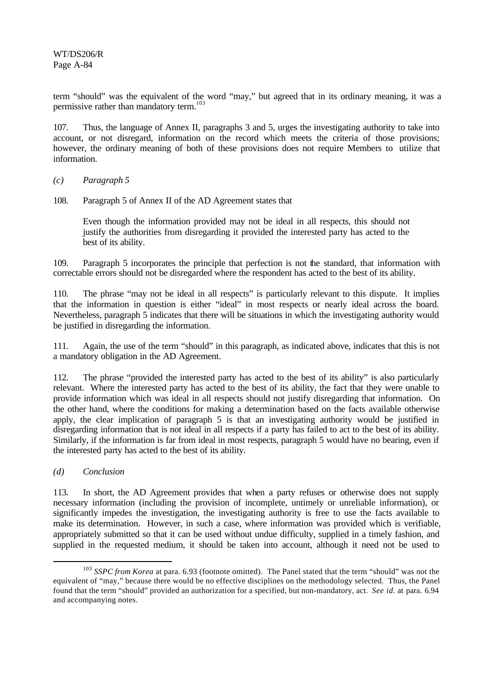term "should" was the equivalent of the word "may," but agreed that in its ordinary meaning, it was a permissive rather than mandatory term.<sup>103</sup>

107. Thus, the language of Annex II, paragraphs 3 and 5, urges the investigating authority to take into account, or not disregard, information on the record which meets the criteria of those provisions; however, the ordinary meaning of both of these provisions does not require Members to utilize that information.

- *(c) Paragraph 5*
- 108. Paragraph 5 of Annex II of the AD Agreement states that

Even though the information provided may not be ideal in all respects, this should not justify the authorities from disregarding it provided the interested party has acted to the best of its ability.

109. Paragraph 5 incorporates the principle that perfection is not the standard, that information with correctable errors should not be disregarded where the respondent has acted to the best of its ability.

110. The phrase "may not be ideal in all respects" is particularly relevant to this dispute. It implies that the information in question is either "ideal" in most respects or nearly ideal across the board. Nevertheless, paragraph 5 indicates that there will be situations in which the investigating authority would be justified in disregarding the information.

111. Again, the use of the term "should" in this paragraph, as indicated above, indicates that this is not a mandatory obligation in the AD Agreement.

112. The phrase "provided the interested party has acted to the best of its ability" is also particularly relevant. Where the interested party has acted to the best of its ability, the fact that they were unable to provide information which was ideal in all respects should not justify disregarding that information. On the other hand, where the conditions for making a determination based on the facts available otherwise apply, the clear implication of paragraph 5 is that an investigating authority would be justified in disregarding information that is not ideal in all respects if a party has failed to act to the best of its ability. Similarly, if the information is far from ideal in most respects, paragraph 5 would have no bearing, even if the interested party has acted to the best of its ability.

*(d) Conclusion*

l

113. In short, the AD Agreement provides that when a party refuses or otherwise does not supply necessary information (including the provision of incomplete, untimely or unreliable information), or significantly impedes the investigation, the investigating authority is free to use the facts available to make its determination. However, in such a case, where information was provided which is verifiable, appropriately submitted so that it can be used without undue difficulty, supplied in a timely fashion, and supplied in the requested medium, it should be taken into account, although it need not be used to

<sup>&</sup>lt;sup>103</sup> *SSPC from Korea* at para. 6.93 (footnote omitted). The Panel stated that the term "should" was not the equivalent of "may," because there would be no effective disciplines on the methodology selected. Thus, the Panel found that the term "should" provided an authorization for a specified, but non-mandatory, act. *See id.* at para. 6.94 and accompanying notes.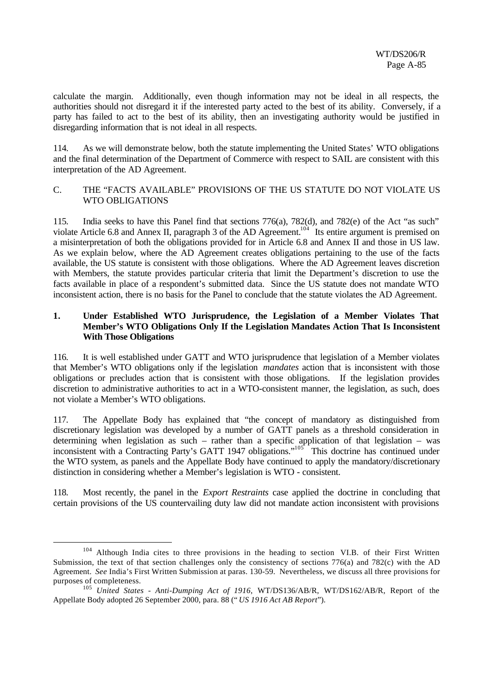calculate the margin. Additionally, even though information may not be ideal in all respects, the authorities should not disregard it if the interested party acted to the best of its ability. Conversely, if a party has failed to act to the best of its ability, then an investigating authority would be justified in disregarding information that is not ideal in all respects.

114. As we will demonstrate below, both the statute implementing the United States' WTO obligations and the final determination of the Department of Commerce with respect to SAIL are consistent with this interpretation of the AD Agreement.

### C. THE "FACTS AVAILABLE" PROVISIONS OF THE US STATUTE DO NOT VIOLATE US WTO OBLIGATIONS

115. India seeks to have this Panel find that sections 776(a), 782(d), and 782(e) of the Act "as such" violate Article 6.8 and Annex II, paragraph 3 of the AD Agreement.<sup>104</sup> Its entire argument is premised on a misinterpretation of both the obligations provided for in Article 6.8 and Annex II and those in US law. As we explain below, where the AD Agreement creates obligations pertaining to the use of the facts available, the US statute is consistent with those obligations. Where the AD Agreement leaves discretion with Members, the statute provides particular criteria that limit the Department's discretion to use the facts available in place of a respondent's submitted data. Since the US statute does not mandate WTO inconsistent action, there is no basis for the Panel to conclude that the statute violates the AD Agreement.

### **1. Under Established WTO Jurisprudence, the Legislation of a Member Violates That Member's WTO Obligations Only If the Legislation Mandates Action That Is Inconsistent With Those Obligations**

116. It is well established under GATT and WTO jurisprudence that legislation of a Member violates that Member's WTO obligations only if the legislation *mandates* action that is inconsistent with those obligations or precludes action that is consistent with those obligations. If the legislation provides discretion to administrative authorities to act in a WTO-consistent manner, the legislation, as such, does not violate a Member's WTO obligations.

117. The Appellate Body has explained that "the concept of mandatory as distinguished from discretionary legislation was developed by a number of GATT panels as a threshold consideration in determining when legislation as such – rather than a specific application of that legislation – was inconsistent with a Contracting Party's GATT 1947 obligations."<sup>105</sup> This doctrine has continued under the WTO system, as panels and the Appellate Body have continued to apply the mandatory/discretionary distinction in considering whether a Member's legislation is WTO - consistent.

118. Most recently, the panel in the *Export Restraints* case applied the doctrine in concluding that certain provisions of the US countervailing duty law did not mandate action inconsistent with provisions

<sup>&</sup>lt;sup>104</sup> Although India cites to three provisions in the heading to section VI.B. of their First Written Submission, the text of that section challenges only the consistency of sections 776(a) and 782(c) with the AD Agreement. *See* India's First Written Submission at paras. 130-59. Nevertheless, we discuss all three provisions for purposes of completeness.

<sup>105</sup> *United States - Anti-Dumping Act of 1916*, WT/DS136/AB/R, WT/DS162/AB/R, Report of the Appellate Body adopted 26 September 2000, para. 88 (" *US 1916 Act AB Report*").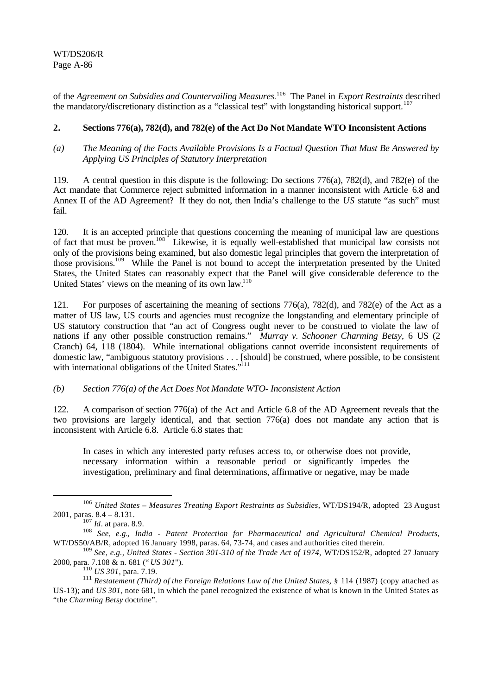WT/DS206/R Page A-86

of the *Agreement on Subsidies and Countervailing Measures*. <sup>106</sup> The Panel in *Export Restraints* described the mandatory/discretionary distinction as a "classical test" with longstanding historical support.<sup>10</sup>

### **2. Sections 776(a), 782(d), and 782(e) of the Act Do Not Mandate WTO Inconsistent Actions**

*(a) The Meaning of the Facts Available Provisions Is a Factual Question That Must Be Answered by Applying US Principles of Statutory Interpretation*

119. A central question in this dispute is the following: Do sections 776(a), 782(d), and 782(e) of the Act mandate that Commerce reject submitted information in a manner inconsistent with Article 6.8 and Annex II of the AD Agreement? If they do not, then India's challenge to the *US* statute "as such" must fail.

120. It is an accepted principle that questions concerning the meaning of municipal law are questions of fact that must be proven.<sup>108</sup> Likewise, it is equally well-established that municipal law consists not only of the provisions being examined, but also domestic legal principles that govern the interpretation of those provisions.<sup>109</sup> While the Panel is not bound to accept the interpretation presented by the United States, the United States can reasonably expect that the Panel will give considerable deference to the United States' views on the meaning of its own law.<sup>110</sup>

121. For purposes of ascertaining the meaning of sections 776(a), 782(d), and 782(e) of the Act as a matter of US law, US courts and agencies must recognize the longstanding and elementary principle of US statutory construction that "an act of Congress ought never to be construed to violate the law of nations if any other possible construction remains." *Murray v. Schooner Charming Betsy*, 6 US (2 Cranch) 64, 118 (1804). While international obligations cannot override inconsistent requirements of domestic law, "ambiguous statutory provisions . . . [should] be construed, where possible, to be consistent with international obligations of the United States."<sup>111</sup>

## *(b) Section 776(a) of the Act Does Not Mandate WTO- Inconsistent Action*

122. A comparison of section 776(a) of the Act and Article 6.8 of the AD Agreement reveals that the two provisions are largely identical, and that section 776(a) does not mandate any action that is inconsistent with Article 6.8. Article 6.8 states that:

In cases in which any interested party refuses access to, or otherwise does not provide, necessary information within a reasonable period or significantly impedes the investigation, preliminary and final determinations, affirmative or negative, may be made

<sup>106</sup> *United States – Measures Treating Export Restraints as Subsidies*, WT/DS194/R, adopted 23 August 2001, paras. 8.4 – 8.131.

<sup>107</sup> *Id*. at para. 8.9.

<sup>108</sup> *See, e.g.*, *India - Patent Protection for Pharmaceutical and Agricultural Chemical Products*, WT/DS50/AB/R, adopted 16 January 1998, paras. 64, 73-74, and cases and authorities cited therein.

<sup>&</sup>lt;sup>109</sup> See, e.g., United States - Section 301-310 of the Trade Act of 1974, WT/DS152/R, adopted 27 January 2000*,* para. 7.108 & n. 681 (" *US 301*").

<sup>110</sup> *US 301*, para. 7.19.

<sup>&</sup>lt;sup>111</sup> Restatement (Third) of the Foreign Relations Law of the United States, § 114 (1987) (copy attached as US-13); and *US 301*, note 681, in which the panel recognized the existence of what is known in the United States as "the *Charming Betsy* doctrine".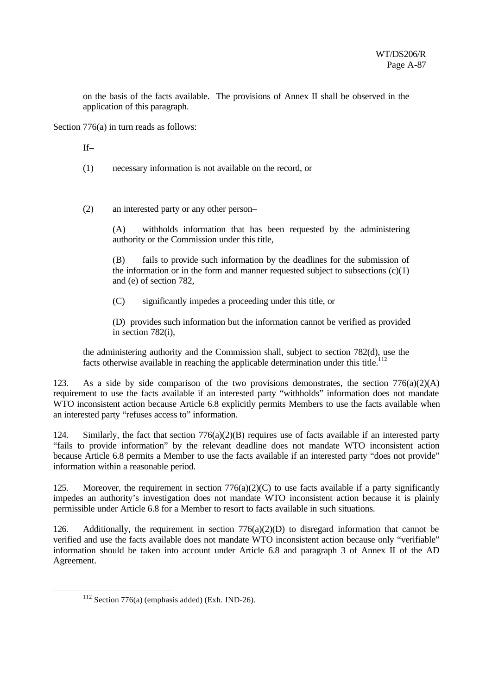on the basis of the facts available. The provisions of Annex II shall be observed in the application of this paragraph.

Section 776(a) in turn reads as follows:

 $If -$ 

(1) necessary information is not available on the record, or

(2) an interested party or any other person–

(A) withholds information that has been requested by the administering authority or the Commission under this title,

(B) fails to provide such information by the deadlines for the submission of the information or in the form and manner requested subject to subsections  $(c)(1)$ and (e) of section 782,

(C) significantly impedes a proceeding under this title, or

(D) provides such information but the information cannot be verified as provided in section 782(i),

the administering authority and the Commission shall, subject to section 782(d), use the facts otherwise available in reaching the applicable determination under this title.<sup>112</sup>

123. As a side by side comparison of the two provisions demonstrates, the section  $776(a)(2)(A)$ requirement to use the facts available if an interested party "withholds" information does not mandate WTO inconsistent action because Article 6.8 explicitly permits Members to use the facts available when an interested party "refuses access to" information.

124. Similarly, the fact that section  $776(a)(2)(B)$  requires use of facts available if an interested party "fails to provide information" by the relevant deadline does not mandate WTO inconsistent action because Article 6.8 permits a Member to use the facts available if an interested party "does not provide" information within a reasonable period.

125. Moreover, the requirement in section  $776(a)(2)(C)$  to use facts available if a party significantly impedes an authority's investigation does not mandate WTO inconsistent action because it is plainly permissible under Article 6.8 for a Member to resort to facts available in such situations.

126. Additionally, the requirement in section  $776(a)(2)(D)$  to disregard information that cannot be verified and use the facts available does not mandate WTO inconsistent action because only "verifiable" information should be taken into account under Article 6.8 and paragraph 3 of Annex II of the AD Agreement.

 $112$  Section 776(a) (emphasis added) (Exh. IND-26).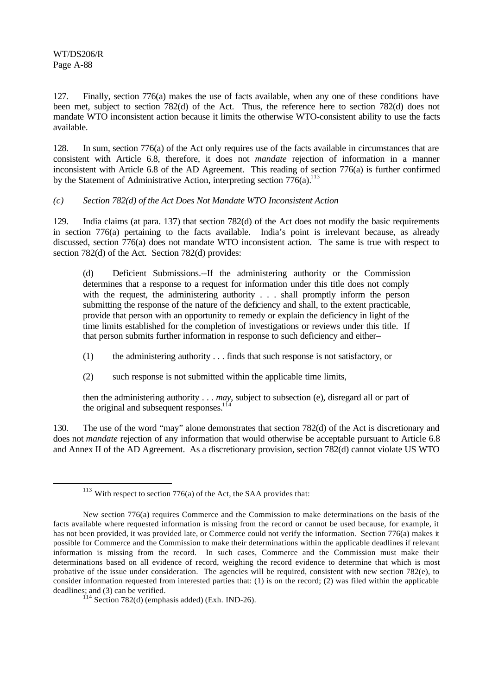l

127. Finally, section 776(a) makes the use of facts available, when any one of these conditions have been met, subject to section 782(d) of the Act. Thus, the reference here to section 782(d) does not mandate WTO inconsistent action because it limits the otherwise WTO-consistent ability to use the facts available.

128. In sum, section 776(a) of the Act only requires use of the facts available in circumstances that are consistent with Article 6.8, therefore, it does not *mandate* rejection of information in a manner inconsistent with Article 6.8 of the AD Agreement. This reading of section 776(a) is further confirmed by the Statement of Administrative Action, interpreting section  $776(a)$ .<sup>113</sup>

### *(c) Section 782(d) of the Act Does Not Mandate WTO Inconsistent Action*

129. India claims (at para. 137) that section 782(d) of the Act does not modify the basic requirements in section 776(a) pertaining to the facts available. India's point is irrelevant because, as already discussed, section 776(a) does not mandate WTO inconsistent action. The same is true with respect to section 782(d) of the Act. Section 782(d) provides:

(d) Deficient Submissions.--If the administering authority or the Commission determines that a response to a request for information under this title does not comply with the request, the administering authority . . . shall promptly inform the person submitting the response of the nature of the deficiency and shall, to the extent practicable, provide that person with an opportunity to remedy or explain the deficiency in light of the time limits established for the completion of investigations or reviews under this title. If that person submits further information in response to such deficiency and either–

- (1) the administering authority . . . finds that such response is not satisfactory, or
- (2) such response is not submitted within the applicable time limits,

then the administering authority . . . *may*, subject to subsection (e), disregard all or part of the original and subsequent responses.<sup>114</sup>

130. The use of the word "may" alone demonstrates that section 782(d) of the Act is discretionary and does not *mandate* rejection of any information that would otherwise be acceptable pursuant to Article 6.8 and Annex II of the AD Agreement. As a discretionary provision, section 782(d) cannot violate US WTO

 $113$  With respect to section 776(a) of the Act, the SAA provides that:

New section 776(a) requires Commerce and the Commission to make determinations on the basis of the facts available where requested information is missing from the record or cannot be used because, for example, it has not been provided, it was provided late, or Commerce could not verify the information. Section 776(a) makes it possible for Commerce and the Commission to make their determinations within the applicable deadlines if relevant information is missing from the record. In such cases, Commerce and the Commission must make their determinations based on all evidence of record, weighing the record evidence to determine that which is most probative of the issue under consideration. The agencies will be required, consistent with new section 782(e), to consider information requested from interested parties that: (1) is on the record; (2) was filed within the applicable deadlines; and (3) can be verified.

 $114$  Section 782(d) (emphasis added) (Exh. IND-26).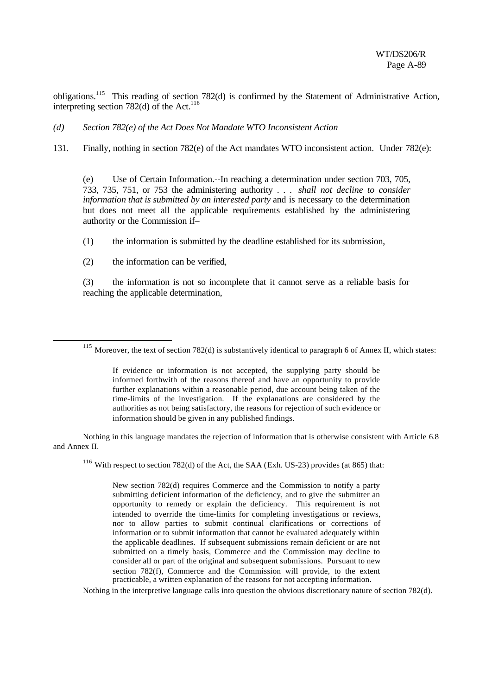obligations.<sup>115</sup> This reading of section 782(d) is confirmed by the Statement of Administrative Action, interpreting section 782(d) of the Act.<sup>116</sup>

#### *(d) Section 782(e) of the Act Does Not Mandate WTO Inconsistent Action*

131. Finally, nothing in section 782(e) of the Act mandates WTO inconsistent action. Under 782(e):

(e) Use of Certain Information.--In reaching a determination under section 703, 705, 733, 735, 751, or 753 the administering authority . . . *shall not decline to consider information that is submitted by an interested party* and is necessary to the determination but does not meet all the applicable requirements established by the administering authority or the Commission if–

(1) the information is submitted by the deadline established for its submission,

(2) the information can be verified,

l

(3) the information is not so incomplete that it cannot serve as a reliable basis for reaching the applicable determination,

Nothing in this language mandates the rejection of information that is otherwise consistent with Article 6.8 and Annex II.

<sup>116</sup> With respect to section 782(d) of the Act, the SAA (Exh. US-23) provides (at 865) that:

New section 782(d) requires Commerce and the Commission to notify a party submitting deficient information of the deficiency, and to give the submitter an opportunity to remedy or explain the deficiency. This requirement is not intended to override the time-limits for completing investigations or reviews, nor to allow parties to submit continual clarifications or corrections of information or to submit information that cannot be evaluated adequately within the applicable deadlines. If subsequent submissions remain deficient or are not submitted on a timely basis, Commerce and the Commission may decline to consider all or part of the original and subsequent submissions. Pursuant to new section 782(f), Commerce and the Commission will provide, to the extent practicable, a written explanation of the reasons for not accepting information.

Nothing in the interpretive language calls into question the obvious discretionary nature of section 782(d).

<sup>&</sup>lt;sup>115</sup> Moreover, the text of section 782(d) is substantively identical to paragraph 6 of Annex II, which states:

If evidence or information is not accepted, the supplying party should be informed forthwith of the reasons thereof and have an opportunity to provide further explanations within a reasonable period, due account being taken of the time-limits of the investigation. If the explanations are considered by the authorities as not being satisfactory, the reasons for rejection of such evidence or information should be given in any published findings.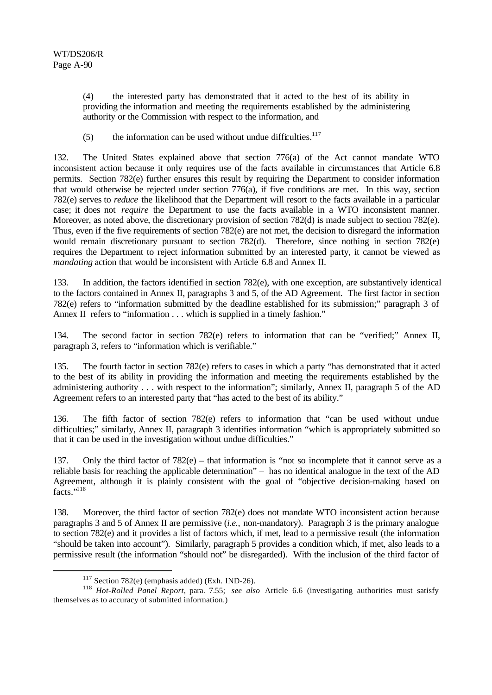(4) the interested party has demonstrated that it acted to the best of its ability in providing the information and meeting the requirements established by the administering authority or the Commission with respect to the information, and

 $(5)$  the information can be used without undue difficulties.<sup>117</sup>

132. The United States explained above that section 776(a) of the Act cannot mandate WTO inconsistent action because it only requires use of the facts available in circumstances that Article 6.8 permits. Section 782(e) further ensures this result by requiring the Department to consider information that would otherwise be rejected under section  $776(a)$ , if five conditions are met. In this way, section 782(e) serves to *reduce* the likelihood that the Department will resort to the facts available in a particular case; it does not *require* the Department to use the facts available in a WTO inconsistent manner. Moreover, as noted above, the discretionary provision of section 782(d) is made subject to section 782(e). Thus, even if the five requirements of section 782(e) are not met, the decision to disregard the information would remain discretionary pursuant to section 782(d). Therefore, since nothing in section 782(e) requires the Department to reject information submitted by an interested party, it cannot be viewed as *mandating* action that would be inconsistent with Article 6.8 and Annex II.

133. In addition, the factors identified in section 782(e), with one exception, are substantively identical to the factors contained in Annex II, paragraphs 3 and 5, of the AD Agreement. The first factor in section 782(e) refers to "information submitted by the deadline established for its submission;" paragraph 3 of Annex II refers to "information . . . which is supplied in a timely fashion."

134. The second factor in section 782(e) refers to information that can be "verified;" Annex II, paragraph 3, refers to "information which is verifiable."

135. The fourth factor in section 782(e) refers to cases in which a party "has demonstrated that it acted to the best of its ability in providing the information and meeting the requirements established by the administering authority . . . with respect to the information"; similarly, Annex II, paragraph 5 of the AD Agreement refers to an interested party that "has acted to the best of its ability."

136. The fifth factor of section 782(e) refers to information that "can be used without undue difficulties;" similarly, Annex II, paragraph 3 identifies information "which is appropriately submitted so that it can be used in the investigation without undue difficulties."

137. Only the third factor of 782(e) – that information is "not so incomplete that it cannot serve as a reliable basis for reaching the applicable determination" – has no identical analogue in the text of the AD Agreement, although it is plainly consistent with the goal of "objective decision-making based on facts."<sup>118</sup>

138. Moreover, the third factor of section 782(e) does not mandate WTO inconsistent action because paragraphs 3 and 5 of Annex II are permissive (*i.e.,* non-mandatory). Paragraph 3 is the primary analogue to section 782(e) and it provides a list of factors which, if met, lead to a permissive result (the information "should be taken into account"). Similarly, paragraph 5 provides a condition which, if met, also leads to a permissive result (the information "should not" be disregarded). With the inclusion of the third factor of

 $117$  Section 782(e) (emphasis added) (Exh. IND-26).

<sup>118</sup> *Hot-Rolled Panel Report*, para. 7.55; *see also* Article 6.6 (investigating authorities must satisfy themselves as to accuracy of submitted information.)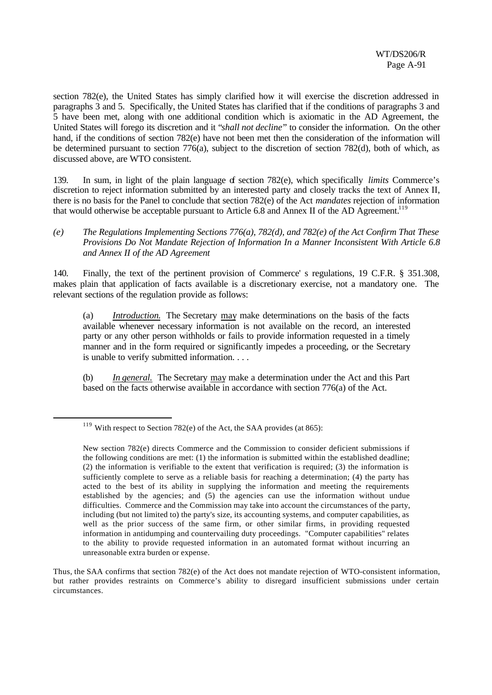section 782(e), the United States has simply clarified how it will exercise the discretion addressed in paragraphs 3 and 5. Specifically, the United States has clarified that if the conditions of paragraphs 3 and 5 have been met, along with one additional condition which is axiomatic in the AD Agreement, the United States will forego its discretion and it "*shall not decline*" to consider the information. On the other hand, if the conditions of section 782(e) have not been met then the consideration of the information will be determined pursuant to section 776(a), subject to the discretion of section 782(d), both of which, as discussed above, are WTO consistent.

139. In sum, in light of the plain language of section 782(e), which specifically *limits* Commerce's discretion to reject information submitted by an interested party and closely tracks the text of Annex II, there is no basis for the Panel to conclude that section 782(e) of the Act *mandates* rejection of information that would otherwise be acceptable pursuant to Article 6.8 and Annex II of the AD Agreement.<sup>119</sup>

### *(e) The Regulations Implementing Sections 776(a), 782(d), and 782(e) of the Act Confirm That These Provisions Do Not Mandate Rejection of Information In a Manner Inconsistent With Article 6.8 and Annex II of the AD Agreement*

140. Finally, the text of the pertinent provision of Commerce' s regulations, 19 C.F.R. § 351.308, makes plain that application of facts available is a discretionary exercise, not a mandatory one. The relevant sections of the regulation provide as follows:

(a) *Introduction.* The Secretary may make determinations on the basis of the facts available whenever necessary information is not available on the record, an interested party or any other person withholds or fails to provide information requested in a timely manner and in the form required or significantly impedes a proceeding, or the Secretary is unable to verify submitted information. . . .

(b) *In general.* The Secretary may make a determination under the Act and this Part based on the facts otherwise available in accordance with section 776(a) of the Act.

<sup>&</sup>lt;sup>119</sup> With respect to Section 782(e) of the Act, the SAA provides (at 865):

New section 782(e) directs Commerce and the Commission to consider deficient submissions if the following conditions are met: (1) the information is submitted within the established deadline; (2) the information is verifiable to the extent that verification is required; (3) the information is sufficiently complete to serve as a reliable basis for reaching a determination; (4) the party has acted to the best of its ability in supplying the information and meeting the requirements established by the agencies; and (5) the agencies can use the information without undue difficulties. Commerce and the Commission may take into account the circumstances of the party, including (but not limited to) the party's size, its accounting systems, and computer capabilities, as well as the prior success of the same firm, or other similar firms, in providing requested information in antidumping and countervailing duty proceedings. "Computer capabilities" relates to the ability to provide requested information in an automated format without incurring an unreasonable extra burden or expense.

Thus, the SAA confirms that section 782(e) of the Act does not mandate rejection of WTO-consistent information, but rather provides restraints on Commerce's ability to disregard insufficient submissions under certain circumstances.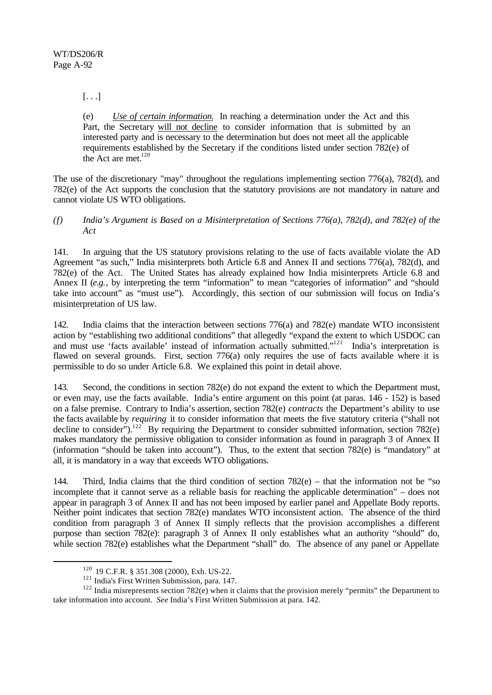[. . .]

(e) *Use of certain information.* In reaching a determination under the Act and this Part, the Secretary will not decline to consider information that is submitted by an interested party and is necessary to the determination but does not meet all the applicable requirements established by the Secretary if the conditions listed under section 782(e) of the Act are met. $120$ 

The use of the discretionary "may" throughout the regulations implementing section 776(a), 782(d), and 782(e) of the Act supports the conclusion that the statutory provisions are not mandatory in nature and cannot violate US WTO obligations.

### *(f) India's Argument is Based on a Misinterpretation of Sections 776(a), 782(d), and 782(e) of the Act*

141. In arguing that the US statutory provisions relating to the use of facts available violate the AD Agreement "as such," India misinterprets both Article 6.8 and Annex II and sections 776(a), 782(d), and 782(e) of the Act. The United States has already explained how India misinterprets Article 6.8 and Annex II (e.g., by interpreting the term "information" to mean "categories of information" and "should take into account" as "must use"). Accordingly, this section of our submission will focus on India's misinterpretation of US law.

142. India claims that the interaction between sections 776(a) and 782(e) mandate WTO inconsistent action by "establishing two additional conditions" that allegedly "expand the extent to which USDOC can and must use 'facts available' instead of information actually submitted."<sup>121</sup> India's interpretation is flawed on several grounds. First, section 776(a) only requires the use of facts available where it is permissible to do so under Article 6.8. We explained this point in detail above.

143. Second, the conditions in section 782(e) do not expand the extent to which the Department must, or even may, use the facts available. India's entire argument on this point (at paras. 146 - 152) is based on a false premise. Contrary to India's assertion, section 782(e) *contracts* the Department's ability to use the facts available by *requiring* it to consider information that meets the five statutory criteria ("shall not decline to consider").<sup>122</sup> By requiring the Department to consider submitted information, section 782(e) makes mandatory the permissive obligation to consider information as found in paragraph 3 of Annex II (information "should be taken into account"). Thus, to the extent that section 782(e) is "mandatory" at all, it is mandatory in a way that exceeds WTO obligations.

144. Third, India claims that the third condition of section 782(e) – that the information not be "so incomplete that it cannot serve as a reliable basis for reaching the applicable determination" – does not appear in paragraph 3 of Annex II and has not been imposed by earlier panel and Appellate Body reports. Neither point indicates that section 782(e) mandates WTO inconsistent action. The absence of the third condition from paragraph 3 of Annex II simply reflects that the provision accomplishes a different purpose than section 782(e): paragraph 3 of Annex II only establishes what an authority "should" do, while section 782(e) establishes what the Department "shall" do. The absence of any panel or Appellate

<sup>120</sup> 19 C.F.R. § 351.308 (2000), Exh. US-22.

<sup>121</sup> India's First Written Submission, para. 147.

 $122$  India misrepresents section 782(e) when it claims that the provision merely "permits" the Department to take information into account. *See* India's First Written Submission at para. 142.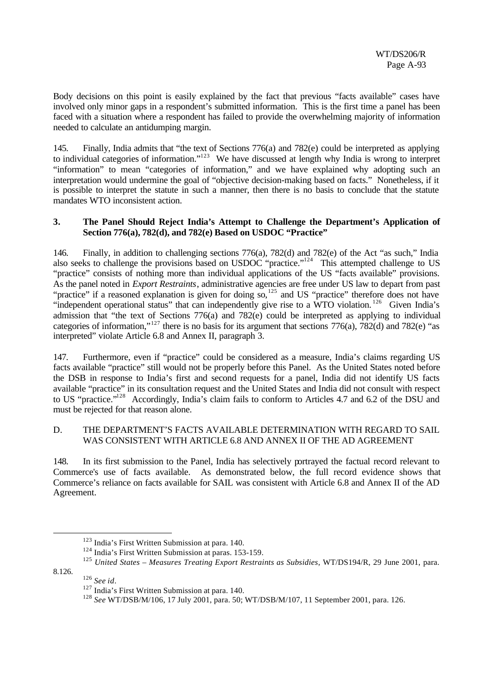Body decisions on this point is easily explained by the fact that previous "facts available" cases have involved only minor gaps in a respondent's submitted information. This is the first time a panel has been faced with a situation where a respondent has failed to provide the overwhelming majority of information needed to calculate an antidumping margin.

145. Finally, India admits that "the text of Sections 776(a) and 782(e) could be interpreted as applying to individual categories of information."<sup>123</sup> We have discussed at length why India is wrong to interpret "information" to mean "categories of information," and we have explained why adopting such an interpretation would undermine the goal of "objective decision-making based on facts." Nonetheless, if it is possible to interpret the statute in such a manner, then there is no basis to conclude that the statute mandates WTO inconsistent action.

### **3. The Panel Should Reject India's Attempt to Challenge the Department's Application of Section 776(a), 782(d), and 782(e) Based on USDOC "Practice"**

146. Finally, in addition to challenging sections 776(a), 782(d) and 782(e) of the Act "as such," India also seeks to challenge the provisions based on USDOC "practice."<sup>124</sup> This attempted challenge to US "practice" consists of nothing more than individual applications of the US "facts available" provisions. As the panel noted in *Export Restraints*, administrative agencies are free under US law to depart from past "practice" if a reasoned explanation is given for doing so,  $125$  and US "practice" therefore does not have "independent operational status" that can independently give rise to a WTO violation.<sup>126</sup> Given India's admission that "the text of Sections 776(a) and 782(e) could be interpreted as applying to individual categories of information,"<sup>127</sup> there is no basis for its argument that sections 776(a),  $\overline{782}$ (d) and 782(e) "as interpreted" violate Article 6.8 and Annex II, paragraph 3.

147. Furthermore, even if "practice" could be considered as a measure, India's claims regarding US facts available "practice" still would not be properly before this Panel. As the United States noted before the DSB in response to India's first and second requests for a panel, India did not identify US facts available "practice" in its consultation request and the United States and India did not consult with respect to US "practice."<sup>128</sup> Accordingly, India's claim fails to conform to Articles 4.7 and 6.2 of the DSU and must be rejected for that reason alone.

### D. THE DEPARTMENT'S FACTS AVAILABLE DETERMINATION WITH REGARD TO SAIL WAS CONSISTENT WITH ARTICLE 6.8 AND ANNEX II OF THE AD AGREEMENT

148. In its first submission to the Panel, India has selectively portrayed the factual record relevant to Commerce's use of facts available. As demonstrated below, the full record evidence shows that Commerce's reliance on facts available for SAIL was consistent with Article 6.8 and Annex II of the AD Agreement.

8.126.

<sup>123</sup> India's First Written Submission at para. 140.

<sup>&</sup>lt;sup>124</sup> India's First Written Submission at paras. 153-159.

<sup>125</sup> *United States – Measures Treating Export Restraints as Subsidies*, WT/DS194/R, 29 June 2001, para.

<sup>126</sup> *See id*.

<sup>127</sup> India's First Written Submission at para. 140.

<sup>128</sup> *See* WT/DSB/M/106, 17 July 2001, para. 50; WT/DSB/M/107, 11 September 2001, para. 126.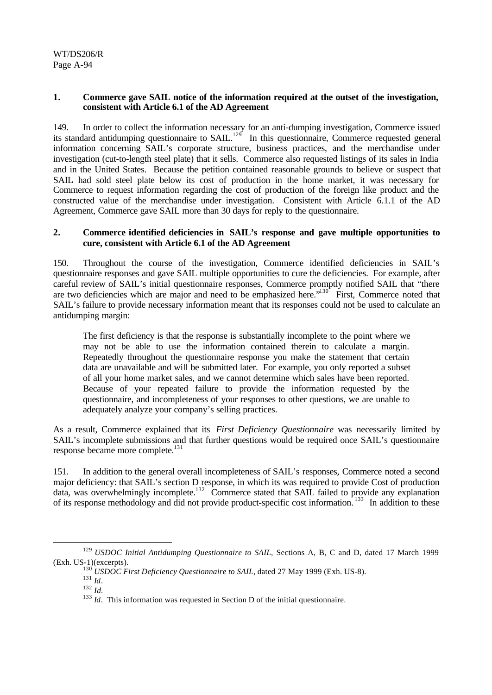### **1. Commerce gave SAIL notice of the information required at the outset of the investigation, consistent with Article 6.1 of the AD Agreement**

149. In order to collect the information necessary for an anti-dumping investigation, Commerce issued its standard antidumping questionnaire to  $SAL.$ <sup>129</sup> In this questionnaire, Commerce requested general information concerning SAIL's corporate structure, business practices, and the merchandise under investigation (cut-to-length steel plate) that it sells. Commerce also requested listings of its sales in India and in the United States. Because the petition contained reasonable grounds to believe or suspect that SAIL had sold steel plate below its cost of production in the home market, it was necessary for Commerce to request information regarding the cost of production of the foreign like product and the constructed value of the merchandise under investigation. Consistent with Article 6.1.1 of the AD Agreement, Commerce gave SAIL more than 30 days for reply to the questionnaire.

### **2. Commerce identified deficiencies in SAIL's response and gave multiple opportunities to cure, consistent with Article 6.1 of the AD Agreement**

150. Throughout the course of the investigation, Commerce identified deficiencies in SAIL's questionnaire responses and gave SAIL multiple opportunities to cure the deficiencies. For example, after careful review of SAIL's initial questionnaire responses, Commerce promptly notified SAIL that "there are two deficiencies which are major and need to be emphasized here. $130^\circ$  First, Commerce noted that SAIL's failure to provide necessary information meant that its responses could not be used to calculate an antidumping margin:

The first deficiency is that the response is substantially incomplete to the point where we may not be able to use the information contained therein to calculate a margin. Repeatedly throughout the questionnaire response you make the statement that certain data are unavailable and will be submitted later. For example, you only reported a subset of all your home market sales, and we cannot determine which sales have been reported. Because of your repeated failure to provide the information requested by the questionnaire, and incompleteness of your responses to other questions, we are unable to adequately analyze your company's selling practices.

As a result, Commerce explained that its *First Deficiency Questionnaire* was necessarily limited by SAIL's incomplete submissions and that further questions would be required once SAIL's questionnaire response became more complete.<sup>131</sup>

151. In addition to the general overall incompleteness of SAIL's responses, Commerce noted a second major deficiency: that SAIL's section D response, in which its was required to provide Cost of production data, was overwhelmingly incomplete.<sup>132</sup> Commerce stated that SAIL failed to provide any explanation of its response methodology and did not provide product-specific cost information. <sup>133</sup> In addition to these

<sup>129</sup> *USDOC Initial Antidumping Questionnaire to SAIL*, Sections A, B, C and D, dated 17 March 1999 (Exh. US-1)(excerpts).

<sup>&</sup>lt;sup>130</sup> *USDOC First Deficiency Questionnaire to SAIL*, dated 27 May 1999 (Exh. US-8).

<sup>131</sup> *Id*.

<sup>132</sup> *Id.*

<sup>&</sup>lt;sup>133</sup> *Id*. This information was requested in Section D of the initial questionnaire.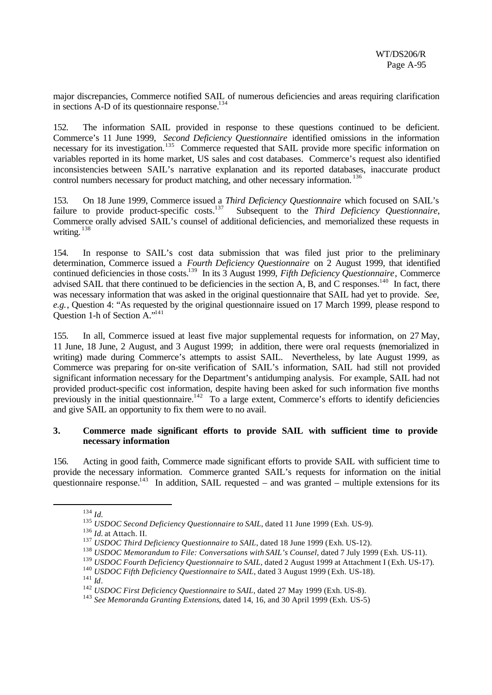major discrepancies, Commerce notified SAIL of numerous deficiencies and areas requiring clarification in sections  $\overline{A}$ -D of its questionnaire response.<sup>134</sup>

152. The information SAIL provided in response to these questions continued to be deficient. Commerce's 11 June 1999, *Second Deficiency Questionnaire* identified omissions in the information necessary for its investigation.<sup>135</sup> Commerce requested that SAIL provide more specific information on variables reported in its home market, US sales and cost databases. Commerce's request also identified inconsistencies between SAIL's narrative explanation and its reported databases, inaccurate product control numbers necessary for product matching, and other necessary information.<sup>136</sup>

153. On 18 June 1999, Commerce issued a *Third Deficiency Questionnaire* which focused on SAIL's failure to provide product-specific costs.<sup>137</sup> Subsequent to the *Third Deficiency Questionnaire*, Commerce orally advised SAIL's counsel of additional deficiencies, and memorialized these requests in writing.<sup>138</sup>

154. In response to SAIL's cost data submission that was filed just prior to the preliminary determination, Commerce issued a *Fourth Deficiency Questionnaire* on 2 August 1999, that identified continued deficiencies in those costs.<sup>139</sup> In its 3 August 1999, *Fifth Deficiency Questionnaire*, Commerce advised SAIL that there continued to be deficiencies in the section A, B, and C responses.<sup>140</sup> In fact, there was necessary information that was asked in the original questionnaire that SAIL had yet to provide. *See, e.g.*, Question 4: "As requested by the original questionnaire issued on 17 March 1999, please respond to Question 1-h of Section A."<sup>141</sup>

155. In all, Commerce issued at least five major supplemental requests for information, on 27 May, 11 June, 18 June, 2 August, and 3 August 1999; in addition, there were oral requests (memorialized in writing) made during Commerce's attempts to assist SAIL. Nevertheless, by late August 1999, as Commerce was preparing for on-site verification of SAIL's information, SAIL had still not provided significant information necessary for the Department's antidumping analysis. For example, SAIL had not provided product-specific cost information, despite having been asked for such information five months previously in the initial questionnaire.<sup>142</sup> To a large extent, Commerce's efforts to identify deficiencies and give SAIL an opportunity to fix them were to no avail.

### **3. Commerce made significant efforts to provide SAIL with sufficient time to provide necessary information**

156. Acting in good faith, Commerce made significant efforts to provide SAIL with sufficient time to provide the necessary information. Commerce granted SAIL's requests for information on the initial questionnaire response.<sup>143</sup> In addition, SAIL requested – and was granted – multiple extensions for its

<sup>134</sup> *Id.*

<sup>135</sup> *USDOC Second Deficiency Questionnaire to SAIL*, dated 11 June 1999 (Exh. US-9).

<sup>136</sup> *Id.* at Attach. II.

<sup>137</sup> *USDOC Third Deficiency Questionnaire to SAIL*, dated 18 June 1999 (Exh. US-12).

<sup>&</sup>lt;sup>138</sup> *USDOC Memorandum to File: Conversations with SAIL's Counsel*, dated 7 July 1999 (Exh. US-11).

<sup>139</sup> *USDOC Fourth Deficiency Questionnaire to SAIL*, dated 2 August 1999 at Attachment I (Exh. US-17).

<sup>&</sup>lt;sup>140</sup> *USDOC Fifth Deficiency Questionnaire to SAIL*, dated 3 August 1999 (Exh. US-18).

<sup>141</sup> *Id*.

<sup>142</sup> *USDOC First Deficiency Questionnaire to SAIL,* dated 27 May 1999 (Exh. US-8).

<sup>143</sup> *See Memoranda Granting Extensions*, dated 14, 16, and 30 April 1999 (Exh. US-5)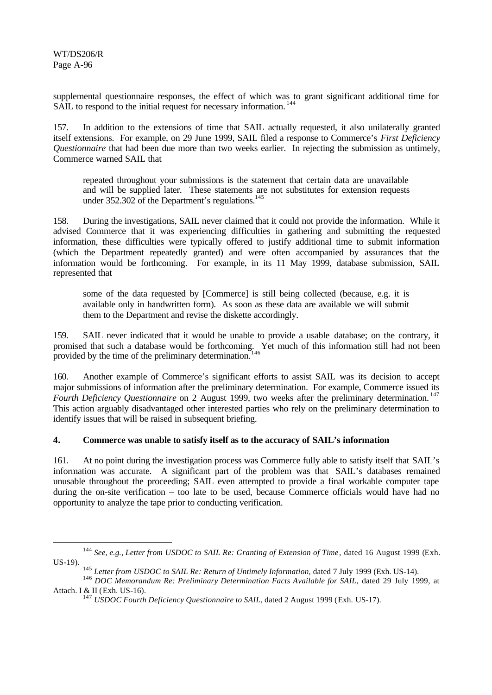l

supplemental questionnaire responses, the effect of which was to grant significant additional time for SAIL to respond to the initial request for necessary information.<sup>144</sup>

157. In addition to the extensions of time that SAIL actually requested, it also unilaterally granted itself extensions. For example, on 29 June 1999, SAIL filed a response to Commerce's *First Deficiency Questionnaire* that had been due more than two weeks earlier. In rejecting the submission as untimely, Commerce warned SAIL that

repeated throughout your submissions is the statement that certain data are unavailable and will be supplied later. These statements are not substitutes for extension requests under  $352.302$  of the Department's regulations.<sup>145</sup>

158. During the investigations, SAIL never claimed that it could not provide the information. While it advised Commerce that it was experiencing difficulties in gathering and submitting the requested information, these difficulties were typically offered to justify additional time to submit information (which the Department repeatedly granted) and were often accompanied by assurances that the information would be forthcoming. For example, in its 11 May 1999, database submission, SAIL represented that

some of the data requested by [Commerce] is still being collected (because, e.g. it is available only in handwritten form). As soon as these data are available we will submit them to the Department and revise the diskette accordingly.

159. SAIL never indicated that it would be unable to provide a usable database; on the contrary, it promised that such a database would be forthcoming. Yet much of this information still had not been<br>provided by the time of the maliminery determination  $^{146}$ provided by the time of the preliminary determination.<sup>1</sup>

160. Another example of Commerce's significant efforts to assist SAIL was its decision to accept major submissions of information after the preliminary determination. For example, Commerce issued its *Fourth Deficiency Questionnaire* on 2 August 1999, two weeks after the preliminary determination.<sup>147</sup> This action arguably disadvantaged other interested parties who rely on the preliminary determination to identify issues that will be raised in subsequent briefing.

## **4. Commerce was unable to satisfy itself as to the accuracy of SAIL's information**

161. At no point during the investigation process was Commerce fully able to satisfy itself that SAIL's information was accurate. A significant part of the problem was that SAIL's databases remained unusable throughout the proceeding; SAIL even attempted to provide a final workable computer tape during the on-site verification – too late to be used, because Commerce officials would have had no opportunity to analyze the tape prior to conducting verification.

<sup>144</sup> *See, e.g., Letter from USDOC to SAIL Re: Granting of Extension of Time*, dated 16 August 1999 (Exh. US-19).

<sup>145</sup> *Letter from USDOC to SAIL Re: Return of Untimely Information*, dated 7 July 1999 (Exh. US-14).

<sup>146</sup> *DOC Memorandum Re: Preliminary Determination Facts Available for SAIL*, dated 29 July 1999, at Attach. I & II (Exh. US-16).

<sup>147</sup> *USDOC Fourth Deficiency Questionnaire to SAIL*, dated 2 August 1999 (Exh. US-17).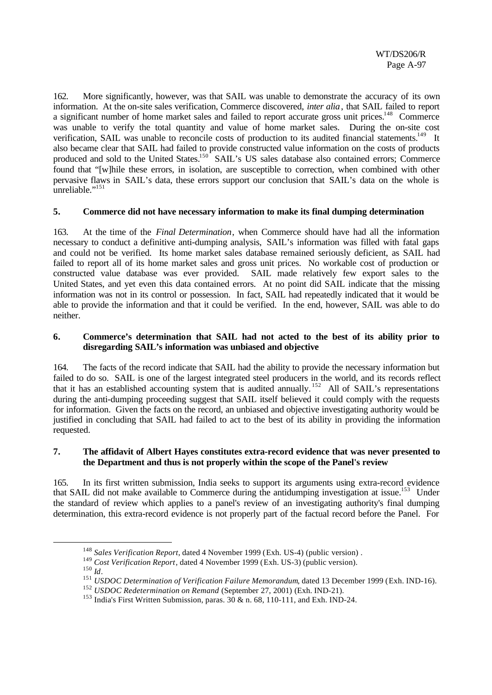162. More significantly, however, was that SAIL was unable to demonstrate the accuracy of its own information. At the on-site sales verification, Commerce discovered, *inter alia*, that SAIL failed to report a significant number of home market sales and failed to report accurate gross unit prices.<sup>148</sup> Commerce was unable to verify the total quantity and value of home market sales. During the on-site cost verification, SAIL was unable to reconcile costs of production to its audited financial statements.<sup>149</sup> It also became clear that SAIL had failed to provide constructed value information on the costs of products produced and sold to the United States.<sup>150</sup> SAIL's US sales database also contained errors; Commerce found that "[w]hile these errors, in isolation, are susceptible to correction, when combined with other pervasive flaws in SAIL's data, these errors support our conclusion that SAIL's data on the whole is unreliable." $151$ 

### **5. Commerce did not have necessary information to make its final dumping determination**

163. At the time of the *Final Determination*, when Commerce should have had all the information necessary to conduct a definitive anti-dumping analysis, SAIL's information was filled with fatal gaps and could not be verified. Its home market sales database remained seriously deficient, as SAIL had failed to report all of its home market sales and gross unit prices. No workable cost of production or constructed value database was ever provided. SAIL made relatively few export sales to the United States, and yet even this data contained errors. At no point did SAIL indicate that the missing information was not in its control or possession. In fact, SAIL had repeatedly indicated that it would be able to provide the information and that it could be verified. In the end, however, SAIL was able to do neither.

### **6. Commerce's determination that SAIL had not acted to the best of its ability prior to disregarding SAIL's information was unbiased and objective**

164. The facts of the record indicate that SAIL had the ability to provide the necessary information but failed to do so. SAIL is one of the largest integrated steel producers in the world, and its records reflect that it has an established accounting system that is audited annually. <sup>152</sup> All of SAIL's representations during the anti-dumping proceeding suggest that SAIL itself believed it could comply with the requests for information. Given the facts on the record, an unbiased and objective investigating authority would be justified in concluding that SAIL had failed to act to the best of its ability in providing the information requested.

### **7. The affidavit of Albert Hayes constitutes extra-record evidence that was never presented to the Department and thus is not properly within the scope of the Panel's review**

165. In its first written submission, India seeks to support its arguments using extra-record evidence that SAIL did not make available to Commerce during the antidumping investigation at issue.<sup>153</sup> Under the standard of review which applies to a panel's review of an investigating authority's final dumping determination, this extra-record evidence is not properly part of the factual record before the Panel. For

<sup>148</sup> *Sales Verification Report*, dated 4 November 1999 (Exh. US-4) (public version) .

<sup>149</sup> *Cost Verification Report*, dated 4 November 1999 (Exh. US-3) (public version).

<sup>150</sup> *Id*.

<sup>151</sup> *USDOC Determination of Verification Failure Memorandum*, dated 13 December 1999 (Exh. IND-16).

<sup>152</sup> *USDOC Redetermination on Remand* (September 27, 2001) (Exh. IND-21).

<sup>&</sup>lt;sup>153</sup> India's First Written Submission, paras.  $30 \& n. 68$ , 110-111, and Exh. IND-24.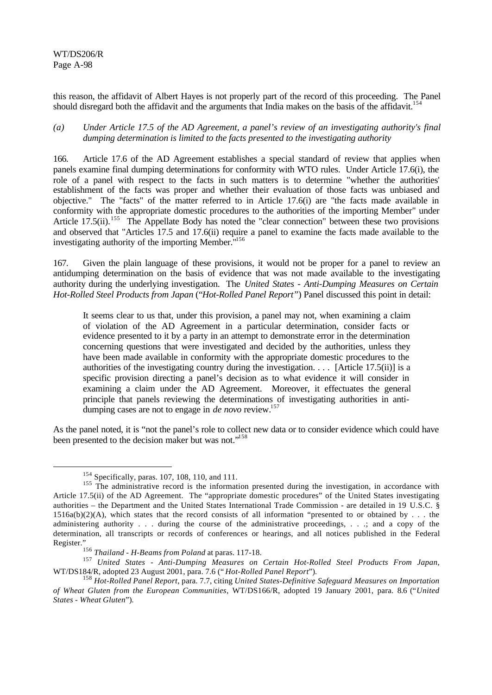WT/DS206/R Page A-98

l

this reason, the affidavit of Albert Hayes is not properly part of the record of this proceeding. The Panel should disregard both the affidavit and the arguments that India makes on the basis of the affidavit.<sup>154</sup>

### *(a) Under Article 17.5 of the AD Agreement, a panel's review of an investigating authority's final dumping determination is limited to the facts presented to the investigating authority*

166. Article 17.6 of the AD Agreement establishes a special standard of review that applies when panels examine final dumping determinations for conformity with WTO rules. Under Article 17.6(i), the role of a panel with respect to the facts in such matters is to determine "whether the authorities' establishment of the facts was proper and whether their evaluation of those facts was unbiased and objective." The "facts" of the matter referred to in Article 17.6(i) are "the facts made available in conformity with the appropriate domestic procedures to the authorities of the importing Member" under Article  $17.5$ (ii).<sup>155</sup> The Appellate Body has noted the "clear connection" between these two provisions and observed that "Articles 17.5 and 17.6(ii) require a panel to examine the facts made available to the investigating authority of the importing Member.<sup>"156</sup>

167. Given the plain language of these provisions, it would not be proper for a panel to review an antidumping determination on the basis of evidence that was not made available to the investigating authority during the underlying investigation. The *United States - Anti-Dumping Measures on Certain Hot-Rolled Steel Products from Japan* ("*Hot-Rolled Panel Report"*) Panel discussed this point in detail:

It seems clear to us that, under this provision, a panel may not, when examining a claim of violation of the AD Agreement in a particular determination, consider facts or evidence presented to it by a party in an attempt to demonstrate error in the determination concerning questions that were investigated and decided by the authorities, unless they have been made available in conformity with the appropriate domestic procedures to the authorities of the investigating country during the investigation.  $\ldots$  [Article 17.5(ii)] is a specific provision directing a panel's decision as to what evidence it will consider in examining a claim under the AD Agreement. Moreover, it effectuates the general principle that panels reviewing the determinations of investigating authorities in antidumping cases are not to engage in *de novo* review.<sup>157</sup>

As the panel noted, it is "not the panel's role to collect new data or to consider evidence which could have been presented to the decision maker but was not."<sup>158</sup>

<sup>154</sup> Specifically, paras. 107, 108, 110, and 111.

<sup>&</sup>lt;sup>155</sup> The administrative record is the information presented during the investigation, in accordance with Article 17.5(ii) of the AD Agreement. The "appropriate domestic procedures" of the United States investigating authorities – the Department and the United States International Trade Commission - are detailed in 19 U.S.C. § 1516a(b)(2)(A), which states that the record consists of all information "presented to or obtained by . . . the administering authority . . . during the course of the administrative proceedings, . . .; and a copy of the determination, all transcripts or records of conferences or hearings, and all notices published in the Federal Register."

<sup>156</sup> *Thailand - H-Beams from Poland* at paras. 117-18.

<sup>157</sup> *United States - Anti-Dumping Measures on Certain Hot-Rolled Steel Products From Japan*, WT/DS184/R, adopted 23 August 2001, para. 7.6 (" *Hot-Rolled Panel Report*").

<sup>158</sup> *Hot-Rolled Panel Report*, para. 7.7, citing *United States-Definitive Safeguard Measures on Importation of Wheat Gluten from the European Communities*, WT/DS166/R, adopted 19 January 2001, para. 8.6 ("*United States - Wheat Gluten*").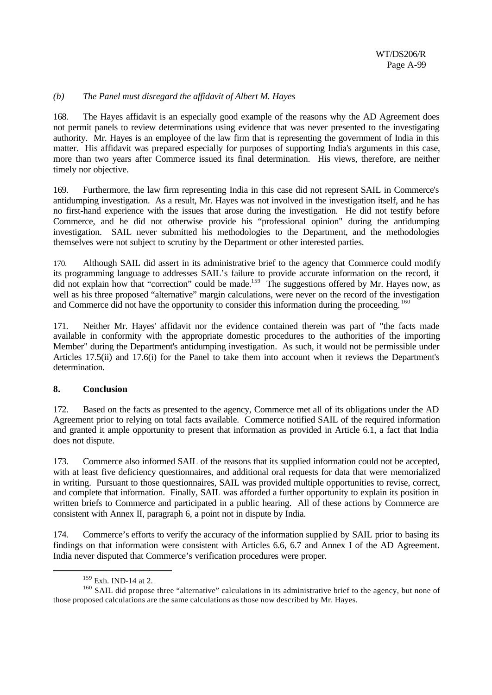## *(b) The Panel must disregard the affidavit of Albert M. Hayes*

168. The Hayes affidavit is an especially good example of the reasons why the AD Agreement does not permit panels to review determinations using evidence that was never presented to the investigating authority. Mr. Hayes is an employee of the law firm that is representing the government of India in this matter. His affidavit was prepared especially for purposes of supporting India's arguments in this case, more than two years after Commerce issued its final determination. His views, therefore, are neither timely nor objective.

169. Furthermore, the law firm representing India in this case did not represent SAIL in Commerce's antidumping investigation. As a result, Mr. Hayes was not involved in the investigation itself, and he has no first-hand experience with the issues that arose during the investigation. He did not testify before Commerce, and he did not otherwise provide his "professional opinion" during the antidumping investigation. SAIL never submitted his methodologies to the Department, and the methodologies themselves were not subject to scrutiny by the Department or other interested parties.

170. Although SAIL did assert in its administrative brief to the agency that Commerce could modify its programming language to addresses SAIL's failure to provide accurate information on the record, it did not explain how that "correction" could be made.<sup>159</sup> The suggestions offered by Mr. Hayes now, as well as his three proposed "alternative" margin calculations, were never on the record of the investigation and Commerce did not have the opportunity to consider this information during the proceeding. <sup>160</sup>

171. Neither Mr. Hayes' affidavit nor the evidence contained therein was part of "the facts made available in conformity with the appropriate domestic procedures to the authorities of the importing Member" during the Department's antidumping investigation. As such, it would not be permissible under Articles 17.5(ii) and 17.6(i) for the Panel to take them into account when it reviews the Department's determination.

## **8. Conclusion**

172. Based on the facts as presented to the agency, Commerce met all of its obligations under the AD Agreement prior to relying on total facts available. Commerce notified SAIL of the required information and granted it ample opportunity to present that information as provided in Article 6.1, a fact that India does not dispute.

173. Commerce also informed SAIL of the reasons that its supplied information could not be accepted, with at least five deficiency questionnaires, and additional oral requests for data that were memorialized in writing. Pursuant to those questionnaires, SAIL was provided multiple opportunities to revise, correct, and complete that information. Finally, SAIL was afforded a further opportunity to explain its position in written briefs to Commerce and participated in a public hearing. All of these actions by Commerce are consistent with Annex II, paragraph 6, a point not in dispute by India.

174. Commerce's efforts to verify the accuracy of the information supplied by SAIL prior to basing its findings on that information were consistent with Articles 6.6, 6.7 and Annex I of the AD Agreement. India never disputed that Commerce's verification procedures were proper.

<sup>159</sup> Exh. IND-14 at 2.

<sup>&</sup>lt;sup>160</sup> SAIL did propose three "alternative" calculations in its administrative brief to the agency, but none of those proposed calculations are the same calculations as those now described by Mr. Hayes.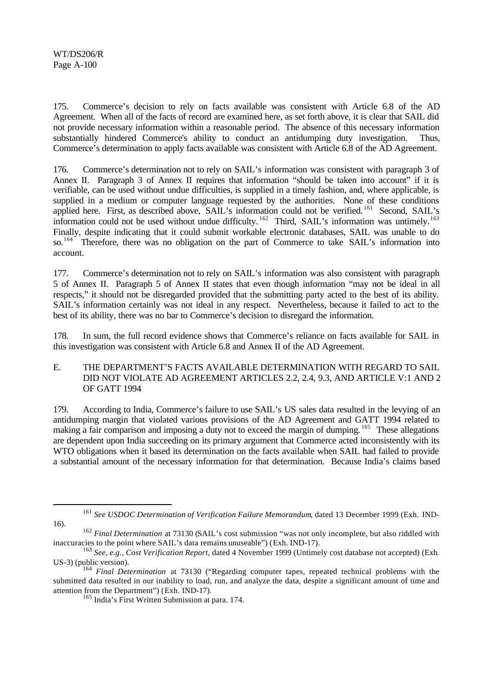l

175. Commerce's decision to rely on facts available was consistent with Article 6.8 of the AD Agreement. When all of the facts of record are examined here, as set forth above, it is clear that SAIL did not provide necessary information within a reasonable period. The absence of this necessary information substantially hindered Commerce's ability to conduct an antidumping duty investigation. Thus, Commerce's determination to apply facts available was consistent with Article 6.8 of the AD Agreement.

176. Commerce's determination not to rely on SAIL's information was consistent with paragraph 3 of Annex II. Paragraph 3 of Annex II requires that information "should be taken into account" if it is verifiable, can be used without undue difficulties, is supplied in a timely fashion, and, where applicable, is supplied in a medium or computer language requested by the authorities. None of these conditions applied here. First, as described above, SAIL's information could not be verified.<sup>161</sup> Second, SAIL's information could not be used without undue difficulty.<sup>162</sup> Third, SAIL's information was untimely.<sup>163</sup> Finally, despite indicating that it could submit workable electronic databases, SAIL was unable to do so.<sup>164</sup> Therefore, there was no obligation on the part of Commerce to take SAIL's information into account.

177. Commerce's determination not to rely on SAIL's information was also consistent with paragraph 5 of Annex II. Paragraph 5 of Annex II states that even though information "may not be ideal in all respects," it should not be disregarded provided that the submitting party acted to the best of its ability. SAIL's information certainly was not ideal in any respect. Nevertheless, because it failed to act to the best of its ability, there was no bar to Commerce's decision to disregard the information.

178. In sum, the full record evidence shows that Commerce's reliance on facts available for SAIL in this investigation was consistent with Article 6.8 and Annex II of the AD Agreement.

### E. THE DEPARTMENT'S FACTS AVAILABLE DETERMINATION WITH REGARD TO SAIL DID NOT VIOLATE AD AGREEMENT ARTICLES 2.2, 2.4, 9.3, AND ARTICLE V:1 AND 2 OF GATT 1994

179. According to India, Commerce's failure to use SAIL's US sales data resulted in the levying of an antidumping margin that violated various provisions of the AD Agreement and GATT 1994 related to making a fair comparison and imposing a duty not to exceed the margin of dumping.<sup>165</sup> These allegations are dependent upon India succeeding on its primary argument that Commerce acted inconsistently with its WTO obligations when it based its determination on the facts available when SAIL had failed to provide a substantial amount of the necessary information for that determination. Because India's claims based

<sup>161</sup> *See USDOC Determination of Verification Failure Memorandum*, dated 13 December 1999 (Exh. IND-16).

<sup>&</sup>lt;sup>162</sup> *Final Determination* at 73130 (SAIL's cost submission "was not only incomplete, but also riddled with inaccuracies to the point where SAIL's data remains unuseable") (Exh. IND-17).

<sup>163</sup> *See, e.g., Cost Verification Report*, dated 4 November 1999 (Untimely cost database not accepted) (Exh. US-3) (public version).

<sup>164</sup> *Final Determination* at 73130 ("Regarding computer tapes, repeated technical problems with the submitted data resulted in our inability to load, run, and analyze the data, despite a significant amount of time and attention from the Department") (Exh. IND-17).

<sup>&</sup>lt;sup>165</sup> India's First Written Submission at para. 174.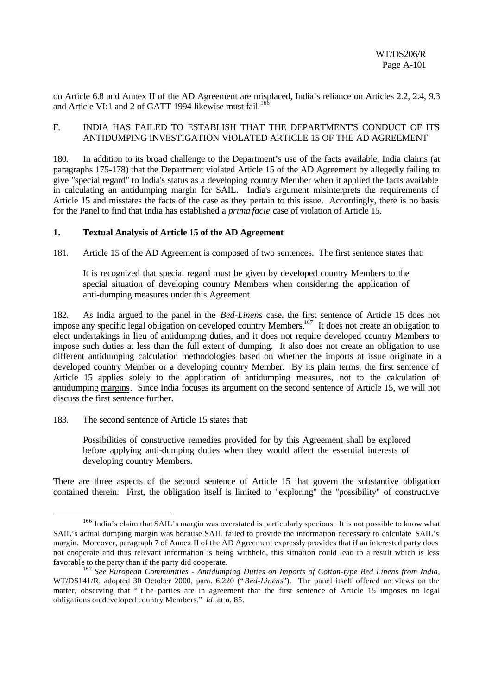on Article 6.8 and Annex II of the AD Agreement are misplaced, India's reliance on Articles 2.2, 2.4, 9.3 and Article VI:1 and 2 of GATT 1994 likewise must fail.<sup>16</sup>

### F. INDIA HAS FAILED TO ESTABLISH THAT THE DEPARTMENT'S CONDUCT OF ITS ANTIDUMPING INVESTIGATION VIOLATED ARTICLE 15 OF THE AD AGREEMENT

180. In addition to its broad challenge to the Department's use of the facts available, India claims (at paragraphs 175-178) that the Department violated Article 15 of the AD Agreement by allegedly failing to give "special regard" to India's status as a developing country Member when it applied the facts available in calculating an antidumping margin for SAIL. India's argument misinterprets the requirements of Article 15 and misstates the facts of the case as they pertain to this issue. Accordingly, there is no basis for the Panel to find that India has established a *prima facie* case of violation of Article 15.

### **1. Textual Analysis of Article 15 of the AD Agreement**

181. Article 15 of the AD Agreement is composed of two sentences. The first sentence states that:

It is recognized that special regard must be given by developed country Members to the special situation of developing country Members when considering the application of anti-dumping measures under this Agreement.

182. As India argued to the panel in the *Bed-Linens* case, the first sentence of Article 15 does not impose any specific legal obligation on developed country Members.<sup>167</sup> It does not create an obligation to elect undertakings in lieu of antidumping duties, and it does not require developed country Members to impose such duties at less than the full extent of dumping. It also does not create an obligation to use different antidumping calculation methodologies based on whether the imports at issue originate in a developed country Member or a developing country Member. By its plain terms, the first sentence of Article 15 applies solely to the application of antidumping measures, not to the calculation of antidumping margins. Since India focuses its argument on the second sentence of Article 15, we will not discuss the first sentence further.

183. The second sentence of Article 15 states that:

l

Possibilities of constructive remedies provided for by this Agreement shall be explored before applying anti-dumping duties when they would affect the essential interests of developing country Members.

There are three aspects of the second sentence of Article 15 that govern the substantive obligation contained therein. First, the obligation itself is limited to "exploring" the "possibility" of constructive

<sup>&</sup>lt;sup>166</sup> India's claim that SAIL's margin was overstated is particularly specious. It is not possible to know what SAIL's actual dumping margin was because SAIL failed to provide the information necessary to calculate SAIL's margin. Moreover, paragraph 7 of Annex II of the AD Agreement expressly provides that if an interested party does not cooperate and thus relevant information is being withheld, this situation could lead to a result which is less favorable to the party than if the party did cooperate.

<sup>167</sup> *See European Communities - Antidumping Duties on Imports of Cotton-type Bed Linens from India,* WT/DS141/R, adopted 30 October 2000, para. 6.220 ("*Bed-Linens*"). The panel itself offered no views on the matter, observing that "[t]he parties are in agreement that the first sentence of Article 15 imposes no legal obligations on developed country Members." *Id*. at n. 85.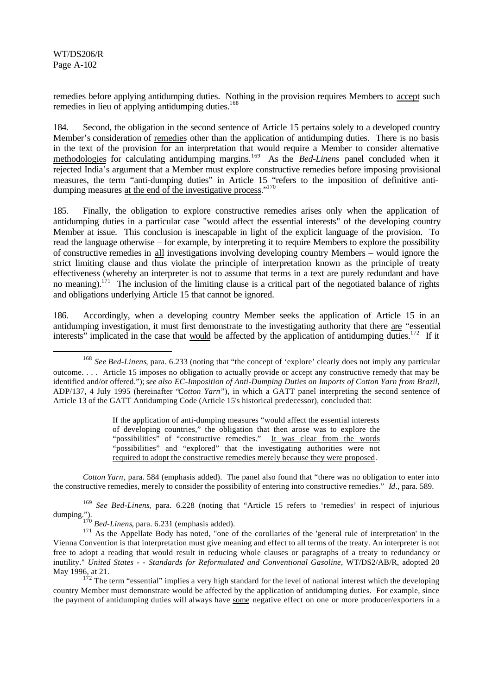l

remedies before applying antidumping duties. Nothing in the provision requires Members to accept such remedies in lieu of applying antidumping duties.<sup>168</sup>

184. Second, the obligation in the second sentence of Article 15 pertains solely to a developed country Member's consideration of remedies other than the application of antidumping duties. There is no basis in the text of the provision for an interpretation that would require a Member to consider alternative methodologies for calculating antidumping margins.<sup>169</sup> As the *Bed-Linens* panel concluded when it rejected India's argument that a Member must explore constructive remedies before imposing provisional measures, the term "anti-dumping duties" in Article 15 "refers to the imposition of definitive antidumping measures <u>at the end of the investigative process</u>."<sup>170</sup>

185. Finally, the obligation to explore constructive remedies arises only when the application of antidumping duties in a particular case "would affect the essential interests" of the developing country Member at issue. This conclusion is inescapable in light of the explicit language of the provision. To read the language otherwise – for example, by interpreting it to require Members to explore the possibility of constructive remedies in all investigations involving developing country Members – would ignore the strict limiting clause and thus violate the principle of interpretation known as the principle of treaty effectiveness (whereby an interpreter is not to assume that terms in a text are purely redundant and have no meaning).<sup>171</sup> The inclusion of the limiting clause is a critical part of the negotiated balance of rights and obligations underlying Article 15 that cannot be ignored.

186. Accordingly, when a developing country Member seeks the application of Article 15 in an antidumping investigation, it must first demonstrate to the investigating authority that there are "essential interests" implicated in the case that would be affected by the application of antidumping duties.<sup>172</sup> If it

If the application of anti-dumping measures "would affect the essential interests of developing countries," the obligation that then arose was to explore the "possibilities" of "constructive remedies." It was clear from the words "possibilities" and "explored" that the investigating authorities were not required to adopt the constructive remedies merely because they were proposed.

*Cotton Yarn*, para. 584 (emphasis added). The panel also found that "there was no obligation to enter into the constructive remedies, merely to consider the possibility of entering into constructive remedies." *Id*., para. 589.

<sup>169</sup> *See Bed-Linens*, para. 6.228 (noting that "Article 15 refers to 'remedies' in respect of injurious dumping.").

 $1^{172}$  The term "essential" implies a very high standard for the level of national interest which the developing country Member must demonstrate would be affected by the application of antidumping duties. For example, since the payment of antidumping duties will always have some negative effect on one or more producer/exporters in a

<sup>168</sup> *See Bed-Linens*, para. 6.233 (noting that "the concept of 'explore' clearly does not imply any particular outcome. . . . Article 15 imposes no obligation to actually provide or accept any constructive remedy that may be identified and/or offered."); *see also EC-Imposition of Anti-Dumping Duties on Imports of Cotton Yarn from Brazil*, ADP/137, 4 July 1995 (hereinafter "*Cotton Yarn*"), in which a GATT panel interpreting the second sentence of Article 13 of the GATT Antidumping Code (Article 15's historical predecessor), concluded that:

<sup>&</sup>lt;sup>170</sup> *Bed-Linens*, para. 6.231 (emphasis added).

<sup>&</sup>lt;sup>171</sup> As the Appellate Body has noted, "one of the corollaries of the 'general rule of interpretation' in the Vienna Convention is that interpretation must give meaning and effect to all terms of the treaty. An interpreter is not free to adopt a reading that would result in reducing whole clauses or paragraphs of a treaty to redundancy or inutility." *United States - - Standards for Reformulated and Conventional Gasoline*, WT/DS2/AB/R, adopted 20 May 1996, at 21.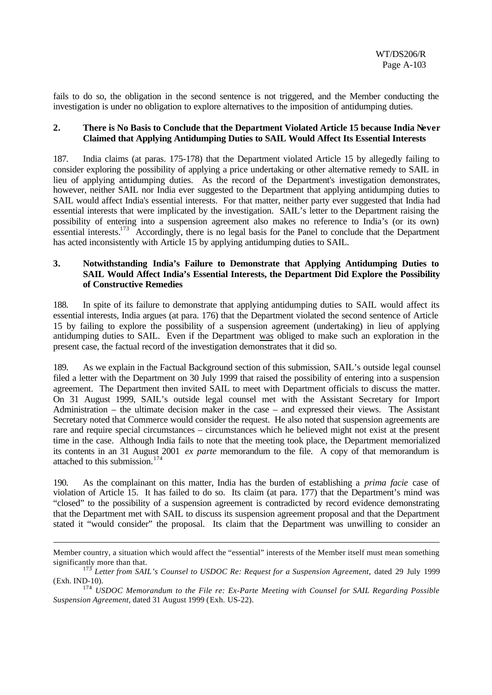fails to do so, the obligation in the second sentence is not triggered, and the Member conducting the investigation is under no obligation to explore alternatives to the imposition of antidumping duties.

### **2. There is No Basis to Conclude that the Department Violated Article 15 because India Never Claimed that Applying Antidumping Duties to SAIL Would Affect Its Essential Interests**

187. India claims (at paras. 175-178) that the Department violated Article 15 by allegedly failing to consider exploring the possibility of applying a price undertaking or other alternative remedy to SAIL in lieu of applying antidumping duties. As the record of the Department's investigation demonstrates, however, neither SAIL nor India ever suggested to the Department that applying antidumping duties to SAIL would affect India's essential interests. For that matter, neither party ever suggested that India had essential interests that were implicated by the investigation. SAIL's letter to the Department raising the possibility of entering into a suspension agreement also makes no reference to India's (or its own) essential interests.<sup>173</sup> Accordingly, there is no legal basis for the Panel to conclude that the Department has acted inconsistently with Article 15 by applying antidumping duties to SAIL.

### **3. Notwithstanding India's Failure to Demonstrate that Applying Antidumping Duties to SAIL Would Affect India's Essential Interests, the Department Did Explore the Possibility of Constructive Remedies**

188. In spite of its failure to demonstrate that applying antidumping duties to SAIL would affect its essential interests, India argues (at para. 176) that the Department violated the second sentence of Article 15 by failing to explore the possibility of a suspension agreement (undertaking) in lieu of applying antidumping duties to SAIL. Even if the Department was obliged to make such an exploration in the present case, the factual record of the investigation demonstrates that it did so.

189. As we explain in the Factual Background section of this submission, SAIL's outside legal counsel filed a letter with the Department on 30 July 1999 that raised the possibility of entering into a suspension agreement. The Department then invited SAIL to meet with Department officials to discuss the matter. On 31 August 1999, SAIL's outside legal counsel met with the Assistant Secretary for Import Administration – the ultimate decision maker in the case – and expressed their views. The Assistant Secretary noted that Commerce would consider the request. He also noted that suspension agreements are rare and require special circumstances – circumstances which he believed might not exist at the present time in the case. Although India fails to note that the meeting took place, the Department memorialized its contents in an 31 August 2001 *ex parte* memorandum to the file. A copy of that memorandum is attached to this submission.<sup>174</sup>

190. As the complainant on this matter, India has the burden of establishing a *prima facie* case of violation of Article 15. It has failed to do so. Its claim (at para. 177) that the Department's mind was "closed" to the possibility of a suspension agreement is contradicted by record evidence demonstrating that the Department met with SAIL to discuss its suspension agreement proposal and that the Department stated it "would consider" the proposal. Its claim that the Department was unwilling to consider an

Member country, a situation which would affect the "essential" interests of the Member itself must mean something significantly more than that.

<sup>173</sup> *Letter from SAIL's Counsel to USDOC Re: Request for a Suspension Agreement*, dated 29 July 1999 (Exh. IND-10).

<sup>174</sup> *USDOC Memorandum to the File re: Ex-Parte Meeting with Counsel for SAIL Regarding Possible Suspension Agreement*, dated 31 August 1999 (Exh. US-22).